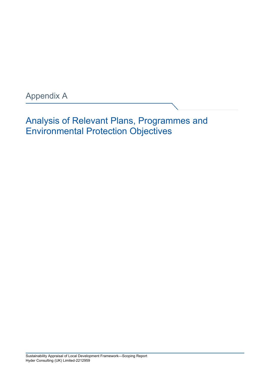Appendix A

Analysis of Relevant Plans, Programmes and Environmental Protection Objectives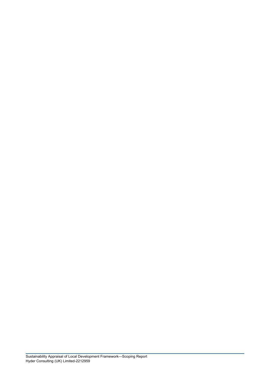Sustainability Appraisal of Local Development Framework—Scoping Report Hyder Consulting (UK) Limited-2212959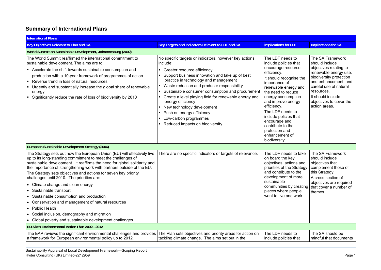## **Summary of International Plans**

| <b>International Plans</b>                                                                                                                                                                                                                                                                                                                                                                                                                                                                                                                                                                                                                                                                                                      |                                                                                                                                                                                                                                                                                                                                                                                                                                                                                                             |                                                                                                                                                                                                                                                                                                                                                                             |                                                                                                                                                                                                                                                   |
|---------------------------------------------------------------------------------------------------------------------------------------------------------------------------------------------------------------------------------------------------------------------------------------------------------------------------------------------------------------------------------------------------------------------------------------------------------------------------------------------------------------------------------------------------------------------------------------------------------------------------------------------------------------------------------------------------------------------------------|-------------------------------------------------------------------------------------------------------------------------------------------------------------------------------------------------------------------------------------------------------------------------------------------------------------------------------------------------------------------------------------------------------------------------------------------------------------------------------------------------------------|-----------------------------------------------------------------------------------------------------------------------------------------------------------------------------------------------------------------------------------------------------------------------------------------------------------------------------------------------------------------------------|---------------------------------------------------------------------------------------------------------------------------------------------------------------------------------------------------------------------------------------------------|
| <b>Key Objectives Relevant to Plan and SA</b>                                                                                                                                                                                                                                                                                                                                                                                                                                                                                                                                                                                                                                                                                   | Key Targets and Indicators Relevant to LDF and SA                                                                                                                                                                                                                                                                                                                                                                                                                                                           | <b>Implications for LDF</b>                                                                                                                                                                                                                                                                                                                                                 | <b>Implications for SA</b>                                                                                                                                                                                                                        |
| World Summit on Sustainable Development, Johannesburg (2002)                                                                                                                                                                                                                                                                                                                                                                                                                                                                                                                                                                                                                                                                    |                                                                                                                                                                                                                                                                                                                                                                                                                                                                                                             |                                                                                                                                                                                                                                                                                                                                                                             |                                                                                                                                                                                                                                                   |
| The World Summit reaffirmed the international commitment to<br>sustainable development. The aims are to:<br>• Accelerate the shift towards sustainable consumption and<br>production with a 10-year framework of programmes of action<br>• Reverse trend in loss of natural resources<br>Urgently and substantially increase the global share of renewable<br>energy<br>Significantly reduce the rate of loss of biodiversity by 2010<br>$\blacksquare$                                                                                                                                                                                                                                                                         | No specific targets or indicators, however key actions<br>include:<br>• Greater resource efficiency<br>• Support business innovation and take up of best<br>practice in technology and management<br>• Waste reduction and producer responsibility<br>Sustainable consumer consumption and procurement<br>Create a level playing field for renewable energy and<br>energy efficiency<br>New technology development<br>Push on energy efficiency<br>Low-carbon programmes<br>Reduced impacts on biodiversity | The LDF needs to<br>include policies that<br>encourage resource<br>efficiency.<br>It should recognise the<br>importance of<br>renewable energy and<br>the need to reduce<br>energy consumption<br>and improve energy<br>efficiency.<br>The LDF needs to<br>include policies that<br>encourage and<br>contribute to the<br>protection and<br>enhancement of<br>biodiversity. | The SA Framework<br>should include<br>objectives relating to<br>renewable energy use,<br>biodiversity protection<br>and enhancement, and<br>careful use of natural<br>resources.<br>It should include<br>objectives to cover the<br>action areas. |
| European Sustainable Development Strategy (2006)                                                                                                                                                                                                                                                                                                                                                                                                                                                                                                                                                                                                                                                                                |                                                                                                                                                                                                                                                                                                                                                                                                                                                                                                             |                                                                                                                                                                                                                                                                                                                                                                             |                                                                                                                                                                                                                                                   |
| The Strategy sets out how the European Union (EU) will effectively live<br>up to its long-standing commitment to meet the challenges of<br>sustainable development. It reaffirms the need for global solidarity and<br>the importance of strengthening work with partners outside of the EU.<br>The Strategy sets objectives and actions for seven key priority<br>challenges until 2010. The priorities are:<br>• Climate change and clean energy<br>Sustainable transport<br>$\bullet$<br>Sustainable consumption and production<br>Conservation and management of natural resources<br>• Public Health<br>Social inclusion, demography and migration<br>$\bullet$<br>• Global poverty and sustainable development challenges | There are no specific indicators or targets of relevance.                                                                                                                                                                                                                                                                                                                                                                                                                                                   | The LDF needs to take<br>on board the key<br>objectives, actions and<br>priorities of the Strategy<br>and contribute to the<br>development of more<br>sustainable<br>communities by creating<br>places where people<br>want to live and work.                                                                                                                               | The SA Framework<br>should include<br>objectives that<br>complement those of<br>this Strategy.<br>A cross section of<br>objectives are required<br>that cover a number of<br>themes.                                                              |
| <b>EU Sixth Environmental Action Plan 2002 - 2012</b>                                                                                                                                                                                                                                                                                                                                                                                                                                                                                                                                                                                                                                                                           |                                                                                                                                                                                                                                                                                                                                                                                                                                                                                                             |                                                                                                                                                                                                                                                                                                                                                                             |                                                                                                                                                                                                                                                   |
| The EAP reviews the significant environmental challenges and provides<br>a framework for European environmental policy up to 2012.                                                                                                                                                                                                                                                                                                                                                                                                                                                                                                                                                                                              | The Plan sets objectives and priority areas for action on<br>tackling climate change. The aims set out in the                                                                                                                                                                                                                                                                                                                                                                                               | The LDF needs to<br>include policies that                                                                                                                                                                                                                                                                                                                                   | The SA should be<br>mindful that documents                                                                                                                                                                                                        |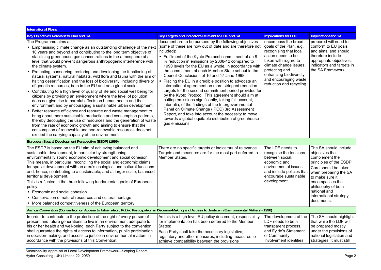| <b>International Plans</b>                                                                                                                                                                                                                                                                                                                                                                                                                                                                                                                                                                                                                                                                                                                                                                                                                                                                                                                                                                                                                                                                                                                                                                                                                                                                                                            |                                                                                                                                                                                                                                                                                                                                                                                                                                                                                                                                                                                                                                                                                                                                                                                                                                                                                                                                               |                                                                                                                                                                                                                                                   |                                                                                                                                                                                                                                                            |
|---------------------------------------------------------------------------------------------------------------------------------------------------------------------------------------------------------------------------------------------------------------------------------------------------------------------------------------------------------------------------------------------------------------------------------------------------------------------------------------------------------------------------------------------------------------------------------------------------------------------------------------------------------------------------------------------------------------------------------------------------------------------------------------------------------------------------------------------------------------------------------------------------------------------------------------------------------------------------------------------------------------------------------------------------------------------------------------------------------------------------------------------------------------------------------------------------------------------------------------------------------------------------------------------------------------------------------------|-----------------------------------------------------------------------------------------------------------------------------------------------------------------------------------------------------------------------------------------------------------------------------------------------------------------------------------------------------------------------------------------------------------------------------------------------------------------------------------------------------------------------------------------------------------------------------------------------------------------------------------------------------------------------------------------------------------------------------------------------------------------------------------------------------------------------------------------------------------------------------------------------------------------------------------------------|---------------------------------------------------------------------------------------------------------------------------------------------------------------------------------------------------------------------------------------------------|------------------------------------------------------------------------------------------------------------------------------------------------------------------------------------------------------------------------------------------------------------|
| <b>Key Objectives Relevant to Plan and SA</b>                                                                                                                                                                                                                                                                                                                                                                                                                                                                                                                                                                                                                                                                                                                                                                                                                                                                                                                                                                                                                                                                                                                                                                                                                                                                                         | Key Targets and Indicators Relevant to LDF and SA                                                                                                                                                                                                                                                                                                                                                                                                                                                                                                                                                                                                                                                                                                                                                                                                                                                                                             | <b>Implications for LDF</b>                                                                                                                                                                                                                       | <b>Implications for SA</b>                                                                                                                                                                                                                                 |
| The Programme aims at:<br>• Emphasising climate change as an outstanding challenge of the next<br>10 years and beyond and contributing to the long term objective of<br>stabilising greenhouse gas concentrations in the atmosphere at a<br>level that would prevent dangerous anthropogenic interference with<br>the climate system.<br>• Protecting, conserving, restoring and developing the functioning of<br>natural systems, natural habitats, wild flora and fauna with the aim of<br>halting desertification and the loss of biodiversity, including diversity<br>of genetic resources, both in the EU and on a global scale.<br>• Contributing to a high level of quality of life and social well being for<br>citizens by providing an environment where the level of pollution<br>does not give rise to harmful effects on human health and the<br>environment and by encouraging a sustainable urban development.<br>• Better resource efficiency and resource and waste management to<br>bring about more sustainable production and consumption patterns,<br>thereby decoupling the use of resources and the generation of waste<br>from the rate of economic growth and aiming to ensure that the<br>consumption of renewable and non-renewable resources does not<br>exceed the carrying capacity of the environment. | document are to be pursued by the following objectives<br>(some of these are now out of date and are therefore not<br>included):<br>• Fulfilment of the Kyoto Protocol commitment of an 8<br>% reduction in emissions by 2008-12 compared to<br>1990 levels for the EU as a whole, in accordance with<br>the commitment of each Member State set out in the<br>Council Conclusions of 16 and 17 June 1998<br>• Placing the EU in a credible position to advocate an<br>international agreement on more stringent reduction<br>targets for the second commitment period provided for<br>by the Kyoto Protocol. This agreement should aim at<br>cutting emissions significantly, taking full account,<br>inter alia, of the findings of the Intergovernmental<br>Panel on Climate Change (IPCC) 3rd Assessment<br>Report, and take into account the necessity to move<br>towards a global equitable distribution of greenhouse<br>gas emissions | encompass the broad<br>goals of the Plan, e.g.<br>recognising that local<br>action needs to be<br>taken with regard to<br>climate change issues,<br>protecting and<br>enhancing biodiversity<br>and encouraging waste<br>reduction and recycling. | prepared will need to<br>conform to EU goals<br>and aims, and should<br>therefore include<br>appropriate objectives,<br>indicators and targets in<br>the SA Framework.                                                                                     |
| European Spatial Development Perspective (ESDP) (1999)                                                                                                                                                                                                                                                                                                                                                                                                                                                                                                                                                                                                                                                                                                                                                                                                                                                                                                                                                                                                                                                                                                                                                                                                                                                                                |                                                                                                                                                                                                                                                                                                                                                                                                                                                                                                                                                                                                                                                                                                                                                                                                                                                                                                                                               |                                                                                                                                                                                                                                                   |                                                                                                                                                                                                                                                            |
| The ESDP is based on the EU aim of achieving balanced and<br>sustainable development, in particular by strengthening<br>environmentally sound economic development and social cohesion.<br>This means, in particular, reconciling the social and economic claims<br>for spatial development with an area's ecological and cultural functions<br>and, hence, contributing to a sustainable, and at larger scale, balanced<br>territorial development.<br>This is reflected in the three following fundamental goals of European<br>policy:<br>• Economic and social cohesion<br>• Conservation of natural resources and cultural heritage<br>• More balanced competitiveness of the European territory                                                                                                                                                                                                                                                                                                                                                                                                                                                                                                                                                                                                                                 | There are no specific targets or indicators of relevance.<br>Targets and measures are for the most part deferred to<br>Member States.                                                                                                                                                                                                                                                                                                                                                                                                                                                                                                                                                                                                                                                                                                                                                                                                         | The LDF needs to<br>recognise the tensions<br>between social,<br>economic and<br>environmental issues.<br>and include policies that<br>encourage sustainable<br>development.                                                                      | The SA should include<br>objectives that<br>complement the<br>principles of the ESDP.<br>Care should be taken<br>when preparing the SA<br>to make sure it<br>encompasses the<br>philosophy of both<br>national and<br>international strategy<br>documents. |
| Aarhus Convention (Convention on Access to Information, Public Participation in Decision-Making and Access to Justice in Environmental Matters) (1998)                                                                                                                                                                                                                                                                                                                                                                                                                                                                                                                                                                                                                                                                                                                                                                                                                                                                                                                                                                                                                                                                                                                                                                                |                                                                                                                                                                                                                                                                                                                                                                                                                                                                                                                                                                                                                                                                                                                                                                                                                                                                                                                                               |                                                                                                                                                                                                                                                   |                                                                                                                                                                                                                                                            |
| In order to contribute to the protection of the right of every person of<br>present and future generations to live in an environment adequate to<br>his or her health and well-being, each Party subject to the convention<br>shall guarantee the rights of access to information, public participation<br>in decision-making, and access to justice in environmental matters in<br>accordance with the provisions of this Convention.                                                                                                                                                                                                                                                                                                                                                                                                                                                                                                                                                                                                                                                                                                                                                                                                                                                                                                | As this is a high level EU policy document, responsibility<br>for implementation has been deferred to the Member<br>States:<br>Each Party shall take the necessary legislative,<br>regulatory and other measures, including measures to<br>achieve compatibility between the provisions                                                                                                                                                                                                                                                                                                                                                                                                                                                                                                                                                                                                                                                       | The development of the<br>LDF needs to be a<br>transparent process,<br>and Fylde's Statement<br>of Community<br>Involvement identifies                                                                                                            | The SA should highlight<br>that while the LDF will<br>be prepared mostly<br>under the provisions of<br>national legislation and<br>strategies, it must still                                                                                               |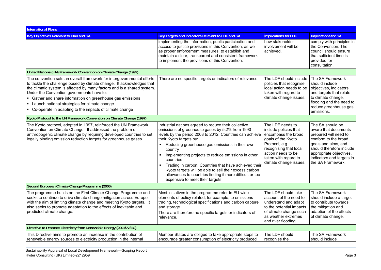| <b>International Plans</b>                                                                                                                                                                                                                                                                                                                                                                                                                            |                                                                                                                                                                                                                                                                                                                                                                                                                                                                                                                                                  |                                                                                                                                                                                                            |                                                                                                                                                                                                                           |
|-------------------------------------------------------------------------------------------------------------------------------------------------------------------------------------------------------------------------------------------------------------------------------------------------------------------------------------------------------------------------------------------------------------------------------------------------------|--------------------------------------------------------------------------------------------------------------------------------------------------------------------------------------------------------------------------------------------------------------------------------------------------------------------------------------------------------------------------------------------------------------------------------------------------------------------------------------------------------------------------------------------------|------------------------------------------------------------------------------------------------------------------------------------------------------------------------------------------------------------|---------------------------------------------------------------------------------------------------------------------------------------------------------------------------------------------------------------------------|
| <b>Key Objectives Relevant to Plan and SA</b>                                                                                                                                                                                                                                                                                                                                                                                                         | Key Targets and Indicators Relevant to LDF and SA                                                                                                                                                                                                                                                                                                                                                                                                                                                                                                | <b>Implications for LDF</b>                                                                                                                                                                                | <b>Implications for SA</b>                                                                                                                                                                                                |
|                                                                                                                                                                                                                                                                                                                                                                                                                                                       | implementing the information, public participation and<br>access-to-justice provisions in this Convention, as well<br>as proper enforcement measures, to establish and<br>maintain a clear, transparent and consistent framework<br>to implement the provisions of this Convention.                                                                                                                                                                                                                                                              | how stakeholder<br>involvement will be<br>achieved.                                                                                                                                                        | comply with principles in<br>the Convention. The<br>council should ensure<br>that sufficient time is<br>provided for<br>consultation.                                                                                     |
| United Nations (UN) Framework Convention on Climate Change (1992)                                                                                                                                                                                                                                                                                                                                                                                     |                                                                                                                                                                                                                                                                                                                                                                                                                                                                                                                                                  |                                                                                                                                                                                                            |                                                                                                                                                                                                                           |
| The convention sets an overall framework for intergovernmental efforts<br>to tackle the challenge posed by climate change. It acknowledges that<br>the climatic system is affected by many factors and is a shared system.<br>Under the Convention governments have to:<br>• Gather and share information on greenhouse gas emissions<br>• Launch national strategies for climate change<br>• Co-operate in adapting to the impacts of climate change | There are no specific targets or indicators of relevance.                                                                                                                                                                                                                                                                                                                                                                                                                                                                                        | The LDF should include<br>policies that recognise<br>local action needs to be<br>taken with regard to<br>climate change issues.                                                                            | The SA Framework<br>should include<br>objectives, indicators<br>and targets that relate<br>to climate change,<br>flooding and the need to<br>reduce greenhouse gas<br>emissions.                                          |
| Kyoto Protocol to the UN Framework Convention on Climate Change (1997)                                                                                                                                                                                                                                                                                                                                                                                |                                                                                                                                                                                                                                                                                                                                                                                                                                                                                                                                                  |                                                                                                                                                                                                            |                                                                                                                                                                                                                           |
| The Kyoto protocol, adopted in 1997, reinforced the UN Framework<br>Convention on Climate Change. It addressed the problem of<br>anthropogenic climate change by requiring developed countries to set<br>legally binding emission reduction targets for greenhouse gases.                                                                                                                                                                             | Industrial nations agreed to reduce their collective<br>emissions of greenhouse gases by 5.2% from 1990<br>levels by the period 2008 to 2012. Countries can achieve<br>their Kyoto targets by:<br>Reducing greenhouse gas emissions in their own<br>country<br>Implementing projects to reduce emissions in other<br>countries<br>Trading in carbon. Countries that have achieved their<br>Kyoto targets will be able to sell their excess carbon<br>allowances to countries finding it more difficult or too<br>expensive to meet their targets | The LDF needs to<br>include policies that<br>encompass the broad<br>goals of the Kyoto<br>Protocol, e.g.<br>recognising that local<br>action needs to be<br>taken with regard to<br>climate change issues. | The SA should be<br>aware that documents<br>prepared will need to<br>conform to the broad<br>goals and aims, and<br>should therefore include<br>appropriate objectives,<br>indicators and targets in<br>the SA Framework. |
| Second European Climate Change Programme (2005)                                                                                                                                                                                                                                                                                                                                                                                                       |                                                                                                                                                                                                                                                                                                                                                                                                                                                                                                                                                  |                                                                                                                                                                                                            |                                                                                                                                                                                                                           |
| The programme builds on the First Climate Change Programme and<br>seeks to continue to drive climate change mitigation across Europe,<br>with the aim of limiting climate change and meeting Kyoto targets. It<br>also seeks to promote adaptation to the effects of inevitable and<br>predicted climate change.                                                                                                                                      | Most initiatives in the programme refer to EU-wide<br>elements of policy related, for example, to emissions<br>trading, technological specifications and carbon capture<br>and storage.<br>There are therefore no specific targets or indicators of<br>relevance.                                                                                                                                                                                                                                                                                | The LDF should take<br>account of the need to<br>understand and adapt<br>to the potential impacts<br>of climate change such<br>as weather extremes<br>and river flooding.                                  | The SA Framework<br>should include a target<br>to contribute towards<br>the mitigation and<br>adaption of the effects<br>of climate change.                                                                               |
| Directive to Promote Electricity from Renewable Energy (2001/77/EC)                                                                                                                                                                                                                                                                                                                                                                                   |                                                                                                                                                                                                                                                                                                                                                                                                                                                                                                                                                  |                                                                                                                                                                                                            |                                                                                                                                                                                                                           |
| This Directive aims to promote an increase in the contribution of<br>renewable energy sources to electricity production in the internal                                                                                                                                                                                                                                                                                                               | Member States are obliged to take appropriate steps to<br>encourage greater consumption of electricity produced                                                                                                                                                                                                                                                                                                                                                                                                                                  | The LDF should<br>recognise the                                                                                                                                                                            | The SA Framework<br>should include                                                                                                                                                                                        |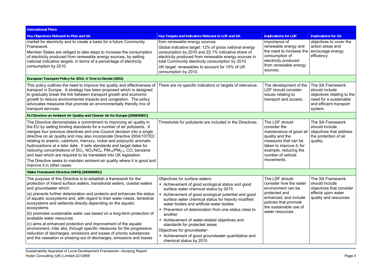| <b>International Plans</b>                                                                                                                                                                                                                                                                                                                                                                                                                                                                                                                                                                                                                                                                                                                                                                                  |                                                                                                                                                                                                                                                                                                                                                                                                                                                                                                                                                             |                                                                                                                                                                                              |                                                                                                                                  |
|-------------------------------------------------------------------------------------------------------------------------------------------------------------------------------------------------------------------------------------------------------------------------------------------------------------------------------------------------------------------------------------------------------------------------------------------------------------------------------------------------------------------------------------------------------------------------------------------------------------------------------------------------------------------------------------------------------------------------------------------------------------------------------------------------------------|-------------------------------------------------------------------------------------------------------------------------------------------------------------------------------------------------------------------------------------------------------------------------------------------------------------------------------------------------------------------------------------------------------------------------------------------------------------------------------------------------------------------------------------------------------------|----------------------------------------------------------------------------------------------------------------------------------------------------------------------------------------------|----------------------------------------------------------------------------------------------------------------------------------|
| <b>Key Objectives Relevant to Plan and SA</b>                                                                                                                                                                                                                                                                                                                                                                                                                                                                                                                                                                                                                                                                                                                                                               | Key Targets and Indicators Relevant to LDF and SA                                                                                                                                                                                                                                                                                                                                                                                                                                                                                                           | <b>Implications for LDF</b>                                                                                                                                                                  | <b>Implications for SA</b>                                                                                                       |
| market for electricity and to create a basis for a future Community<br>Framework.<br>Member States are obliged to take steps to increase the consumption<br>of electricity produced from renewable energy sources, by setting<br>national indicative targets, in terms of a percentage of electricity<br>consumption by 2010.                                                                                                                                                                                                                                                                                                                                                                                                                                                                               | from renewable energy sources.<br>Global indicative target: 12% of gross national energy<br>consumption by 2010 and 22.1% indicative share of<br>electricity produced from renewable energy sources in<br>total Community electricity consumption by 2010.<br>UK target: renewables to account for 10% of UK<br>consumption by 2010.                                                                                                                                                                                                                        | importance of<br>renewable energy and<br>the need to increase the<br>consumption of<br>electricity produced<br>from renewable energy<br>sources.                                             | objectives to cover the<br>action areas and<br>encourage energy<br>efficiency.                                                   |
| European Transport Policy for 2010: A Time to Decide (2001)                                                                                                                                                                                                                                                                                                                                                                                                                                                                                                                                                                                                                                                                                                                                                 |                                                                                                                                                                                                                                                                                                                                                                                                                                                                                                                                                             |                                                                                                                                                                                              |                                                                                                                                  |
| This policy outlines the need to improve the quality and effectiveness of<br>transport in Europe. A strategy has been proposed which is designed<br>to gradually break the link between transport growth and economic<br>growth to reduce environmental impacts and congestion. The policy<br>advocates measures that promote an environmentally friendly mix of<br>transport services.                                                                                                                                                                                                                                                                                                                                                                                                                     | There are no specific indicators or targets of relevance.                                                                                                                                                                                                                                                                                                                                                                                                                                                                                                   | The development of the<br>LDF should consider<br>issues relating to<br>transport and access.                                                                                                 | The SA Framework<br>should include<br>objectives relating to the<br>need for a sustainable<br>and efficient transport<br>system. |
| EU Directive on Ambient Air Quality and Cleaner Air for Europe (2008/50/EC)                                                                                                                                                                                                                                                                                                                                                                                                                                                                                                                                                                                                                                                                                                                                 |                                                                                                                                                                                                                                                                                                                                                                                                                                                                                                                                                             |                                                                                                                                                                                              |                                                                                                                                  |
| The Directive demonstrates a commitment to improving air quality in<br>the EU by setting binding standards for a number of air pollutants. It<br>merges four previous directives and one Council decision into a single<br>directive on air quality and may also incorporate Directive 2004/107/EC<br>relating to arsenic, cadmium, mercury, nickel and polycyclic aromatic<br>hydrocarbons at a later date. It sets standards and target dates for<br>reducing concentrations of SO <sub>2</sub> , NO <sub>2</sub> /NO <sub>x</sub> , PM <sub>10</sub> /PM <sub>2.5</sub> , CO, benzene<br>and lead which are required to be translated into UK legislation.<br>The Directive seeks to maintain ambient-air quality where it is good and<br>improve it in other cases.                                     | Thresholds for pollutants are included in the Directives.                                                                                                                                                                                                                                                                                                                                                                                                                                                                                                   | The LDF should<br>consider the<br>maintenance of good air<br>quality and the<br>measures that can be<br>taken to improve it; for<br>example, reducing the<br>number of vehicle<br>movements. | The SA Framework<br>should include<br>objectives that address<br>the protection of air<br>quality.                               |
| Water Framework Directive (WFD) (2000/60/EC)                                                                                                                                                                                                                                                                                                                                                                                                                                                                                                                                                                                                                                                                                                                                                                |                                                                                                                                                                                                                                                                                                                                                                                                                                                                                                                                                             |                                                                                                                                                                                              |                                                                                                                                  |
| The purpose of this Directive is to establish a framework for the<br>protection of inland surface waters, transitional waters, coastal waters<br>and groundwater which:<br>(a) prevents further deterioration and protects and enhances the status<br>of aquatic ecosystems and, with regard to their water needs, terrestrial<br>ecosystems and wetlands directly depending on the aquatic<br>ecosystems<br>(b) promotes sustainable water use based on a long-term protection of<br>available water resources<br>(c) aims at enhanced protection and improvement of the aquatic<br>environment, inter alia, through specific measures for the progressive<br>reduction of discharges, emissions and losses of priority substances<br>and the cessation or phasing-out of discharges, emissions and losses | Objectives for surface waters:<br>• Achievement of good ecological status and good<br>surface water chemical status by 2015<br>• Achievement of good ecological potential and good<br>surface water chemical status for heavily modified<br>water bodies and artificial water bodies<br>• Prevention of deterioration from one status class to<br>another<br>• Achievement of water-related objectives and<br>standards for protected areas<br>Objectives for groundwater:<br>• Achievement of good groundwater quantitative and<br>chemical status by 2015 | The LDF should<br>consider how the water<br>environment can be<br>protected and<br>enhanced, and include<br>policies that promote<br>the sustainable use of<br>water resources.              | The SA Framework<br>should include<br>objectives that consider<br>effects upon water<br>quality and resources.                   |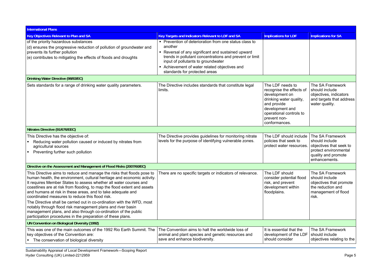| <b>International Plans</b>                                                                                                                                                                                                                                                                                                                                                                                                                                                                                                                                                                                                                                                                     |                                                                                                                                                                                                                                                                                                          |                                                                                                                                                                                         |                                                                                                                                |
|------------------------------------------------------------------------------------------------------------------------------------------------------------------------------------------------------------------------------------------------------------------------------------------------------------------------------------------------------------------------------------------------------------------------------------------------------------------------------------------------------------------------------------------------------------------------------------------------------------------------------------------------------------------------------------------------|----------------------------------------------------------------------------------------------------------------------------------------------------------------------------------------------------------------------------------------------------------------------------------------------------------|-----------------------------------------------------------------------------------------------------------------------------------------------------------------------------------------|--------------------------------------------------------------------------------------------------------------------------------|
| Key Objectives Relevant to Plan and SA                                                                                                                                                                                                                                                                                                                                                                                                                                                                                                                                                                                                                                                         | Key Targets and Indicators Relevant to LDF and SA                                                                                                                                                                                                                                                        | <b>Implications for LDF</b>                                                                                                                                                             | <b>Implications for SA</b>                                                                                                     |
| of the priority hazardous substances<br>(d) ensures the progressive reduction of pollution of groundwater and<br>prevents its further pollution<br>(e) contributes to mitigating the effects of floods and droughts                                                                                                                                                                                                                                                                                                                                                                                                                                                                            | • Prevention of deterioration from one status class to<br>another<br>• Reversal of any significant and sustained upward<br>trends in pollutant concentrations and prevent or limit<br>input of pollutants to groundwater<br>Achievement of water related objectives and<br>standards for protected areas |                                                                                                                                                                                         |                                                                                                                                |
| Drinking Water Directive (98/83/EC)                                                                                                                                                                                                                                                                                                                                                                                                                                                                                                                                                                                                                                                            |                                                                                                                                                                                                                                                                                                          |                                                                                                                                                                                         |                                                                                                                                |
| Sets standards for a range of drinking water quality parameters.                                                                                                                                                                                                                                                                                                                                                                                                                                                                                                                                                                                                                               | The Directive includes standards that constitute legal<br>limits.                                                                                                                                                                                                                                        | The LDF needs to<br>recognise the effects of<br>development on<br>drinking water quality,<br>and provide<br>development and<br>operational controls to<br>prevent non-<br>conformances. | The SA Framework<br>should include<br>objectives, indicators<br>and targets that address<br>water quality.                     |
| Nitrates Directive (91/676/EEC)                                                                                                                                                                                                                                                                                                                                                                                                                                                                                                                                                                                                                                                                |                                                                                                                                                                                                                                                                                                          |                                                                                                                                                                                         |                                                                                                                                |
| This Directive has the objective of:<br>Reducing water pollution caused or induced by nitrates from<br>agricultural sources<br>Preventing further such pollution                                                                                                                                                                                                                                                                                                                                                                                                                                                                                                                               | The Directive provides guidelines for monitoring nitrate<br>levels for the purpose of identifying vulnerable zones.                                                                                                                                                                                      | The LDF should include<br>policies that seek to<br>protect water resources.                                                                                                             | The SA Framework<br>should include<br>objectives that seek to<br>protect environmental<br>quality and promote<br>enhancements. |
| Directive on the Assessment and Management of Flood Risks (2007/60/EC)                                                                                                                                                                                                                                                                                                                                                                                                                                                                                                                                                                                                                         |                                                                                                                                                                                                                                                                                                          |                                                                                                                                                                                         |                                                                                                                                |
| This Directive aims to reduce and manage the risks that floods pose to<br>human health, the environment, cultural heritage and economic activity.<br>It requires Member States to assess whether all water courses and<br>coastlines are at risk from flooding, to map the flood extent and assets<br>and humans at risk in these areas, and to take adequate and<br>coordinated measures to reduce this flood risk.<br>The Directive shall be carried out in co-ordination with the WFD, most<br>notably through flood risk management plans and river basin<br>management plans, and also through co-ordination of the public<br>participation procedures in the preparation of these plans. | There are no specific targets or indicators of relevance.                                                                                                                                                                                                                                                | The LDF should<br>consider potential flood<br>risk, and prevent<br>development within<br>floodplains.                                                                                   | The SA Framework<br>should include<br>objectives that promote<br>the reduction and<br>management of flood<br>risk.             |
| <b>UN Convention on Biological Diversity (1992)</b>                                                                                                                                                                                                                                                                                                                                                                                                                                                                                                                                                                                                                                            |                                                                                                                                                                                                                                                                                                          |                                                                                                                                                                                         |                                                                                                                                |
| This was one of the main outcomes of the 1992 Rio Earth Summit. The<br>key objectives of the Convention are:<br>The conservation of biological diversity                                                                                                                                                                                                                                                                                                                                                                                                                                                                                                                                       | The Convention aims to halt the worldwide loss of<br>animal and plant species and genetic resources and<br>save and enhance biodiversity.                                                                                                                                                                | It is essential that the<br>development of the LDF<br>should consider                                                                                                                   | The SA Framework<br>should include<br>objectives relating to the                                                               |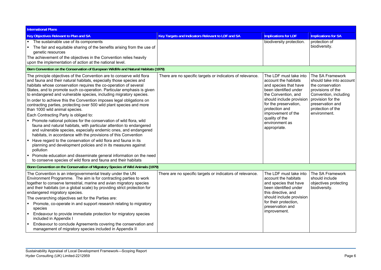| <b>International Plans</b>                                                                                                                                                                                                                                                                                                                                                                                                                                                                                                                                                                                                                                                                                                                                                                                                                                                                                                                                                                                                                                                                                                                                                |                                                           |                                                                                                                                                                                                                                                                          |                                                                                                                                                                                              |  |
|---------------------------------------------------------------------------------------------------------------------------------------------------------------------------------------------------------------------------------------------------------------------------------------------------------------------------------------------------------------------------------------------------------------------------------------------------------------------------------------------------------------------------------------------------------------------------------------------------------------------------------------------------------------------------------------------------------------------------------------------------------------------------------------------------------------------------------------------------------------------------------------------------------------------------------------------------------------------------------------------------------------------------------------------------------------------------------------------------------------------------------------------------------------------------|-----------------------------------------------------------|--------------------------------------------------------------------------------------------------------------------------------------------------------------------------------------------------------------------------------------------------------------------------|----------------------------------------------------------------------------------------------------------------------------------------------------------------------------------------------|--|
| Key Objectives Relevant to Plan and SA                                                                                                                                                                                                                                                                                                                                                                                                                                                                                                                                                                                                                                                                                                                                                                                                                                                                                                                                                                                                                                                                                                                                    | Key Targets and Indicators Relevant to LDF and SA         | <b>Implications for LDF</b>                                                                                                                                                                                                                                              | <b>Implications for SA</b>                                                                                                                                                                   |  |
| The sustainable use of its components<br>The fair and equitable sharing of the benefits arising from the use of<br>genetic resources<br>The achievement of the objectives in the Convention relies heavily<br>upon the implementation of action at the national level.                                                                                                                                                                                                                                                                                                                                                                                                                                                                                                                                                                                                                                                                                                                                                                                                                                                                                                    |                                                           | biodiversity protection.                                                                                                                                                                                                                                                 | protection of<br>biodiversity.                                                                                                                                                               |  |
| Bern Convention on the Conservation of European Wildlife and Natural Habitats (1979)                                                                                                                                                                                                                                                                                                                                                                                                                                                                                                                                                                                                                                                                                                                                                                                                                                                                                                                                                                                                                                                                                      |                                                           |                                                                                                                                                                                                                                                                          |                                                                                                                                                                                              |  |
| The principle objectives of the Convention are to conserve wild flora<br>and fauna and their natural habitats, especially those species and<br>habitats whose conservation requires the co-operation of several<br>States, and to promote such co-operation. Particular emphasis is given<br>to endangered and vulnerable species, including migratory species.<br>In order to achieve this the Convention imposes legal obligations on<br>contracting parties, protecting over 500 wild plant species and more<br>than 1000 wild animal species.<br>Each Contracting Party is obliged to:<br>• Promote national policies for the conservation of wild flora, wild<br>fauna and natural habitats, with particular attention to endangered<br>and vulnerable species, especially endemic ones, and endangered<br>habitats, in accordance with the provisions of this Convention<br>• Have regard to the conservation of wild flora and fauna in its<br>planning and development policies and in its measures against<br>pollution<br>• Promote education and disseminate general information on the need<br>to conserve species of wild flora and fauna and their habitats | There are no specific targets or indicators of relevance. | The LDF must take into<br>account the habitats<br>and species that have<br>been identified under<br>the Convention, and<br>should include provision<br>for the preservation,<br>protection and<br>improvement of the<br>quality of the<br>environment as<br>appropriate. | The SA Framework<br>should take into account<br>the conservation<br>provisions of the<br>Convention, including<br>provision for the<br>preservation and<br>protection of the<br>environment. |  |
| Bonn Convention on the Conservation of Migratory Species of Wild Animals (1979)                                                                                                                                                                                                                                                                                                                                                                                                                                                                                                                                                                                                                                                                                                                                                                                                                                                                                                                                                                                                                                                                                           |                                                           |                                                                                                                                                                                                                                                                          |                                                                                                                                                                                              |  |
| The Convention is an intergovernmental treaty under the UN<br>Environment Programme. The aim is for contracting parties to work<br>together to conserve terrestrial, marine and avian migratory species<br>and their habitats (on a global scale) by providing strict protection for<br>endangered migratory species.<br>The overarching objectives set for the Parties are:<br>• Promote, co-operate in and support research relating to migratory<br>species<br>Endeavour to provide immediate protection for migratory species<br>included in Appendix I<br>Endeavour to conclude Agreements covering the conservation and<br>management of migratory species included in Appendix II                                                                                                                                                                                                                                                                                                                                                                                                                                                                                  | There are no specific targets or indicators of relevance. | The LDF must take into<br>account the habitats<br>and species that have<br>been identified under<br>this directive, and<br>should include provision<br>for their protection,<br>preservation and<br>improvement.                                                         | The SA Framework<br>should include<br>objectives protecting<br>biodiversity.                                                                                                                 |  |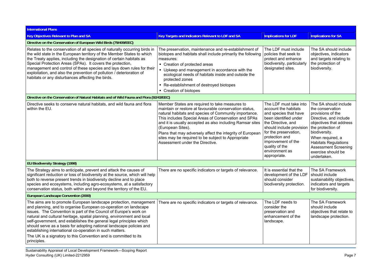| <b>International Plans</b>                                                                                                                                                                                                                                                                                                                                                                                                                                                                                                                                                         |                                                                                                                                                                                                                                                                                                                                                                                                                                                                   |                                                                                                                                                                                                                                                                         |                                                                                                                                                                                                                                                                                  |
|------------------------------------------------------------------------------------------------------------------------------------------------------------------------------------------------------------------------------------------------------------------------------------------------------------------------------------------------------------------------------------------------------------------------------------------------------------------------------------------------------------------------------------------------------------------------------------|-------------------------------------------------------------------------------------------------------------------------------------------------------------------------------------------------------------------------------------------------------------------------------------------------------------------------------------------------------------------------------------------------------------------------------------------------------------------|-------------------------------------------------------------------------------------------------------------------------------------------------------------------------------------------------------------------------------------------------------------------------|----------------------------------------------------------------------------------------------------------------------------------------------------------------------------------------------------------------------------------------------------------------------------------|
| Key Objectives Relevant to Plan and SA                                                                                                                                                                                                                                                                                                                                                                                                                                                                                                                                             | Key Targets and Indicators Relevant to LDF and SA                                                                                                                                                                                                                                                                                                                                                                                                                 | <b>Implications for LDF</b>                                                                                                                                                                                                                                             | <b>Implications for SA</b>                                                                                                                                                                                                                                                       |
| Directive on the Conservation of European Wild Birds (79/409/EEC)                                                                                                                                                                                                                                                                                                                                                                                                                                                                                                                  |                                                                                                                                                                                                                                                                                                                                                                                                                                                                   |                                                                                                                                                                                                                                                                         |                                                                                                                                                                                                                                                                                  |
| Relates to the conservation of all species of naturally occurring birds in<br>the wild state in the European territory of the Member States to which<br>the Treaty applies, including the designation of certain habitats as<br>Special Protection Areas (SPAs). It covers the protection,<br>management and control of these species and lays down rules for their<br>exploitation, and also the prevention of pollution / deterioration of<br>habitats or any disturbances affecting the birds.                                                                                  | The preservation, maintenance and re-establishment of<br>biotopes and habitats shall include primarily the following<br>measures:<br>• Creation of protected areas<br>• Upkeep and management in accordance with the<br>ecological needs of habitats inside and outside the<br>protected zones<br>• Re-establishment of destroyed biotopes<br>• Creation of biotopes                                                                                              | The LDF must include<br>policies that seek to<br>protect and enhance<br>biodiversity, particularly<br>designated sites.                                                                                                                                                 | The SA should include<br>objectives, indicators<br>and targets relating to<br>the protection of<br>biodiversity.                                                                                                                                                                 |
| Directive on the Conservation of Natural Habitats and of Wild Fauna and Flora (92/43/EEC)                                                                                                                                                                                                                                                                                                                                                                                                                                                                                          |                                                                                                                                                                                                                                                                                                                                                                                                                                                                   |                                                                                                                                                                                                                                                                         |                                                                                                                                                                                                                                                                                  |
| Directive seeks to conserve natural habitats, and wild fauna and flora<br>within the EU.                                                                                                                                                                                                                                                                                                                                                                                                                                                                                           | Member States are required to take measures to<br>maintain or restore at favourable conservation status,<br>natural habitats and species of Community importance.<br>This includes Special Areas of Conservation and SPAs<br>and it is usually accepted as also including Ramsar sites<br>(European Sites).<br>Plans that may adversely affect the integrity of European<br>sites may be required to be subject to Appropriate<br>Assessment under the Directive. | The LDF must take into<br>account the habitats<br>and species that have<br>been identified under<br>the Directive, and<br>should include provision<br>for the preservation,<br>protection and<br>improvement of the<br>quality of the<br>environment as<br>appropriate. | The SA should include<br>the conservation<br>provisions of the<br>Directive, and include<br>objectives that address<br>the protection of<br>biodiversity.<br>When required, a<br><b>Habitats Regulations</b><br><b>Assessment Screening</b><br>exercise should be<br>undertaken. |
| <b>EU Biodiversity Strategy (1998)</b>                                                                                                                                                                                                                                                                                                                                                                                                                                                                                                                                             |                                                                                                                                                                                                                                                                                                                                                                                                                                                                   |                                                                                                                                                                                                                                                                         |                                                                                                                                                                                                                                                                                  |
| The Strategy aims to anticipate, prevent and attack the causes of<br>significant reduction or loss of biodiversity at the source, which will help<br>both to reverse present trends in biodiversity decline and to place<br>species and ecosystems, including agro-ecosystems, at a satisfactory<br>conservation status, both within and beyond the territory of the EU.                                                                                                                                                                                                           | There are no specific indicators or targets of relevance.                                                                                                                                                                                                                                                                                                                                                                                                         | It is essential that the<br>development of the LDF<br>should consider<br>biodiversity protection.                                                                                                                                                                       | The SA Framework<br>should include<br>sustainability objectives,<br>indicators and targets<br>for biodiversity.                                                                                                                                                                  |
| European Landscape Convention (2000)                                                                                                                                                                                                                                                                                                                                                                                                                                                                                                                                               |                                                                                                                                                                                                                                                                                                                                                                                                                                                                   |                                                                                                                                                                                                                                                                         |                                                                                                                                                                                                                                                                                  |
| The aims are to promote European landscape protection, management<br>and planning, and to organise European co-operation on landscape<br>issues. The Convention is part of the Council of Europe's work on<br>natural and cultural heritage, spatial planning, environment and local<br>self-government, and establishes the general legal principles which<br>should serve as a basis for adopting national landscape policies and<br>establishing international co-operation in such matters.<br>The UK is a signatory to this Convention and is committed to its<br>principles. | There are no specific indicators or targets of relevance.                                                                                                                                                                                                                                                                                                                                                                                                         | The LDF needs to<br>consider the<br>preservation and<br>enhancement of the<br>landscape.                                                                                                                                                                                | The SA Framework<br>should include<br>objectives that relate to<br>landscape protection.                                                                                                                                                                                         |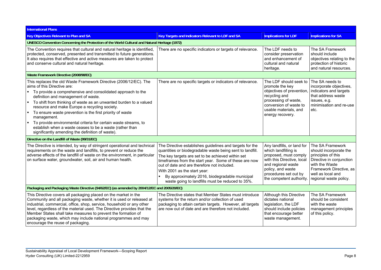| <b>International Plans</b>                                                                                                                                                                                                                                                                                                                                                                                                                                                                                                                                                                        |                                                                                                                                                                                                                                                                                                                                                                                                                                            |                                                                                                                                                                                                           |                                                                                                                                                                                          |  |
|---------------------------------------------------------------------------------------------------------------------------------------------------------------------------------------------------------------------------------------------------------------------------------------------------------------------------------------------------------------------------------------------------------------------------------------------------------------------------------------------------------------------------------------------------------------------------------------------------|--------------------------------------------------------------------------------------------------------------------------------------------------------------------------------------------------------------------------------------------------------------------------------------------------------------------------------------------------------------------------------------------------------------------------------------------|-----------------------------------------------------------------------------------------------------------------------------------------------------------------------------------------------------------|------------------------------------------------------------------------------------------------------------------------------------------------------------------------------------------|--|
| Key Objectives Relevant to Plan and SA                                                                                                                                                                                                                                                                                                                                                                                                                                                                                                                                                            | Key Targets and Indicators Relevant to LDF and SA                                                                                                                                                                                                                                                                                                                                                                                          | <b>Implications for LDF</b>                                                                                                                                                                               | <b>Implications for SA</b>                                                                                                                                                               |  |
| UNESCO Convention Concerning the Protection of the World Cultural and Natural Heritage (1972)                                                                                                                                                                                                                                                                                                                                                                                                                                                                                                     |                                                                                                                                                                                                                                                                                                                                                                                                                                            |                                                                                                                                                                                                           |                                                                                                                                                                                          |  |
| The Convention requires that cultural and natural heritage is identified,<br>protected, conserved, presented and transmitted to future generations.<br>It also requires that effective and active measures are taken to protect<br>and conserve cultural and natural heritage.                                                                                                                                                                                                                                                                                                                    | There are no specific indicators or targets of relevance.                                                                                                                                                                                                                                                                                                                                                                                  | The LDF needs to<br>consider preservation<br>and enhancement of<br>cultural and natural<br>heritage.                                                                                                      | The SA Framework<br>should include<br>objectives relating to the<br>protection of historic<br>and natural resources.                                                                     |  |
| Waste Framework Directive (2008/98/EC)                                                                                                                                                                                                                                                                                                                                                                                                                                                                                                                                                            |                                                                                                                                                                                                                                                                                                                                                                                                                                            |                                                                                                                                                                                                           |                                                                                                                                                                                          |  |
| This replaces the old Waste Framework Directive (2006/12/EC). The<br>aims of this Directive are:<br>To provide a comprehensive and consolidated approach to the<br>definition and management of waste.<br>To shift from thinking of waste as an unwanted burden to a valued<br>٠.<br>resource and make Europe a recycling society.<br>To ensure waste prevention is the first priority of waste<br>management.<br>To provide environmental criteria for certain waste streams, to<br>establish when a waste ceases to be a waste (rather than<br>significantly amending the definition of waste). | There are no specific targets or indicators of relevance.                                                                                                                                                                                                                                                                                                                                                                                  | The LDF should seek to<br>promote the key<br>objectives of prevention,<br>recycling and<br>processing of waste,<br>conversion of waste to<br>usable materials, and<br>energy recovery.                    | The SA needs to<br>incorporate objectives,<br>indicators and targets<br>that address waste<br>issues, e.g.<br>minimisation and re-use<br>etc.                                            |  |
| Directive on the Landfill of Waste (99/31/EC)                                                                                                                                                                                                                                                                                                                                                                                                                                                                                                                                                     |                                                                                                                                                                                                                                                                                                                                                                                                                                            |                                                                                                                                                                                                           |                                                                                                                                                                                          |  |
| The Directive is intended, by way of stringent operational and technical<br>requirements on the waste and landfills, to prevent or reduce the<br>adverse effects of the landfill of waste on the environment, in particular<br>on surface water, groundwater, soil, air and human health.                                                                                                                                                                                                                                                                                                         | The Directive establishes guidelines and targets for the<br>quantities or biodegradable waste being sent to landfill.<br>The key targets are set to be achieved within set<br>timeframes from the start year. Some of these are now<br>out of date and are therefore not included.<br>With 2001 as the start year:<br>By approximately 2016, biodegradable municipal<br>$\blacksquare$<br>waste going to landfills must be reduced to 35%. | Any landfills, or land for<br>which landfilling is<br>proposed, must comply<br>with this Directive, local<br>and regional waste<br>policy, and waste<br>procedures set out by<br>the competent authority. | The SA Framework<br>should incorporate the<br>principles of this<br>Directive in conjunction<br>with the Waste<br>Framework Directive, as<br>well as local and<br>regional waste policy. |  |
| Packaging and Packaging Waste Directive (94/62/EC) (as amended by 2004/12/EC and 2005/20/EC)                                                                                                                                                                                                                                                                                                                                                                                                                                                                                                      |                                                                                                                                                                                                                                                                                                                                                                                                                                            |                                                                                                                                                                                                           |                                                                                                                                                                                          |  |
| This Directive covers all packaging placed on the market in the<br>Community and all packaging waste, whether it is used or released at<br>industrial, commercial, office, shop, service, household or any other<br>level, regardless of the material used. The Directive provides that the<br>Member States shall take measures to prevent the formation of<br>packaging waste, which may include national programmes and may<br>encourage the reuse of packaging.                                                                                                                               | The Directive states that Member States must introduce<br>systems for the return and/or collection of used<br>packaging to attain certain targets. However, all targets<br>are now out of date and are therefore not included.                                                                                                                                                                                                             | Although this Directive<br>dictates national<br>legislation, the LDF<br>should include policies<br>that encourage better<br>waste management.                                                             | The SA Framework<br>should be consistent<br>with the waste<br>management principles<br>of this policy.                                                                                   |  |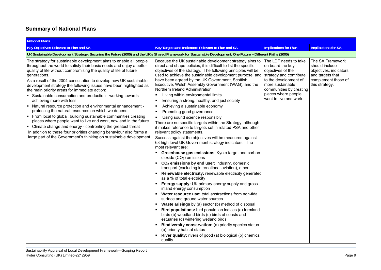## **Summary of National Plans**

| <b>National Plans</b>                                                                                                                                                                                                                                                                                                                                                                                                                                                                                                                                                                                                                                                                                                                                                                                                                                                                                                                                                                                                    |                                                                                                                                                                                                                                                                                                                                                                                                                                                                                                                                                                                                                                                                                                                                                                                                                                                                                                                                                                                                                                                                                                                                                                                                                                                                                                                                                                                                                                                                                                                                                                                                                                                                                                                                                                                                                                                                                                |                                                                                                                                                                                                                    |                                                                                                                           |
|--------------------------------------------------------------------------------------------------------------------------------------------------------------------------------------------------------------------------------------------------------------------------------------------------------------------------------------------------------------------------------------------------------------------------------------------------------------------------------------------------------------------------------------------------------------------------------------------------------------------------------------------------------------------------------------------------------------------------------------------------------------------------------------------------------------------------------------------------------------------------------------------------------------------------------------------------------------------------------------------------------------------------|------------------------------------------------------------------------------------------------------------------------------------------------------------------------------------------------------------------------------------------------------------------------------------------------------------------------------------------------------------------------------------------------------------------------------------------------------------------------------------------------------------------------------------------------------------------------------------------------------------------------------------------------------------------------------------------------------------------------------------------------------------------------------------------------------------------------------------------------------------------------------------------------------------------------------------------------------------------------------------------------------------------------------------------------------------------------------------------------------------------------------------------------------------------------------------------------------------------------------------------------------------------------------------------------------------------------------------------------------------------------------------------------------------------------------------------------------------------------------------------------------------------------------------------------------------------------------------------------------------------------------------------------------------------------------------------------------------------------------------------------------------------------------------------------------------------------------------------------------------------------------------------------|--------------------------------------------------------------------------------------------------------------------------------------------------------------------------------------------------------------------|---------------------------------------------------------------------------------------------------------------------------|
| Key Objectives Relevant to Plan and SA                                                                                                                                                                                                                                                                                                                                                                                                                                                                                                                                                                                                                                                                                                                                                                                                                                                                                                                                                                                   | Key Targets and Indicators Relevant to Plan and SA                                                                                                                                                                                                                                                                                                                                                                                                                                                                                                                                                                                                                                                                                                                                                                                                                                                                                                                                                                                                                                                                                                                                                                                                                                                                                                                                                                                                                                                                                                                                                                                                                                                                                                                                                                                                                                             | <b>Implications for Plan</b>                                                                                                                                                                                       | <b>Implications for SA</b>                                                                                                |
| UK Sustainable Development Strategy: Securing the Future (2005) and the UK's Shared Framework for Sustainable Development, One Future - Different Paths (2005)                                                                                                                                                                                                                                                                                                                                                                                                                                                                                                                                                                                                                                                                                                                                                                                                                                                           |                                                                                                                                                                                                                                                                                                                                                                                                                                                                                                                                                                                                                                                                                                                                                                                                                                                                                                                                                                                                                                                                                                                                                                                                                                                                                                                                                                                                                                                                                                                                                                                                                                                                                                                                                                                                                                                                                                |                                                                                                                                                                                                                    |                                                                                                                           |
| The strategy for sustainable development aims to enable all people<br>throughout the world to satisfy their basic needs and enjoy a better<br>quality of life without compromising the quality of life of future<br>generations.<br>As a result of the 2004 consultation to develop new UK sustainable<br>development strategy the following issues have been highlighted as<br>the main priority areas for immediate action:<br>• Sustainable consumption and production - working towards<br>achieving more with less<br>Natural resource protection and environmental enhancement -<br>$\blacksquare$<br>protecting the natural resources on which we depend<br>• From local to global: building sustainable communities creating<br>places where people want to live and work, now and in the future<br>• Climate change and energy - confronting the greatest threat<br>In addition to these four priorities changing behaviour also forms a<br>large part of the Government's thinking on sustainable development. | Because the UK sustainable development strategy aims to<br>direct and shape policies, it is difficult to list the specific<br>objectives of the strategy. The following principles will be<br>used to achieve the sustainable development purpose, and<br>have been agreed by the UK Government, Scottish<br>Executive, Welsh Assembly Government (WAG), and the<br>Northern Ireland Administration:<br>Living within environmental limits<br>$\blacksquare$<br>Ensuring a strong, healthy, and just society<br>$\blacksquare$<br>Achieving a sustainable economy<br>$\blacksquare$<br>Promoting good governance<br>$\blacksquare$<br>Using sound science responsibly<br>$\blacksquare$<br>There are no specific targets within the Strategy, although<br>it makes reference to targets set in related PSA and other<br>relevant policy statements.<br>Success against the objectives will be measured against<br>68 high level UK Government strategy indicators. The<br>most relevant are:<br>Greenhouse gas emissions: Kyoto target and carbon<br>$\blacksquare$<br>dioxide $(CO2)$ emissions<br>CO <sub>2</sub> emissions by end user: industry, domestic,<br>transport (excluding international aviation), other<br>Renewable electricity: renewable electricity generated<br>as a % of total electricity<br>Energy supply: UK primary energy supply and gross<br>inland energy consumption<br>Water resource use: total abstractions from non-tidal<br>surface and ground water sources<br>Waste arisings by (a) sector (b) method of disposal<br>$\blacksquare$<br>Bird populations: bird population indices (a) farmland<br>birds (b) woodland birds (c) birds of coasts and<br>estuaries (d) wintering wetland birds<br>Biodiversity conservation: (a) priority species status<br>(b) priority habitat status<br>River quality: rivers of good (a) biological (b) chemical<br>quality | The LDF needs to take<br>on board the key<br>objectives of the<br>strategy and contribute<br>to the development of<br>more sustainable<br>communities by creating<br>places where people<br>want to live and work. | The SA Framework<br>should include<br>objectives, indicators<br>and targets that<br>complement those of<br>this strategy. |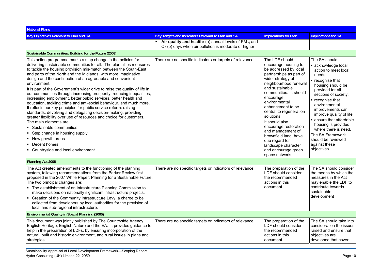| <b>National Plans</b>                                                                                                                                                                                                                                                                                                                                                                                                                                                                                                                                                                                                                                                                                                                                                                                                                                                                                                                                                                                                                                 |                                                                                                                               |                                                                                                                                                                                                                                                                                                                                                                                                                                                               |                                                                                                                                                                                                                                                                                                                                                                                                      |
|-------------------------------------------------------------------------------------------------------------------------------------------------------------------------------------------------------------------------------------------------------------------------------------------------------------------------------------------------------------------------------------------------------------------------------------------------------------------------------------------------------------------------------------------------------------------------------------------------------------------------------------------------------------------------------------------------------------------------------------------------------------------------------------------------------------------------------------------------------------------------------------------------------------------------------------------------------------------------------------------------------------------------------------------------------|-------------------------------------------------------------------------------------------------------------------------------|---------------------------------------------------------------------------------------------------------------------------------------------------------------------------------------------------------------------------------------------------------------------------------------------------------------------------------------------------------------------------------------------------------------------------------------------------------------|------------------------------------------------------------------------------------------------------------------------------------------------------------------------------------------------------------------------------------------------------------------------------------------------------------------------------------------------------------------------------------------------------|
| Key Objectives Relevant to Plan and SA                                                                                                                                                                                                                                                                                                                                                                                                                                                                                                                                                                                                                                                                                                                                                                                                                                                                                                                                                                                                                | Key Targets and Indicators Relevant to Plan and SA                                                                            | <b>Implications for Plan</b>                                                                                                                                                                                                                                                                                                                                                                                                                                  | <b>Implications for SA</b>                                                                                                                                                                                                                                                                                                                                                                           |
|                                                                                                                                                                                                                                                                                                                                                                                                                                                                                                                                                                                                                                                                                                                                                                                                                                                                                                                                                                                                                                                       | • Air quality and health: (a) annual levels of PM <sub>10</sub> and<br>$O3$ (b) days when air pollution is moderate or higher |                                                                                                                                                                                                                                                                                                                                                                                                                                                               |                                                                                                                                                                                                                                                                                                                                                                                                      |
| Sustainable Communities: Building for the Future (2003)                                                                                                                                                                                                                                                                                                                                                                                                                                                                                                                                                                                                                                                                                                                                                                                                                                                                                                                                                                                               |                                                                                                                               |                                                                                                                                                                                                                                                                                                                                                                                                                                                               |                                                                                                                                                                                                                                                                                                                                                                                                      |
| This action programme marks a step change in the policies for<br>delivering sustainable communities for all. The plan allies measures<br>to tackle the housing provision mis-match between the South-East<br>and parts of the North and the Midlands, with more imaginative<br>design and the continuation of an agreeable and convenient<br>environment.<br>It is part of the Government's wider drive to raise the quality of life in<br>our communities through increasing prosperity, reducing inequalities,<br>increasing employment, better public services, better health and<br>education, tackling crime and anti-social behaviour, and much more.<br>It reflects our key principles for public service reform: raising<br>standards, devolving and delegating decision-making, providing<br>greater flexibility over use of resources and choice for customers.<br>The main elements are:<br>• Sustainable communities<br>Step change in housing supply<br>٠<br>• New growth areas<br>• Decent homes<br>• Countryside and local environment | There are no specific indicators or targets of relevance.                                                                     | The LDF should<br>encourage housing to<br>be addressed by local<br>partnerships as part of<br>wider strategy of<br>neighbourhood renewal<br>and sustainable<br>communities. It should<br>encourage<br>environmental<br>enhancement to be<br>central to regeneration<br>solutions.<br>It should also<br>encourage restoration<br>and management of<br>brownfield land, have<br>due regard for<br>landscape character<br>and encourage green<br>space networks. | The SA should:<br>acknowledge local<br>action to meet local<br>needs:<br>• recognise that<br>housing should be<br>provided for all<br>sections of society;<br>• recognise that<br>environmental<br>improvements can<br>improve quality of life;<br>• ensure that affordable<br>housing is provided<br>where there is need.<br>The SA Framework<br>should be reviewed<br>against these<br>objectives. |
| <b>Planning Act 2008</b>                                                                                                                                                                                                                                                                                                                                                                                                                                                                                                                                                                                                                                                                                                                                                                                                                                                                                                                                                                                                                              |                                                                                                                               |                                                                                                                                                                                                                                                                                                                                                                                                                                                               |                                                                                                                                                                                                                                                                                                                                                                                                      |
| The Act created amendments to the functioning of the planning<br>system, following recommendations from the Barker Review first<br>proposed in the 2007 White Paper: Planning for a Sustainable Future.<br>The two principal changes are:<br>• The establishment of an Infrastructure Planning Commission to<br>make decisions on nationally significant infrastructure projects.<br>• Creation of the Community Infrastructure Levy, a charge to be<br>collected from developers by local authorities for the provision of<br>local and sub-regional infrastructure.                                                                                                                                                                                                                                                                                                                                                                                                                                                                                 | There are no specific targets or indicators of relevance.                                                                     | The preparation of the<br>LDF should consider<br>the recommended<br>actions in this<br>document.                                                                                                                                                                                                                                                                                                                                                              | The SA should consider<br>the means by which the<br>measures in the Act<br>may enable the LDF to<br>contribute towards<br>sustainable<br>development                                                                                                                                                                                                                                                 |
| <b>Environmental Quality in Spatial Planning (2005)</b>                                                                                                                                                                                                                                                                                                                                                                                                                                                                                                                                                                                                                                                                                                                                                                                                                                                                                                                                                                                               |                                                                                                                               |                                                                                                                                                                                                                                                                                                                                                                                                                                                               |                                                                                                                                                                                                                                                                                                                                                                                                      |
| This document was jointly published by The Countryside Agency,<br>English Heritage, English Nature and the EA. It provides guidance to<br>help in the preparation of LDFs, by ensuring incorporation of the<br>natural, built and historic environment, and rural issues in plans and<br>strategies.                                                                                                                                                                                                                                                                                                                                                                                                                                                                                                                                                                                                                                                                                                                                                  | There are no specific targets or indicators of relevance.                                                                     | The preparation of the<br>LDF should consider<br>the recommended<br>actions in this<br>document.                                                                                                                                                                                                                                                                                                                                                              | The SA should take into<br>consideration the issues<br>raised and ensure that<br>objectives are<br>developed that cover                                                                                                                                                                                                                                                                              |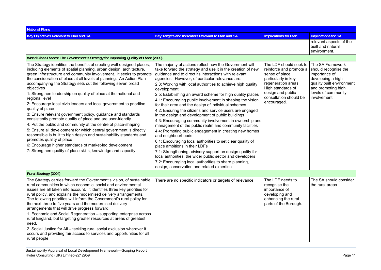| <b>National Plans</b>                                                                                                                                                                                                                                                                                                                                                                                                                                                                                                                                                                                                                                                                                                                                                                                                                                                                                                                                                                                                                                               |                                                                                                                                                                                                                                                                                                                                                                                                                                                                                                                                                                                                                                                                                                                                                                                                                                                                                                                                                                                                                                                                                                                                                          |                                                                                                                                                                                                       |                                                                                                                                                                          |
|---------------------------------------------------------------------------------------------------------------------------------------------------------------------------------------------------------------------------------------------------------------------------------------------------------------------------------------------------------------------------------------------------------------------------------------------------------------------------------------------------------------------------------------------------------------------------------------------------------------------------------------------------------------------------------------------------------------------------------------------------------------------------------------------------------------------------------------------------------------------------------------------------------------------------------------------------------------------------------------------------------------------------------------------------------------------|----------------------------------------------------------------------------------------------------------------------------------------------------------------------------------------------------------------------------------------------------------------------------------------------------------------------------------------------------------------------------------------------------------------------------------------------------------------------------------------------------------------------------------------------------------------------------------------------------------------------------------------------------------------------------------------------------------------------------------------------------------------------------------------------------------------------------------------------------------------------------------------------------------------------------------------------------------------------------------------------------------------------------------------------------------------------------------------------------------------------------------------------------------|-------------------------------------------------------------------------------------------------------------------------------------------------------------------------------------------------------|--------------------------------------------------------------------------------------------------------------------------------------------------------------------------|
| Key Objectives Relevant to Plan and SA                                                                                                                                                                                                                                                                                                                                                                                                                                                                                                                                                                                                                                                                                                                                                                                                                                                                                                                                                                                                                              | Key Targets and Indicators Relevant to Plan and SA                                                                                                                                                                                                                                                                                                                                                                                                                                                                                                                                                                                                                                                                                                                                                                                                                                                                                                                                                                                                                                                                                                       | <b>Implications for Plan</b>                                                                                                                                                                          | <b>Implications for SA</b>                                                                                                                                               |
|                                                                                                                                                                                                                                                                                                                                                                                                                                                                                                                                                                                                                                                                                                                                                                                                                                                                                                                                                                                                                                                                     |                                                                                                                                                                                                                                                                                                                                                                                                                                                                                                                                                                                                                                                                                                                                                                                                                                                                                                                                                                                                                                                                                                                                                          |                                                                                                                                                                                                       | relevant aspects of the<br>built and natural<br>environment.                                                                                                             |
| World Class Places: The Government's Strategy for Improving Quality of Place (2009)                                                                                                                                                                                                                                                                                                                                                                                                                                                                                                                                                                                                                                                                                                                                                                                                                                                                                                                                                                                 |                                                                                                                                                                                                                                                                                                                                                                                                                                                                                                                                                                                                                                                                                                                                                                                                                                                                                                                                                                                                                                                                                                                                                          |                                                                                                                                                                                                       |                                                                                                                                                                          |
| The Strategy identifies the benefits of creating well-designed places,<br>including elements of spatial planning, urban design, architecture,<br>green infrastructure and community involvement. It seeks to promote<br>the consideration of place at all levels of planning. An Action Plan<br>accompanying the Strategy sets out the following seven broad<br>objectives<br>1: Strengthen leadership on quality of place at the national and<br>regional level<br>2: Encourage local civic leaders and local government to prioritise<br>quality of place<br>3: Ensure relevant government policy, guidance and standards<br>consistently promote quality of place and are user-friendly<br>4: Put the public and community at the centre of place-shaping<br>5: Ensure all development for which central government is directly<br>responsible is built to high design and sustainability standards and<br>promotes quality of place<br>6: Encourage higher standards of market-led development<br>7: Strengthen quality of place skills, knowledge and capacity | The majority of actions reflect how the Government will<br>take forward the strategy and use it in the creation of new<br>guidance and to direct its interactions with relevant<br>agencies. However, of particular relevance are:<br>2.3: Working with local authorities to achieve high quality<br>development<br>2.5: Establishing an award scheme for high quality places<br>4.1: Encouraging public involvement in shaping the vision<br>for their area and the design of individual schemes<br>4.2: Ensuring the citizens and service users are engaged<br>in the design and development of public buildings<br>4.3: Encouraging community involvement in ownership and<br>management of the public realm and community facilities<br>4.4: Promoting public engagement in creating new homes<br>and neighbourhoods<br>6.1: Encouraging local authorities to set clear quality of<br>place ambitions in their LDFs<br>7.1: Strengthening advisory support on design quality for<br>local authorities, the wider public sector and developers<br>7.2: Encouraging local authorities to share planning,<br>design, conservation and related expertise | The LDF should seek to<br>reinforce and promote a<br>sense of place,<br>particularly in key<br>regeneration areas.<br>High standards of<br>design and public<br>consultation should be<br>encouraged. | The SA Framework<br>should recognise the<br>importance of<br>developing a high<br>quality built environment<br>and promoting high<br>levels of community<br>involvement. |
| Rural Strategy (2004)                                                                                                                                                                                                                                                                                                                                                                                                                                                                                                                                                                                                                                                                                                                                                                                                                                                                                                                                                                                                                                               |                                                                                                                                                                                                                                                                                                                                                                                                                                                                                                                                                                                                                                                                                                                                                                                                                                                                                                                                                                                                                                                                                                                                                          |                                                                                                                                                                                                       |                                                                                                                                                                          |
| The Strategy carries forward the Government's vision, of sustainable<br>rural communities in which economic, social and environmental<br>issues are all taken into account. It identifies three key priorities for<br>rural policy, and explains the modernised delivery arrangements.<br>The following priorities will inform the Government's rural policy for<br>the next three to five years and the modernised delivery<br>arrangements that will drive progress forward:<br>1. Economic and Social Regeneration - supporting enterprise across<br>rural England, but targeting greater resources at areas of greatest<br>need.<br>2. Social Justice for All - tackling rural social exclusion wherever it<br>occurs and providing fair access to services and opportunities for all<br>rural people.                                                                                                                                                                                                                                                          | There are no specific indicators or targets of relevance.                                                                                                                                                                                                                                                                                                                                                                                                                                                                                                                                                                                                                                                                                                                                                                                                                                                                                                                                                                                                                                                                                                | The LDF needs to<br>recognise the<br>importance of<br>developing and<br>enhancing the rural<br>parts of the Borough.                                                                                  | The SA should consider<br>the rural areas.                                                                                                                               |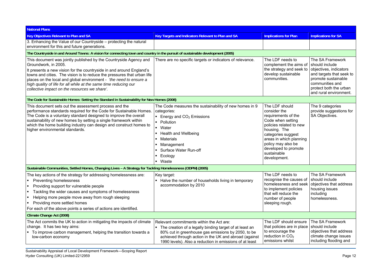| <b>National Plans</b>                                                                                                                                                                                                                                                                                                                                                                                                                   |                                                                                                                                                                                                                                                                                        |                                                                                                                                                                                                                                                     |                                                                                                                                                                                        |  |
|-----------------------------------------------------------------------------------------------------------------------------------------------------------------------------------------------------------------------------------------------------------------------------------------------------------------------------------------------------------------------------------------------------------------------------------------|----------------------------------------------------------------------------------------------------------------------------------------------------------------------------------------------------------------------------------------------------------------------------------------|-----------------------------------------------------------------------------------------------------------------------------------------------------------------------------------------------------------------------------------------------------|----------------------------------------------------------------------------------------------------------------------------------------------------------------------------------------|--|
| Key Objectives Relevant to Plan and SA                                                                                                                                                                                                                                                                                                                                                                                                  | Key Targets and Indicators Relevant to Plan and SA                                                                                                                                                                                                                                     | <b>Implications for Plan</b>                                                                                                                                                                                                                        | <b>Implications for SA</b>                                                                                                                                                             |  |
| 3. Enhancing the Value of our Countryside - protecting the natural<br>environment for this and future generations.                                                                                                                                                                                                                                                                                                                      |                                                                                                                                                                                                                                                                                        |                                                                                                                                                                                                                                                     |                                                                                                                                                                                        |  |
| The Countryside in and Around Towns: A vision for connecting town and country in the pursuit of sustainable development (2005)                                                                                                                                                                                                                                                                                                          |                                                                                                                                                                                                                                                                                        |                                                                                                                                                                                                                                                     |                                                                                                                                                                                        |  |
| This document was jointly published by the Countryside Agency and<br>Groundwork, in 2005.<br>It presents a new vision for the countryside in and around England's<br>towns and cities. The vision is to reduce the pressures that urban life<br>places on the local and global environment - 'the need to ensure a<br>high quality of life for all while at the same time reducing our<br>collective impact on the resources we share'. | There are no specific targets or indicators of relevance.                                                                                                                                                                                                                              | The LDF needs to<br>complement the aims of<br>the strategy and seek to<br>develop sustainable<br>communities.                                                                                                                                       | The SA Framework<br>should include<br>objectives, indicators<br>and targets that seek to<br>promote sustainable<br>communities and<br>protect both the urban<br>and rural environment. |  |
| The Code for Sustainable Homes: Setting the Standard in Sustainability for New Homes (2008)                                                                                                                                                                                                                                                                                                                                             |                                                                                                                                                                                                                                                                                        |                                                                                                                                                                                                                                                     |                                                                                                                                                                                        |  |
| This document sets out the assessment process and the<br>performance standards required for the Code for Sustainable Homes.<br>The Code is a voluntary standard designed to improve the overall<br>sustainability of new homes by setting a single framework within<br>which the home building industry can design and construct homes to<br>higher environmental standards.                                                            | The Code measures the sustainability of new homes in 9<br>categories:<br>$\blacksquare$ Energy and CO <sub>2</sub> Emissions<br>· Pollution<br>· Water<br>• Health and Wellbeing<br>• Materials<br>Management<br>٠.<br>Surface Water Run-off<br>$\blacksquare$<br>• Ecology<br>- Waste | The LDF should<br>consider the<br>requirements of the<br>Code when setting<br>policies related to new<br>housing. The<br>categories suggest<br>areas in which planning<br>policy may also be<br>developed to promote<br>sustainable<br>development. | The 9 categories<br>provide suggestions for<br>SA Objectives.                                                                                                                          |  |
| Sustainable Communities, Settled Homes, Changing Lives - A Strategy for Tackling Homelessness (ODPM) (2005)                                                                                                                                                                                                                                                                                                                             |                                                                                                                                                                                                                                                                                        |                                                                                                                                                                                                                                                     |                                                                                                                                                                                        |  |
| The key actions of the strategy for addressing homelessness are:<br><b>Preventing homelessness</b><br>٠<br>Providing support for vulnerable people<br>Tackling the wider causes and symptoms of homelessness<br>٠<br>Helping more people move away from rough sleeping<br>$\blacksquare$<br>Providing more settled homes<br>For each of the above points a series of actions are identified.                                            | Key target:<br>• Halve the number of households living in temporary<br>accommodation by 2010                                                                                                                                                                                           | The LDF needs to<br>recognise the causes of<br>homelessness and seek<br>to implement policies<br>that will reduce the<br>number of people<br>sleeping rough.                                                                                        | The SA Framework<br>should include<br>objectives that address<br>housing issues<br>including<br>homelessness.                                                                          |  |
| Climate Change Act (2008)                                                                                                                                                                                                                                                                                                                                                                                                               |                                                                                                                                                                                                                                                                                        |                                                                                                                                                                                                                                                     |                                                                                                                                                                                        |  |
| The Act commits the UK to action in mitigating the impacts of climate<br>change. It has two key aims:<br>• To improve carbon management, helping the transition towards a<br>low-carbon economy                                                                                                                                                                                                                                         | Relevant commitments within the Act are:<br>The creation of a legally binding target of at least an<br>80% cut in greenhouse gas emissions by 2050, to be<br>achieved through action in the UK and abroad (against<br>1990 levels). Also a reduction in emissions of at least          | The LDF should ensure<br>that policies are in place<br>to encourage the<br>reduction in CO <sub>2</sub><br>emissions whilst                                                                                                                         | The SA Framework<br>should include<br>objectives that address<br>climate change issues<br>including flooding and                                                                       |  |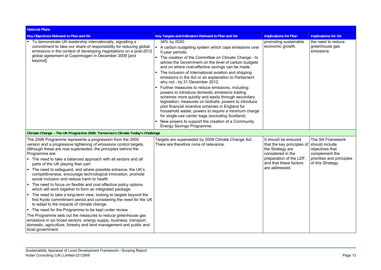| <b>National Plans</b>                                                                                                                                                                                                                                                                                                                                                                                                                                                                                                                                                                                                                                                                                                                                                                                                                                                                                                                                                                                                                                                                                                    |                                                                                                                                                                                                                                                                                                                                                                                                                                                                                                                                                                                                                                                                                                                                                                                                                                                                                     |                                                                                                                                                                    |                                                                                                                           |
|--------------------------------------------------------------------------------------------------------------------------------------------------------------------------------------------------------------------------------------------------------------------------------------------------------------------------------------------------------------------------------------------------------------------------------------------------------------------------------------------------------------------------------------------------------------------------------------------------------------------------------------------------------------------------------------------------------------------------------------------------------------------------------------------------------------------------------------------------------------------------------------------------------------------------------------------------------------------------------------------------------------------------------------------------------------------------------------------------------------------------|-------------------------------------------------------------------------------------------------------------------------------------------------------------------------------------------------------------------------------------------------------------------------------------------------------------------------------------------------------------------------------------------------------------------------------------------------------------------------------------------------------------------------------------------------------------------------------------------------------------------------------------------------------------------------------------------------------------------------------------------------------------------------------------------------------------------------------------------------------------------------------------|--------------------------------------------------------------------------------------------------------------------------------------------------------------------|---------------------------------------------------------------------------------------------------------------------------|
| Key Objectives Relevant to Plan and SA                                                                                                                                                                                                                                                                                                                                                                                                                                                                                                                                                                                                                                                                                                                                                                                                                                                                                                                                                                                                                                                                                   | Key Targets and Indicators Relevant to Plan and SA                                                                                                                                                                                                                                                                                                                                                                                                                                                                                                                                                                                                                                                                                                                                                                                                                                  | <b>Implications for Plan</b>                                                                                                                                       | <b>Implications for SA</b>                                                                                                |
| To demonstrate UK leadership internationally, signalling a<br>commitment to take our share of responsibility for reducing global<br>emissions in the context of developing negotiations on a post-2012<br>global agreement at Copenhagen in December 2009 [and<br>beyond].                                                                                                                                                                                                                                                                                                                                                                                                                                                                                                                                                                                                                                                                                                                                                                                                                                               | 34% by 2020.<br>A carbon budgeting system which caps emissions over<br>5-year periods.<br>The creation of the Committee on Climate Change - to<br>advise the Government on the level of carbon budgets<br>and on where cost-effective savings can be made.<br>The inclusion of International aviation and shipping<br>emissions in the Act or an explanation to Parliament<br>why not - by 31 December 2012.<br>Further measures to reduce emissions, including:<br>powers to introduce domestic emissions trading<br>schemes more quickly and easily through secondary<br>legislation; measures on biofuels; powers to introduce<br>pilot financial incentive schemes in England for<br>household waste; powers to require a minimum charge<br>for single-use carrier bags (excluding Scotland).<br>New powers to support the creation of a Community<br>Energy Savings Programme. | promoting sustainable<br>economic growth.                                                                                                                          | the need to reduce<br>greenhouse gas<br>emissions.                                                                        |
| Climate Change - The UK Programme 2006: Tomorrow's Climate Today's Challenge                                                                                                                                                                                                                                                                                                                                                                                                                                                                                                                                                                                                                                                                                                                                                                                                                                                                                                                                                                                                                                             |                                                                                                                                                                                                                                                                                                                                                                                                                                                                                                                                                                                                                                                                                                                                                                                                                                                                                     |                                                                                                                                                                    |                                                                                                                           |
| The 2006 Programme represents a progression from the 2000<br>version and a progressive tightening of emissions control targets.<br>Although these are now superseded, the principles behind the<br>Programme are:<br>• The need to take a balanced approach with all sectors and all<br>parts of the UK playing their part<br>• The need to safeguard, and where possible enhance, the UK's<br>competitiveness, encourage technological innovation, promote<br>social inclusion and reduce harm to health<br>• The need to focus on flexible and cost effective policy options<br>which will work together to form an integrated package<br>The need to take a long-term view, looking to targets beyond the<br>first Kyoto commitment period and considering the need for the UK<br>to adapt to the impacts of climate change<br>• The need for the Programme to be kept under review<br>The Programme sets out the measures to reduce greenhouse gas<br>emissions in six broad sectors: energy supply, business, transport,<br>domestic, agriculture, forestry and land management and public and<br>local government. | Targets are superseded by 2008 Climate Change Act.<br>There are therefore none of relevance.                                                                                                                                                                                                                                                                                                                                                                                                                                                                                                                                                                                                                                                                                                                                                                                        | It should be ensured<br>that the key principles of<br>the Strategy are<br>considered in the<br>preparation of the LDF,<br>and that these factors<br>are addressed. | The SA Framework<br>should include<br>objectives that<br>complement the<br>priorities and principles<br>of this Strategy. |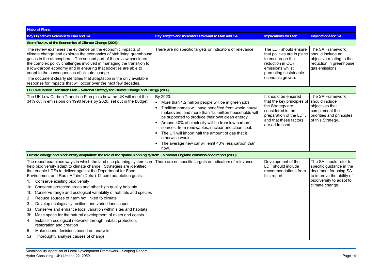| <b>National Plans</b>                                                                                                                                                                                                                                                                                                                                                                                                                                                                                                                                                                                                                                                                                                                                                                                                                                                                                                                     |                                                                                                                                                                                                                                                                                                                                                                                                                                                                                                                         |                                                                                                                                                                          |                                                                                                                                                         |
|-------------------------------------------------------------------------------------------------------------------------------------------------------------------------------------------------------------------------------------------------------------------------------------------------------------------------------------------------------------------------------------------------------------------------------------------------------------------------------------------------------------------------------------------------------------------------------------------------------------------------------------------------------------------------------------------------------------------------------------------------------------------------------------------------------------------------------------------------------------------------------------------------------------------------------------------|-------------------------------------------------------------------------------------------------------------------------------------------------------------------------------------------------------------------------------------------------------------------------------------------------------------------------------------------------------------------------------------------------------------------------------------------------------------------------------------------------------------------------|--------------------------------------------------------------------------------------------------------------------------------------------------------------------------|---------------------------------------------------------------------------------------------------------------------------------------------------------|
| Key Objectives Relevant to Plan and SA                                                                                                                                                                                                                                                                                                                                                                                                                                                                                                                                                                                                                                                                                                                                                                                                                                                                                                    | Key Targets and Indicators Relevant to Plan and SA                                                                                                                                                                                                                                                                                                                                                                                                                                                                      | <b>Implications for Plan</b>                                                                                                                                             | <b>Implications for SA</b>                                                                                                                              |
| Stern Review of the Economics of Climate Change (2006)                                                                                                                                                                                                                                                                                                                                                                                                                                                                                                                                                                                                                                                                                                                                                                                                                                                                                    |                                                                                                                                                                                                                                                                                                                                                                                                                                                                                                                         |                                                                                                                                                                          |                                                                                                                                                         |
| The review examines the evidence on the economic impacts of<br>climate change and explores the economics of stabilising greenhouse<br>gases in the atmosphere. The second part of the review considers<br>the complex policy challenges involved in managing the transition to<br>a low-carbon economy and in ensuring that societies are able to<br>adapt to the consequences of climate change.<br>The document clearly identifies that adaptation is the only available<br>response for impacts that will occur over the next few decades.                                                                                                                                                                                                                                                                                                                                                                                             | There are no specific targets or indicators of relevance.                                                                                                                                                                                                                                                                                                                                                                                                                                                               | The LDF should ensure<br>that policies are in place<br>to encourage the<br>reduction in CO <sub>2</sub><br>emissions whilst<br>promoting sustainable<br>economic growth. | The SA Framework<br>should include an<br>objective relating to the<br>reduction in greenhouse<br>gas emissions.                                         |
| UK Low Carbon Transition Plan - National Strategy for Climate Change and Energy (2009)                                                                                                                                                                                                                                                                                                                                                                                                                                                                                                                                                                                                                                                                                                                                                                                                                                                    |                                                                                                                                                                                                                                                                                                                                                                                                                                                                                                                         |                                                                                                                                                                          |                                                                                                                                                         |
| The UK Low Carbon Transition Plan plots how the UK will meet the<br>34% cut in emissions on 1990 levels by 2020, set out in the budget.                                                                                                                                                                                                                                                                                                                                                                                                                                                                                                                                                                                                                                                                                                                                                                                                   | By 2020:<br>$\blacksquare$<br>More than 1.2 million people will be in green jobs.<br>7 million homes will have benefited from whole house<br>$\blacksquare$<br>makeovers, and more than 1.5 million households will<br>be supported to produce their own clean energy.<br>Around 40% of electricity will be from low-carbon<br>sources, from renewables, nuclear and clean coal.<br>The UK will import half the amount of gas that it<br>otherwise would.<br>The average new car will emit 40% less carbon than<br>now. | It should be ensured<br>that the key principles of<br>the Strategy are<br>considered in the<br>preparation of the LDF,<br>and that these factors<br>are addressed.       | The SA Framework<br>should include<br>objectives that<br>complement the<br>priorities and principles<br>of this Strategy.                               |
| Climate change and biodiversity adaptation: the role of the spatial planning system - a Natural England commissioned report (2009)                                                                                                                                                                                                                                                                                                                                                                                                                                                                                                                                                                                                                                                                                                                                                                                                        |                                                                                                                                                                                                                                                                                                                                                                                                                                                                                                                         |                                                                                                                                                                          |                                                                                                                                                         |
| The report examines ways in which the land use planning system can<br>help biodiversity adapt to climate change. Strategies are identified<br>that enable LDFs to deliver against the Department for Food,<br>Environment and Rural Affairs' (Defra) 12 core adaptation goals:<br>Conserve existing biodiversity<br>1.<br>Conserve protected areas and other high quality habitats<br>1a<br>Conserve range and ecological variability of habitats and species<br>1b<br>$\overline{2}$<br>Reduce sources of harm not linked to climate<br>3<br>Develop ecologically resilient and varied landscapes<br>Conserve and enhance local variation within sites and habitats<br>Зa<br>Make space for the natural development of rivers and coasts<br>3b<br>Establish ecological networks through habitat protection,<br>4<br>restoration and creation<br>Make sound decisions based on analysis<br>5<br>Thoroughly analyse causes of change<br>5a | There are no specific targets or indicators of relevance.                                                                                                                                                                                                                                                                                                                                                                                                                                                               | Development of the<br>LDF should include<br>recommendations from<br>this report                                                                                          | The SA should refer to<br>specific guidance in the<br>document for using SA<br>to improve the ability of<br>biodiversity to adapt to<br>climate change. |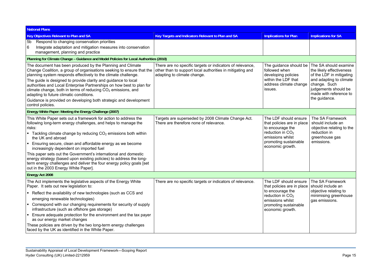| <b>National Plans</b>                                                                                                                                                                                                                                                                                                                                                                                                                                                                                                                                                                                                     |                                                                                                                                                       |                                                                                                                                                                |                                                                                                                                                                                             |  |
|---------------------------------------------------------------------------------------------------------------------------------------------------------------------------------------------------------------------------------------------------------------------------------------------------------------------------------------------------------------------------------------------------------------------------------------------------------------------------------------------------------------------------------------------------------------------------------------------------------------------------|-------------------------------------------------------------------------------------------------------------------------------------------------------|----------------------------------------------------------------------------------------------------------------------------------------------------------------|---------------------------------------------------------------------------------------------------------------------------------------------------------------------------------------------|--|
| Key Objectives Relevant to Plan and SA                                                                                                                                                                                                                                                                                                                                                                                                                                                                                                                                                                                    | Key Targets and Indicators Relevant to Plan and SA                                                                                                    | <b>Implications for Plan</b>                                                                                                                                   | <b>Implications for SA</b>                                                                                                                                                                  |  |
| Respond to changing conservation priorities<br>5 <sub>b</sub>                                                                                                                                                                                                                                                                                                                                                                                                                                                                                                                                                             |                                                                                                                                                       |                                                                                                                                                                |                                                                                                                                                                                             |  |
| Integrate adaptation and mitigation measures into conservation<br>6<br>management, planning and practice                                                                                                                                                                                                                                                                                                                                                                                                                                                                                                                  |                                                                                                                                                       |                                                                                                                                                                |                                                                                                                                                                                             |  |
| Planning for Climate Change - Guidance and Model Policies for Local Authorities (2010)                                                                                                                                                                                                                                                                                                                                                                                                                                                                                                                                    |                                                                                                                                                       |                                                                                                                                                                |                                                                                                                                                                                             |  |
| The document has been produced by the Planning and Climate<br>Change Coalition, a group of organisations seeking to ensure that the<br>planning system responds effectively to the climate challenge.<br>The guide is designed to provide clarity and guidance to local<br>authorities and Local Enterprise Partnerships on how best to plan for<br>climate change, both in terms of reducing CO <sub>2</sub> emissions, and<br>adapting to future climatic conditions.<br>Guidance is provided on developing both strategic and development<br>control policies.                                                         | There are no specific targets or indicators of relevance,<br>other than to support local authorities in mitigating and<br>adapting to climate change. | The guidance should be<br>followed when<br>developing policies<br>within the LDF that<br>address climate change<br>issues.                                     | The SA should examine<br>the likely effectiveness<br>of the LDF in mitigating<br>and adapting to climate<br>change. Such<br>judgements should be<br>made with reference to<br>the guidance. |  |
| Energy White Paper: Meeting the Energy Challenge (2007)                                                                                                                                                                                                                                                                                                                                                                                                                                                                                                                                                                   |                                                                                                                                                       |                                                                                                                                                                |                                                                                                                                                                                             |  |
| This White Paper sets out a framework for action to address the<br>following long-term energy challenges, and helps to manage the<br>risks:<br><b>Tackling climate change by reducing <math>CO2</math> emissions both within</b><br>the UK and abroad<br>• Ensuring secure, clean and affordable energy as we become<br>increasingly dependent on imported fuel<br>This paper sets out the Government's international and domestic<br>energy strategy (based upon existing policies) to address the long-<br>term energy challenges and deliver the four energy policy goals [set<br>out in the 2003 Energy White Paper]. | Targets are superseded by 2008 Climate Change Act.<br>There are therefore none of relevance.                                                          | The LDF should ensure<br>that policies are in place<br>to encourage the<br>reduction in $CO2$<br>emissions whilst<br>promoting sustainable<br>economic growth. | The SA Framework<br>should include an<br>objective relating to the<br>reduction in<br>greenhouse gas<br>emissions.                                                                          |  |
| Energy Act 2008                                                                                                                                                                                                                                                                                                                                                                                                                                                                                                                                                                                                           |                                                                                                                                                       |                                                                                                                                                                |                                                                                                                                                                                             |  |
| The Act implements the legislative aspects of the Energy White<br>Paper. It sets out new legislation to:                                                                                                                                                                                                                                                                                                                                                                                                                                                                                                                  | There are no specific targets or indicators of relevance.                                                                                             | The LDF should ensure<br>that policies are in place                                                                                                            | The SA Framework<br>should include an                                                                                                                                                       |  |
| • Reflect the availability of new technologies (such as CCS and                                                                                                                                                                                                                                                                                                                                                                                                                                                                                                                                                           |                                                                                                                                                       | to encourage the<br>reduction in $CO2$<br>emissions whilst                                                                                                     | objective relating to<br>minimising greenhouse                                                                                                                                              |  |
| emerging renewable technologies)                                                                                                                                                                                                                                                                                                                                                                                                                                                                                                                                                                                          |                                                                                                                                                       |                                                                                                                                                                | gas emissions.                                                                                                                                                                              |  |
| • Correspond with our changing requirements for security of supply<br>infrastructure (such as offshore gas storage)                                                                                                                                                                                                                                                                                                                                                                                                                                                                                                       |                                                                                                                                                       | promoting sustainable<br>economic growth.                                                                                                                      |                                                                                                                                                                                             |  |
| • Ensure adequate protection for the environment and the tax payer<br>as our energy market changes                                                                                                                                                                                                                                                                                                                                                                                                                                                                                                                        |                                                                                                                                                       |                                                                                                                                                                |                                                                                                                                                                                             |  |
| These policies are driven by the two long-term energy challenges<br>faced by the UK as identified in the White Paper.                                                                                                                                                                                                                                                                                                                                                                                                                                                                                                     |                                                                                                                                                       |                                                                                                                                                                |                                                                                                                                                                                             |  |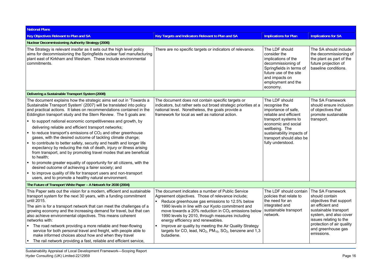| <b>National Plans</b>                                                                                                                                                                                                                                                                                                                                                                                                                                                                                                                                                                                                                                                                                                                                                                                                                                                                                                                                                                                                                                       |                                                                                                                                                                                                                                                                                                                                                                                                                                                                                                           |                                                                                                                                                                                                                                 |                                                                                                                                                                                                                                 |
|-------------------------------------------------------------------------------------------------------------------------------------------------------------------------------------------------------------------------------------------------------------------------------------------------------------------------------------------------------------------------------------------------------------------------------------------------------------------------------------------------------------------------------------------------------------------------------------------------------------------------------------------------------------------------------------------------------------------------------------------------------------------------------------------------------------------------------------------------------------------------------------------------------------------------------------------------------------------------------------------------------------------------------------------------------------|-----------------------------------------------------------------------------------------------------------------------------------------------------------------------------------------------------------------------------------------------------------------------------------------------------------------------------------------------------------------------------------------------------------------------------------------------------------------------------------------------------------|---------------------------------------------------------------------------------------------------------------------------------------------------------------------------------------------------------------------------------|---------------------------------------------------------------------------------------------------------------------------------------------------------------------------------------------------------------------------------|
| Key Objectives Relevant to Plan and SA                                                                                                                                                                                                                                                                                                                                                                                                                                                                                                                                                                                                                                                                                                                                                                                                                                                                                                                                                                                                                      | Key Targets and Indicators Relevant to Plan and SA                                                                                                                                                                                                                                                                                                                                                                                                                                                        | <b>Implications for Plan</b>                                                                                                                                                                                                    | <b>Implications for SA</b>                                                                                                                                                                                                      |
| <b>Nuclear Decommissioning Authority Strategy (2006)</b>                                                                                                                                                                                                                                                                                                                                                                                                                                                                                                                                                                                                                                                                                                                                                                                                                                                                                                                                                                                                    |                                                                                                                                                                                                                                                                                                                                                                                                                                                                                                           |                                                                                                                                                                                                                                 |                                                                                                                                                                                                                                 |
| The Strategy is relevant insofar as it sets out the high level policy<br>aims for decommissioning the Springfields nuclear fuel manufacturing<br>plant east of Kirkham and Wesham. These include environmental<br>commitments.                                                                                                                                                                                                                                                                                                                                                                                                                                                                                                                                                                                                                                                                                                                                                                                                                              | There are no specific targets or indicators of relevance.                                                                                                                                                                                                                                                                                                                                                                                                                                                 | The LDF should<br>consider the<br>implications of the<br>decommissioning of<br>Springfields in terms of<br>future use of the site<br>and impacts on<br>employment and the<br>economy.                                           | The SA should include<br>the decommissioning of<br>the plant as part of the<br>future projection of<br>baseline conditions.                                                                                                     |
| Delivering a Sustainable Transport System (2008)                                                                                                                                                                                                                                                                                                                                                                                                                                                                                                                                                                                                                                                                                                                                                                                                                                                                                                                                                                                                            |                                                                                                                                                                                                                                                                                                                                                                                                                                                                                                           |                                                                                                                                                                                                                                 |                                                                                                                                                                                                                                 |
| The document explains how the strategic aims set out in 'Towards a<br>Sustainable Transport System' (2007) will be translated into policy<br>and practical actions. It takes on recommendations contained in the<br>Eddington transport study and the Stern Review. The 5 goals are:<br>• to support national economic competitiveness and growth, by<br>delivering reliable and efficient transport networks;<br>$\bullet$ to reduce transport's emissions of $CO2$ and other greenhouse<br>gases, with the desired outcome of tackling climate change;<br>to contribute to better safety, security and health and longer life<br>expectancy by reducing the risk of death, injury or illness arising<br>from transport, and by promoting travel modes that are beneficial<br>to health;<br>• to promote greater equality of opportunity for all citizens, with the<br>desired outcome of achieving a fairer society; and<br>to improve quality of life for transport users and non-transport<br>٠<br>users, and to promote a healthy natural environment. | The document does not contain specific targets or<br>indicators, but rather sets out broad strategic priorities at a<br>national level. Nonetheless, the goals provide a<br>framework for local as well as national action.                                                                                                                                                                                                                                                                               | The LDF should<br>recognise the<br>importance of safe,<br>reliable and efficient<br>transport systems to<br>economic and social<br>wellbeing. The<br>sustainability impacts of<br>transport should also be<br>fully understood. | The SA Framework<br>should ensure inclusion<br>of objectives that<br>promote sustainable<br>transport.                                                                                                                          |
| The Future of Transport White Paper - A Network for 2030 (2004)                                                                                                                                                                                                                                                                                                                                                                                                                                                                                                                                                                                                                                                                                                                                                                                                                                                                                                                                                                                             |                                                                                                                                                                                                                                                                                                                                                                                                                                                                                                           |                                                                                                                                                                                                                                 |                                                                                                                                                                                                                                 |
| This Paper sets out the vision for a modern, efficient and sustainable<br>transport system for the next 30 years, with a funding commitment<br>until 2015.<br>The aim is for a transport network that can meet the challenges of a<br>growing economy and the increasing demand for travel, but that can<br>also achieve environmental objectives. This means coherent<br>networks with:<br>The road network providing a more reliable and freer-flowing<br>service for both personal travel and freight, with people able to<br>make informed choices about how and when they travel<br>The rail network providing a fast, reliable and efficient service,                                                                                                                                                                                                                                                                                                                                                                                                 | The document indicates a number of Public Service<br>Agreement objectives. Those of relevance include;<br>Reduce greenhouse gas emissions to 12.5% below<br>1990 levels in line with our Kyoto commitment and<br>move towards a 20% reduction in $CO2$ emissions below<br>1990 levels by 2010, through measures including<br>energy efficiency and renewables.<br>Improve air quality by meeting the Air Quality Strategy<br>targets for CO, lead, $NO2$ , $PM10$ , $SO2$ , benzene and 1,3<br>butadiene. | The LDF should contain<br>policies that relate to<br>the need for an<br>integrated and<br>sustainable transport<br>network.                                                                                                     | The SA Framework<br>should contain<br>objectives that support<br>an efficient and<br>sustainable transport<br>system, and also cover<br>issues relating to the<br>protection of air quality<br>and greenhouse gas<br>emissions. |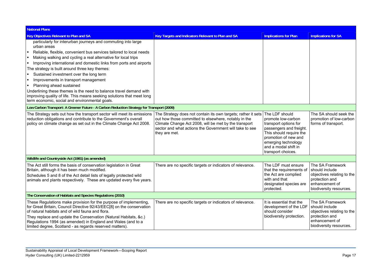| <b>National Plans</b>                                                                                                                                                                                                                                                                                                                                                                          |                                                                                                                                                                                                                                                            |                                                                                                                                                                                                                  |                                                                                                                                 |
|------------------------------------------------------------------------------------------------------------------------------------------------------------------------------------------------------------------------------------------------------------------------------------------------------------------------------------------------------------------------------------------------|------------------------------------------------------------------------------------------------------------------------------------------------------------------------------------------------------------------------------------------------------------|------------------------------------------------------------------------------------------------------------------------------------------------------------------------------------------------------------------|---------------------------------------------------------------------------------------------------------------------------------|
| Key Objectives Relevant to Plan and SA                                                                                                                                                                                                                                                                                                                                                         | Key Targets and Indicators Relevant to Plan and SA                                                                                                                                                                                                         | <b>Implications for Plan</b>                                                                                                                                                                                     | <b>Implications for SA</b>                                                                                                      |
| particularly for interurban journeys and commuting into large<br>urban areas                                                                                                                                                                                                                                                                                                                   |                                                                                                                                                                                                                                                            |                                                                                                                                                                                                                  |                                                                                                                                 |
| Reliable, flexible, convenient bus services tailored to local needs                                                                                                                                                                                                                                                                                                                            |                                                                                                                                                                                                                                                            |                                                                                                                                                                                                                  |                                                                                                                                 |
| Making walking and cycling a real alternative for local trips                                                                                                                                                                                                                                                                                                                                  |                                                                                                                                                                                                                                                            |                                                                                                                                                                                                                  |                                                                                                                                 |
| Improving international and domestic links from ports and airports                                                                                                                                                                                                                                                                                                                             |                                                                                                                                                                                                                                                            |                                                                                                                                                                                                                  |                                                                                                                                 |
| The strategy is built around three key themes:                                                                                                                                                                                                                                                                                                                                                 |                                                                                                                                                                                                                                                            |                                                                                                                                                                                                                  |                                                                                                                                 |
| Sustained investment over the long term                                                                                                                                                                                                                                                                                                                                                        |                                                                                                                                                                                                                                                            |                                                                                                                                                                                                                  |                                                                                                                                 |
| Improvements in transport management                                                                                                                                                                                                                                                                                                                                                           |                                                                                                                                                                                                                                                            |                                                                                                                                                                                                                  |                                                                                                                                 |
| Planning ahead sustained                                                                                                                                                                                                                                                                                                                                                                       |                                                                                                                                                                                                                                                            |                                                                                                                                                                                                                  |                                                                                                                                 |
| Underlining these themes is the need to balance travel demand with<br>improving quality of life. This means seeking solutions that meet long<br>term economic, social and environmental goals.                                                                                                                                                                                                 |                                                                                                                                                                                                                                                            |                                                                                                                                                                                                                  |                                                                                                                                 |
| Low Carbon Transport: A Greener Future - A Carbon Reduction Strategy for Transport (2009)                                                                                                                                                                                                                                                                                                      |                                                                                                                                                                                                                                                            |                                                                                                                                                                                                                  |                                                                                                                                 |
| The Strategy sets out how the transport sector will meet its emissions<br>reduction obligations and contribute to the Government's overall<br>policy on climate change as set out in the Climate Change Act 2008.                                                                                                                                                                              | The Strategy does not contain its own targets; rather it sets<br>out how those committed to elsewhere, notably in the<br>Climate Change Act 2008, will be met by the transport<br>sector and what actions the Government will take to see<br>they are met. | The LDF should<br>promote low-carbon<br>transport options for<br>passengers and freight.<br>This should require the<br>promotion of new and<br>emerging technology<br>and a modal shift in<br>transport choices. | The SA should seek the<br>promotion of low-carbon<br>forms of transport.                                                        |
| Wildlife and Countryside Act (1981) (as amended)                                                                                                                                                                                                                                                                                                                                               |                                                                                                                                                                                                                                                            |                                                                                                                                                                                                                  |                                                                                                                                 |
| The Act still forms the basis of conservation legislation in Great<br>Britain, although it has been much modified.<br>Schedules 5 and 8 of the Act detail lists of legally protected wild<br>animals and plants respectively. These are updated every five years.                                                                                                                              | There are no specific targets or indicators of relevance.                                                                                                                                                                                                  | The LDF must ensure<br>that the requirements of<br>the Act are complied<br>with and that<br>designated species are<br>protected.                                                                                 | The SA Framework<br>should include<br>objectives relating to the<br>protection and<br>enhancement of<br>biodiversity resources. |
| The Conservation of Habitats and Species Regulations (2010)                                                                                                                                                                                                                                                                                                                                    |                                                                                                                                                                                                                                                            |                                                                                                                                                                                                                  |                                                                                                                                 |
| These Regulations make provision for the purpose of implementing,<br>for Great Britain, Council Directive 92/43/EEC[8] on the conservation<br>of natural habitats and of wild fauna and flora.<br>They replace and update the Conservation (Natural Habitats, &c.)<br>Regulations 1994 (as amended) in England and Wales (and to a<br>limited degree, Scotland - as regards reserved matters). | There are no specific targets or indicators of relevance.                                                                                                                                                                                                  | It is essential that the<br>development of the LDF<br>should consider<br>biodiversity protection.                                                                                                                | The SA Framework<br>should include<br>objectives relating to the<br>protection and<br>enhancement of<br>biodiversity resources. |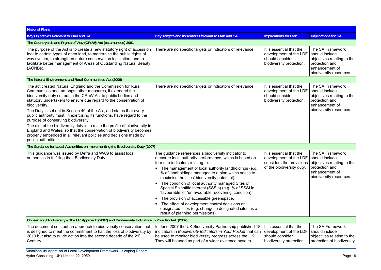| <b>National Plans</b>                                                                                                                                                                                                                                                                                                                                                                                                                                                                                                                                                                                                                                                                                                     |                                                                                                                                                                                                                                                                                                                                                                                                                                                                                                                                                                                                                                                                                    |                                                                                                             |                                                                                                                                 |
|---------------------------------------------------------------------------------------------------------------------------------------------------------------------------------------------------------------------------------------------------------------------------------------------------------------------------------------------------------------------------------------------------------------------------------------------------------------------------------------------------------------------------------------------------------------------------------------------------------------------------------------------------------------------------------------------------------------------------|------------------------------------------------------------------------------------------------------------------------------------------------------------------------------------------------------------------------------------------------------------------------------------------------------------------------------------------------------------------------------------------------------------------------------------------------------------------------------------------------------------------------------------------------------------------------------------------------------------------------------------------------------------------------------------|-------------------------------------------------------------------------------------------------------------|---------------------------------------------------------------------------------------------------------------------------------|
| Key Objectives Relevant to Plan and SA                                                                                                                                                                                                                                                                                                                                                                                                                                                                                                                                                                                                                                                                                    | Key Targets and Indicators Relevant to Plan and SA                                                                                                                                                                                                                                                                                                                                                                                                                                                                                                                                                                                                                                 | <b>Implications for Plan</b>                                                                                | <b>Implications for SA</b>                                                                                                      |
| The Countryside and Rights of Way (CRoW) Act (as amended) 2001                                                                                                                                                                                                                                                                                                                                                                                                                                                                                                                                                                                                                                                            |                                                                                                                                                                                                                                                                                                                                                                                                                                                                                                                                                                                                                                                                                    |                                                                                                             |                                                                                                                                 |
| The purpose of the Act is to create a new statutory right of access on<br>foot to certain types of open land, to modernise the public rights of<br>way system, to strengthen nature conservation legislation, and to<br>facilitate better management of Areas of Outstanding Natural Beauty<br>(AONBs).                                                                                                                                                                                                                                                                                                                                                                                                                   | There are no specific targets or indicators of relevance.                                                                                                                                                                                                                                                                                                                                                                                                                                                                                                                                                                                                                          | It is essential that the<br>development of the LDF<br>should consider<br>biodiversity protection.           | The SA Framework<br>should include<br>objectives relating to the<br>protection and<br>enhancement of<br>biodiversity resources. |
| The Natural Environment and Rural Communities Act (2006)                                                                                                                                                                                                                                                                                                                                                                                                                                                                                                                                                                                                                                                                  |                                                                                                                                                                                                                                                                                                                                                                                                                                                                                                                                                                                                                                                                                    |                                                                                                             |                                                                                                                                 |
| The act created Natural England and the Commission for Rural<br>Communities and, amongst other measures, it extended the<br>biodiversity duty set out in the CRoW Act to public bodies and<br>statutory undertakers to ensure due regard to the conservation of<br>biodiversity.<br>The Duty is set out in Section 40 of the Act, and states that every<br>public authority must, in exercising its functions, have regard to the<br>purpose of conserving biodiversity.<br>The aim of the biodiversity duty is to raise the profile of biodiversity in<br>England and Wales, so that the conservation of biodiversity becomes<br>properly embedded in all relevant policies and decisions made by<br>public authorities. | There are no specific targets or indicators of relevance.                                                                                                                                                                                                                                                                                                                                                                                                                                                                                                                                                                                                                          | It is essential that the<br>development of the LDF<br>should consider<br>biodiversity protection.           | The SA Framework<br>should include<br>objectives relating to the<br>protection and<br>enhancement of<br>biodiversity resources. |
| The Guidance for Local Authorities on Implementing the Biodiversity Duty (2007)                                                                                                                                                                                                                                                                                                                                                                                                                                                                                                                                                                                                                                           |                                                                                                                                                                                                                                                                                                                                                                                                                                                                                                                                                                                                                                                                                    |                                                                                                             |                                                                                                                                 |
| This guidance was issued by Defra and WAG to assist local<br>authorities in fulfilling their Biodiversity Duty.                                                                                                                                                                                                                                                                                                                                                                                                                                                                                                                                                                                                           | The guidance references a biodiversity indicator to<br>measure local authority performance, which is based on<br>four sub-indicators relating to:<br>The management of local authority landholdings (e.g.<br>% of landholdings managed to a plan which seeks to<br>maximise the sites' biodiversity potential).<br>The condition of local authority managed Sites of<br>Special Scientific Interest (SSSIs) (e.g. % of SSSI in<br>'favourable' or 'unfavourable recovering' condition).<br>The provision of accessible greenspace.<br>The effect of development control decisions on<br>designated sites (e.g. change in designated sites as a<br>result of planning permissions). | It is essential that the<br>development of the LDF<br>considers the provisions<br>of the biodiversity duty. | The SA Framework<br>should include<br>objectives relating to the<br>protection and<br>enhancement of<br>biodiversity resources. |
| Conserving Biodiversity - The UK Approach (2007) and Biodiversity Indicators in Your Pocket (2007)                                                                                                                                                                                                                                                                                                                                                                                                                                                                                                                                                                                                                        |                                                                                                                                                                                                                                                                                                                                                                                                                                                                                                                                                                                                                                                                                    |                                                                                                             |                                                                                                                                 |
| The document sets out an approach to biodiversity conservation that<br>is designed to meet the commitment to halt the loss of biodiversity by<br>2010 but also to guide action into the second decade of the 21 <sup>st</sup><br>Century.                                                                                                                                                                                                                                                                                                                                                                                                                                                                                 | In June 2007 the UK Biodiversity Partnership published 18<br>indicators in Biodiversity Indicators in Your Pocket that can<br>be used to monitor biodiversity progress across the UK.<br>They will be used as part of a wider evidence base to                                                                                                                                                                                                                                                                                                                                                                                                                                     | It is essential that the<br>development of the LDF<br>should consider<br>biodiversity protection.           | The SA Framework<br>should include<br>objectives relating to the<br>protection of biodiversity                                  |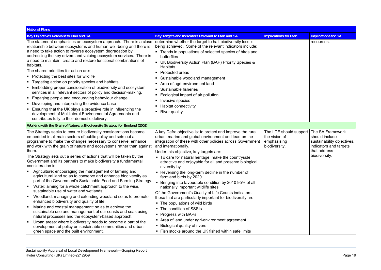| <b>National Plans</b>                                                                                                                                                                                                                                                                                                                                                                                                                                                                                                                                                                                                                                                                                                                                                                                                                                                                                                                                                                                                                                                                                                                                                                                                                                            |                                                                                                                                                                                                                                                                                                                                                                                                                                                                                                                                                                                                                                                                                                                                                                                                                                                                                                                                       |                                                                         |                                                                                                                             |
|------------------------------------------------------------------------------------------------------------------------------------------------------------------------------------------------------------------------------------------------------------------------------------------------------------------------------------------------------------------------------------------------------------------------------------------------------------------------------------------------------------------------------------------------------------------------------------------------------------------------------------------------------------------------------------------------------------------------------------------------------------------------------------------------------------------------------------------------------------------------------------------------------------------------------------------------------------------------------------------------------------------------------------------------------------------------------------------------------------------------------------------------------------------------------------------------------------------------------------------------------------------|---------------------------------------------------------------------------------------------------------------------------------------------------------------------------------------------------------------------------------------------------------------------------------------------------------------------------------------------------------------------------------------------------------------------------------------------------------------------------------------------------------------------------------------------------------------------------------------------------------------------------------------------------------------------------------------------------------------------------------------------------------------------------------------------------------------------------------------------------------------------------------------------------------------------------------------|-------------------------------------------------------------------------|-----------------------------------------------------------------------------------------------------------------------------|
| Key Objectives Relevant to Plan and SA                                                                                                                                                                                                                                                                                                                                                                                                                                                                                                                                                                                                                                                                                                                                                                                                                                                                                                                                                                                                                                                                                                                                                                                                                           | <b>Key Targets and Indicators Relevant to Plan and SA</b>                                                                                                                                                                                                                                                                                                                                                                                                                                                                                                                                                                                                                                                                                                                                                                                                                                                                             | <b>Implications for Plan</b>                                            | <b>Implications for SA</b>                                                                                                  |
| The statement emphasises an ecosystem approach. There is a close<br>relationship between ecosystems and human well-being and there is<br>a need to take action to reverse ecosystem degradation by<br>addressing the key drivers and valuing ecosystem services. There is<br>a need to maintain, create and restore functional combinations of<br>habitats.<br>The shared priorities for action are:<br>• Protecting the best sites for wildlife<br>Targeting action on priority species and habitats<br>Embedding proper consideration of biodiversity and ecosystem<br>services in all relevant sectors of policy and decision-making.<br>Engaging people and encouraging behaviour change<br>Developing and interpreting the evidence base<br>Ensuring that the UK plays a proactive role in influencing the<br>development of Multilateral Environmental Agreements and<br>contributes fully to their domestic delivery.                                                                                                                                                                                                                                                                                                                                     | determine whether the target to halt biodiversity loss is<br>being achieved. Some of the relevant indicators include:<br>Trends in populations of selected species of birds and<br>butterflies<br>• UK Biodiversity Action Plan (BAP) Priority Species &<br><b>Habitats</b><br><b>Protected areas</b><br>Sustainable woodland management<br>Area of agri-environment land<br>Sustainable fisheries<br>$\blacksquare$<br>Ecological impact of air pollution<br>п<br>Invasive species<br>п<br><b>Habitat connectivity</b><br>River quality<br>٠                                                                                                                                                                                                                                                                                                                                                                                         |                                                                         | resources.                                                                                                                  |
| Working with the Grain of Nature: a Biodiversity Strategy for England (2002)                                                                                                                                                                                                                                                                                                                                                                                                                                                                                                                                                                                                                                                                                                                                                                                                                                                                                                                                                                                                                                                                                                                                                                                     |                                                                                                                                                                                                                                                                                                                                                                                                                                                                                                                                                                                                                                                                                                                                                                                                                                                                                                                                       |                                                                         |                                                                                                                             |
| The Strategy seeks to ensure biodiversity considerations become<br>embedded in all main sectors of public policy and sets out a<br>programme to make the changes necessary to conserve, enhance<br>and work with the grain of nature and ecosystems rather than against<br>them.<br>The Strategy sets out a series of actions that will be taken by the<br>Government and its partners to make biodiversity a fundamental<br>consideration in:<br>Agriculture: encouraging the management of farming and<br>agricultural land so as to conserve and enhance biodiversity as<br>part of the Government's Sustainable Food and Farming Strategy.<br>Water: aiming for a whole catchment approach to the wise,<br>٠<br>sustainable use of water and wetlands.<br>Woodland: managing and extending woodland so as to promote<br>$\blacksquare$<br>enhanced biodiversity and quality of life.<br>Marine and coastal management: so as to achieve the<br>sustainable use and management of our coasts and seas using<br>natural processes and the ecosystem-based approach.<br>Urban areas: where biodiversity needs to become a part of the<br>$\blacksquare$<br>development of policy on sustainable communities and urban<br>green space and the built environment. | A key Defra objective is: to protect and improve the rural,<br>urban, marine and global environment and lead on the<br>integration of these with other policies across Government<br>and internationally.<br>Under this objective, key targets are:<br>• To care for natural heritage, make the countryside<br>attractive and enjoyable for all and preserve biological<br>diversity by<br>• Reversing the long-term decline in the number of<br>farmland birds by 2020<br>• Bringing into favourable condition by 2010 95% of all<br>nationally important wildlife sites<br>Of the Government's Quality of Life Counts indicators,<br>those that are particularly important for biodiversity are:<br>• The populations of wild birds<br>• The condition of SSSIs<br>• Progress with BAPs<br>Area of land under agri-environment agreement<br>• Biological quality of rivers<br>• Fish stocks around the UK fished within safe limits | The LDF should support<br>the vision of<br>emphasising<br>biodiversity. | The SA Framework<br>should include<br>sustainability objectives,<br>indicators and targets<br>that address<br>biodiversity. |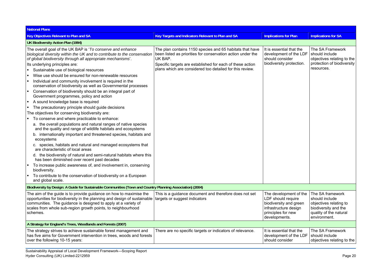| <b>National Plans</b>                                                                                                                                                                                                                                                                                                                                                                                                                                                                                                                                                                                                                                                                                                                                                                                                                                                                                                                                                                                                                                                                                                                                                                                                                                                                                                      |                                                                                                                                                                                                                                                             |                                                                                                                                        |                                                                                                                                |
|----------------------------------------------------------------------------------------------------------------------------------------------------------------------------------------------------------------------------------------------------------------------------------------------------------------------------------------------------------------------------------------------------------------------------------------------------------------------------------------------------------------------------------------------------------------------------------------------------------------------------------------------------------------------------------------------------------------------------------------------------------------------------------------------------------------------------------------------------------------------------------------------------------------------------------------------------------------------------------------------------------------------------------------------------------------------------------------------------------------------------------------------------------------------------------------------------------------------------------------------------------------------------------------------------------------------------|-------------------------------------------------------------------------------------------------------------------------------------------------------------------------------------------------------------------------------------------------------------|----------------------------------------------------------------------------------------------------------------------------------------|--------------------------------------------------------------------------------------------------------------------------------|
| Key Objectives Relevant to Plan and SA                                                                                                                                                                                                                                                                                                                                                                                                                                                                                                                                                                                                                                                                                                                                                                                                                                                                                                                                                                                                                                                                                                                                                                                                                                                                                     | Key Targets and Indicators Relevant to Plan and SA                                                                                                                                                                                                          | <b>Implications for Plan</b>                                                                                                           | <b>Implications for SA</b>                                                                                                     |
| UK Biodiversity Action Plan (1994)                                                                                                                                                                                                                                                                                                                                                                                                                                                                                                                                                                                                                                                                                                                                                                                                                                                                                                                                                                                                                                                                                                                                                                                                                                                                                         |                                                                                                                                                                                                                                                             |                                                                                                                                        |                                                                                                                                |
| The overall goal of the UK BAP is 'To conserve and enhance<br>biological diversity within the UK and to contribute to the conservation<br>of global biodiversity through all appropriate mechanisms'.<br>Its underlying principles are:<br>Sustainable use of biological resources<br>Wise use should be ensured for non-renewable resources<br>Individual and community involvement is required in the<br>conservation of biodiversity as well as Governmental processes<br>Conservation of biodiversity should be an integral part of<br>Government programmes, policy and action<br>A sound knowledge base is required<br>The precautionary principle should guide decisions<br>The objectives for conserving biodiversity are:<br>To conserve and where practicable to enhance:<br>a. the overall populations and natural ranges of native species<br>and the quality and range of wildlife habitats and ecosystems<br>b. internationally important and threatened species, habitats and<br>ecosystems<br>c. species, habitats and natural and managed ecosystems that<br>are characteristic of local areas<br>d. the biodiversity of natural and semi-natural habitats where this<br>has been diminished over recent past decades<br>To increase public awareness of, and involvement in, conserving<br>biodiversity. | The plan contains 1150 species and 65 habitats that have<br>been listed as priorities for conservation action under the<br>UK BAP.<br>Specific targets are established for each of these action<br>plans which are considered too detailed for this review. | It is essential that the<br>development of the LDF<br>should consider<br>biodiversity protection.                                      | The SA Framework<br>should include<br>objectives relating to the<br>protection of biodiversity<br>resources.                   |
| To contribute to the conservation of biodiversity on a European<br>and global scale.                                                                                                                                                                                                                                                                                                                                                                                                                                                                                                                                                                                                                                                                                                                                                                                                                                                                                                                                                                                                                                                                                                                                                                                                                                       |                                                                                                                                                                                                                                                             |                                                                                                                                        |                                                                                                                                |
| Biodiversity by Design: A Guide for Sustainable Communities (Town and Country Planning Association) (2004)                                                                                                                                                                                                                                                                                                                                                                                                                                                                                                                                                                                                                                                                                                                                                                                                                                                                                                                                                                                                                                                                                                                                                                                                                 |                                                                                                                                                                                                                                                             |                                                                                                                                        |                                                                                                                                |
| The aim of the guide is to provide guidance on how to maximise the<br>opportunities for biodiversity in the planning and design of sustainable<br>communities. The guidance is designed to apply at a variety of<br>scales from whole sub-region growth points, to neighbourhood<br>schemes.                                                                                                                                                                                                                                                                                                                                                                                                                                                                                                                                                                                                                                                                                                                                                                                                                                                                                                                                                                                                                               | This is a guidance document and therefore does not set<br>targets or suggest indicators                                                                                                                                                                     | The development of the<br>LDF should require<br>biodiversity and green<br>infrastructure design<br>principles for new<br>developments. | The SA framework<br>should include<br>objectives relating to<br>biodiversity and the<br>quality of the natural<br>environment. |
| A Strategy for England's Trees, Woodlands and Forests (2007)                                                                                                                                                                                                                                                                                                                                                                                                                                                                                                                                                                                                                                                                                                                                                                                                                                                                                                                                                                                                                                                                                                                                                                                                                                                               |                                                                                                                                                                                                                                                             |                                                                                                                                        |                                                                                                                                |
| The strategy strives to achieve sustainable forest management and<br>has five aims for Government intervention in trees, woods and forests<br>over the following 10-15 years:                                                                                                                                                                                                                                                                                                                                                                                                                                                                                                                                                                                                                                                                                                                                                                                                                                                                                                                                                                                                                                                                                                                                              | There are no specific targets or indicators of relevance.                                                                                                                                                                                                   | It is essential that the<br>development of the LDF<br>should consider                                                                  | The SA Framework<br>should include<br>objectives relating to the                                                               |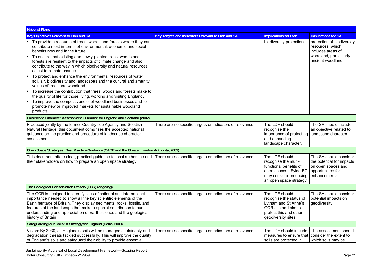| <b>National Plans</b>                                                                                                                                                                                                                                                                                                                                                              |                                                           |                                                                                                                                                |                                                                                                                 |
|------------------------------------------------------------------------------------------------------------------------------------------------------------------------------------------------------------------------------------------------------------------------------------------------------------------------------------------------------------------------------------|-----------------------------------------------------------|------------------------------------------------------------------------------------------------------------------------------------------------|-----------------------------------------------------------------------------------------------------------------|
| Key Objectives Relevant to Plan and SA                                                                                                                                                                                                                                                                                                                                             | Key Targets and Indicators Relevant to Plan and SA        | <b>Implications for Plan</b>                                                                                                                   | <b>Implications for SA</b>                                                                                      |
| • To provide a resource of trees, woods and forests where they can<br>contribute most in terms of environmental, economic and social<br>benefits now and in the future.                                                                                                                                                                                                            |                                                           | biodiversity protection.                                                                                                                       | protection of biodiversity<br>resources, which<br>includes areas of                                             |
| • To ensure that existing and newly-planted trees, woods and<br>forests are resilient to the impacts of climate change and also<br>contribute to the way in which biodiversity and natural resources<br>adjust to climate change.                                                                                                                                                  |                                                           |                                                                                                                                                | woodland, particularly<br>ancient woodland.                                                                     |
| • To protect and enhance the environmental resources of water,<br>soil, air, biodiversity and landscapes and the cultural and amenity<br>values of trees and woodland.                                                                                                                                                                                                             |                                                           |                                                                                                                                                |                                                                                                                 |
| • To increase the contribution that trees, woods and forests make to<br>the quality of life for those living, working and visiting England.                                                                                                                                                                                                                                        |                                                           |                                                                                                                                                |                                                                                                                 |
| • To improve the competitiveness of woodland businesses and to<br>promote new or improved markets for sustainable woodland<br>products.                                                                                                                                                                                                                                            |                                                           |                                                                                                                                                |                                                                                                                 |
| Landscape Character Assessment Guidance for England and Scotland (2002)                                                                                                                                                                                                                                                                                                            |                                                           |                                                                                                                                                |                                                                                                                 |
| Produced jointly by the former Countryside Agency and Scottish<br>Natural Heritage, this document comprises the accepted national<br>guidance on the practice and procedure of landscape character<br>assessment.                                                                                                                                                                  | There are no specific targets or indicators of relevance. | The LDF should<br>recognise the<br>importance of protecting<br>and enhancing<br>landscape character.                                           | The SA should include<br>an objective related to<br>landscape character.                                        |
| Open Space Strategies: Best Practice Guidance (CABE and the Greater London Authority, 2009)                                                                                                                                                                                                                                                                                        |                                                           |                                                                                                                                                |                                                                                                                 |
| This document offers clear, practical guidance to local authorities and<br>their stakeholders on how to prepare an open space strategy.                                                                                                                                                                                                                                            | There are no specific targets or indicators of relevance. | The LDF should<br>recognise the multi-<br>functional benefits of<br>open spaces. Fylde BC<br>may consider producing<br>an open space strategy. | The SA should consider<br>the potential for impacts<br>on open spaces and<br>opportunities for<br>enhancements. |
| The Geological Conservation Review (GCR) (ongoing)                                                                                                                                                                                                                                                                                                                                 |                                                           |                                                                                                                                                |                                                                                                                 |
| The GCR is designed to identify sites of national and international<br>importance needed to show all the key scientific elements of the<br>Earth heritage of Britain. They display sediments, rocks, fossils, and<br>features of the landscape that make a special contribution to our<br>understanding and appreciation of Earth science and the geological<br>history of Britain | There are no specific targets or indicators of relevance. | The LDF should<br>recognise the status of<br>Lytham and St Anne's<br>GCR site and aim to<br>protect this and other<br>geodiversity sites.      | The SA should consider<br>potential impacts on<br>geodiversity.                                                 |
| Safeguarding our Soils: A Strategy for England (Defra, 2009)                                                                                                                                                                                                                                                                                                                       |                                                           |                                                                                                                                                |                                                                                                                 |
| Vision: By 2030, all England's soils will be managed sustainably and<br>degradation threats tackled successfully. This will improve the quality<br>of England's soils and safeguard their ability to provide essential                                                                                                                                                             | There are no specific targets or indicators of relevance. | The LDF should include<br>measures to ensure that   consider the extent to<br>soils are protected in                                           | The assessment should<br>which soils may be                                                                     |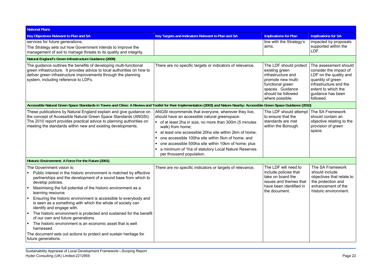| <b>National Plans</b>                                                                                                                                                                                                                                                                                                                                                                                                                                                                                                                                                                                                                                                                                                                           |                                                                                                                                                                                                                                                                                                                                                                                                                                                                                                   |                                                                                                                                                                       |                                                                                                                                                                                   |
|-------------------------------------------------------------------------------------------------------------------------------------------------------------------------------------------------------------------------------------------------------------------------------------------------------------------------------------------------------------------------------------------------------------------------------------------------------------------------------------------------------------------------------------------------------------------------------------------------------------------------------------------------------------------------------------------------------------------------------------------------|---------------------------------------------------------------------------------------------------------------------------------------------------------------------------------------------------------------------------------------------------------------------------------------------------------------------------------------------------------------------------------------------------------------------------------------------------------------------------------------------------|-----------------------------------------------------------------------------------------------------------------------------------------------------------------------|-----------------------------------------------------------------------------------------------------------------------------------------------------------------------------------|
| Key Objectives Relevant to Plan and SA                                                                                                                                                                                                                                                                                                                                                                                                                                                                                                                                                                                                                                                                                                          | Key Targets and Indicators Relevant to Plan and SA                                                                                                                                                                                                                                                                                                                                                                                                                                                | <b>Implications for Plan</b>                                                                                                                                          | <b>Implications for SA</b>                                                                                                                                                        |
| services for future generations.<br>The Strategy sets out how Government intends to improve the<br>management of soil to manage threats to its quality and integrity.                                                                                                                                                                                                                                                                                                                                                                                                                                                                                                                                                                           |                                                                                                                                                                                                                                                                                                                                                                                                                                                                                                   | line with the Strategy's<br>aims.                                                                                                                                     | impacted by proposals<br>supported within the<br>LDF.                                                                                                                             |
| Natural England's Green Infrastructure Guidance (2009)                                                                                                                                                                                                                                                                                                                                                                                                                                                                                                                                                                                                                                                                                          |                                                                                                                                                                                                                                                                                                                                                                                                                                                                                                   |                                                                                                                                                                       |                                                                                                                                                                                   |
| The guidance outlines the benefits of developing multi-functional<br>green infrastructure. It provides advice to local authorities on how to<br>deliver green infrastructure improvements through the planning<br>system, including reference to LDFs.                                                                                                                                                                                                                                                                                                                                                                                                                                                                                          | There are no specific targets or indicators of relevance.                                                                                                                                                                                                                                                                                                                                                                                                                                         | The LDF should protect<br>existing green<br>infrastructure and<br>promote new multi-<br>functional green<br>spaces. Guidance<br>should be followed<br>where possible. | The assessment should<br>consider the impact of<br>LDF on the quality and<br>quantity of green<br>infrastructure and the<br>extent to which the<br>guidance has been<br>followed. |
| Accessible Natural Green Space Standards in Towns and Cities: A Review and Toolkit for their Implementation (2003) and Nature Nearby: Accessible Green Space Guidance (2010)                                                                                                                                                                                                                                                                                                                                                                                                                                                                                                                                                                    |                                                                                                                                                                                                                                                                                                                                                                                                                                                                                                   |                                                                                                                                                                       |                                                                                                                                                                                   |
| These publications by Natural England explain and give guidance on<br>the concept of Accessible Natural Green Space Standards (ANGSt).<br>The 2010 report provides practical advice to planning authorities on<br>meeting the standards within new and existing developments.                                                                                                                                                                                                                                                                                                                                                                                                                                                                   | ANGSt recommends that everyone, wherever they live,<br>should have an accessible natural greenspace:<br>• of at least 2ha in size, no more than 300m (5 minutes<br>walk) from home;<br>at least one accessible 20ha site within 2km of home;<br>one accessible 100ha site within 5km of home; and<br>$\blacksquare$<br>one accessible 500ha site within 10km of home; plus<br>$\blacksquare$<br>a minimum of 1ha of statutory Local Nature Reserves<br>$\blacksquare$<br>per thousand population. | The LDF should attempt<br>to ensure that the<br>standards are met<br>within the Borough.                                                                              | The SA Framework<br>should contain an<br>objective relating to the<br>provision of green<br>space.                                                                                |
| Historic Environment: A Force For the Future (2001)                                                                                                                                                                                                                                                                                                                                                                                                                                                                                                                                                                                                                                                                                             |                                                                                                                                                                                                                                                                                                                                                                                                                                                                                                   |                                                                                                                                                                       |                                                                                                                                                                                   |
| The Government vision is:<br>Public interest in the historic environment is matched by effective<br>partnerships and the development of a sound base from which to<br>develop policies.<br>Maximising the full potential of the historic environment as a<br><b>I</b><br>learning resource.<br>Ensuring the historic environment is accessible to everybody and<br>is seen as a something with which the whole of society can<br>identify and engage with.<br>The historic environment is protected and sustained for the benefit<br>of our own and future generations.<br>The historic environment is an economic asset that is well<br>harnessed.<br>The document sets out actions to protect and sustain heritage for<br>future generations. | There are no specific indicators or targets of relevance.                                                                                                                                                                                                                                                                                                                                                                                                                                         | The LDF will need to<br>include policies that<br>take on board the<br>issues and themes that<br>have been identified in<br>the document.                              | The SA Framework<br>should include<br>objectives that relate to<br>the protection and<br>enhancement of the<br>historic environment.                                              |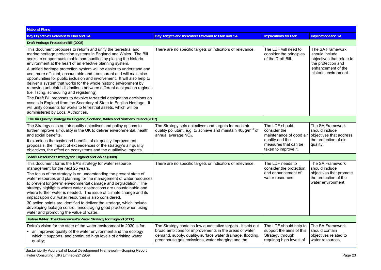| <b>National Plans</b>                                                                                                                                                                                                                                                                                                                                                                                                                                                                                                                                                                                                                                                                                                                                                                                                                                                                                                                                        |                                                                                                                                                                                                                                         |                                                                                                                              |                                                                                                                                      |
|--------------------------------------------------------------------------------------------------------------------------------------------------------------------------------------------------------------------------------------------------------------------------------------------------------------------------------------------------------------------------------------------------------------------------------------------------------------------------------------------------------------------------------------------------------------------------------------------------------------------------------------------------------------------------------------------------------------------------------------------------------------------------------------------------------------------------------------------------------------------------------------------------------------------------------------------------------------|-----------------------------------------------------------------------------------------------------------------------------------------------------------------------------------------------------------------------------------------|------------------------------------------------------------------------------------------------------------------------------|--------------------------------------------------------------------------------------------------------------------------------------|
| Key Objectives Relevant to Plan and SA                                                                                                                                                                                                                                                                                                                                                                                                                                                                                                                                                                                                                                                                                                                                                                                                                                                                                                                       | Key Targets and Indicators Relevant to Plan and SA                                                                                                                                                                                      | <b>Implications for Plan</b>                                                                                                 | <b>Implications for SA</b>                                                                                                           |
| Draft Heritage Protection Bill (2008)                                                                                                                                                                                                                                                                                                                                                                                                                                                                                                                                                                                                                                                                                                                                                                                                                                                                                                                        |                                                                                                                                                                                                                                         |                                                                                                                              |                                                                                                                                      |
| This document proposes to reform and unify the terrestrial and<br>marine heritage protection systems in England and Wales. The Bill<br>seeks to support sustainable communities by placing the historic<br>environment at the heart of an effective planning system.<br>A unified heritage protection system will be easier to understand and<br>use, more efficient, accountable and transparent and will maximise<br>opportunities for public inclusion and involvement. It will also help to<br>deliver a system that works for the whole historic environment by<br>removing unhelpful distinctions between different designation regimes<br>(i.e. listing, scheduling and registering).<br>The Draft Bill proposes to devolve terrestrial designation decisions on<br>assets in England from the Secretary of State to English Heritage. It<br>will unify consents for works to terrestrial assets, which will be<br>administered by Local Authorities. | There are no specific targets or indicators of relevance.                                                                                                                                                                               | The LDF will need to<br>consider the principles<br>of the Draft Bill.                                                        | The SA Framework<br>should include<br>objectives that relate to<br>the protection and<br>enhancement of the<br>historic environment. |
| The Air Quality Strategy for England, Scotland, Wales and Northern Ireland (2007)                                                                                                                                                                                                                                                                                                                                                                                                                                                                                                                                                                                                                                                                                                                                                                                                                                                                            |                                                                                                                                                                                                                                         |                                                                                                                              |                                                                                                                                      |
| The Strategy sets out air quality objectives and policy options to<br>further improve air quality in the UK to deliver environmental, health<br>and social benefits.<br>It examines the costs and benefits of air quality improvement<br>proposals, the impact of exceedences of the strategy's air quality<br>objectives, the effect on ecosystems and the qualitative impacts.                                                                                                                                                                                                                                                                                                                                                                                                                                                                                                                                                                             | The Strategy sets objectives and targets for each air<br>quality pollutant, e.g. to achieve and maintain 40µg/m <sup>-3</sup> of<br>annual average NO <sub>2</sub> .                                                                    | The LDF should<br>consider the<br>maintenance of good air<br>quality and the<br>measures that can be<br>taken to improve it. | The SA Framework<br>should include<br>objectives that address<br>the protection of air<br>quality.                                   |
| Water Resources Strategy for England and Wales (2009)                                                                                                                                                                                                                                                                                                                                                                                                                                                                                                                                                                                                                                                                                                                                                                                                                                                                                                        |                                                                                                                                                                                                                                         |                                                                                                                              |                                                                                                                                      |
| This document forms the EA's strategy for water resource<br>management for the next 25 years.<br>The focus of the strategy is on understanding the present state of<br>water resources and planning for the management of water resources<br>to prevent long-term environmental damage and degradation. The<br>strategy highlights where water abstractions are unsustainable and<br>where further water is needed. The issue of climate change and its<br>impact upon our water resources is also considered.<br>30 action points are identified to deliver the strategy, which include<br>developing leakage control, encouraging good practice when using<br>water and promoting the value of water.                                                                                                                                                                                                                                                      | There are no specific targets or indicators of relevance.                                                                                                                                                                               | The LDF needs to<br>consider the protection<br>and enhancement of<br>water resources.                                        | The SA Framework<br>should include<br>objectives that promote<br>the protection of the<br>water environment.                         |
| Future Water: The Government's Water Strategy for England (2008)                                                                                                                                                                                                                                                                                                                                                                                                                                                                                                                                                                                                                                                                                                                                                                                                                                                                                             |                                                                                                                                                                                                                                         |                                                                                                                              |                                                                                                                                      |
| Defra's vision for the state of the water environment in 2030 is for:<br>an improved quality of the water environment and the ecology<br>which it supports, and continued high levels of drinking water<br>quality;                                                                                                                                                                                                                                                                                                                                                                                                                                                                                                                                                                                                                                                                                                                                          | The Strategy contains few quantitative targets. It sets out<br>broad ambitions for improvements in the areas of water<br>demand, supply, quality, surface water drainage, flooding,<br>greenhouse gas emissions, water charging and the | The LDF should help to<br>support the aims of this<br>Strategy through<br>requiring high levels of                           | The SA Framework<br>should contain<br>objectives related to<br>water resources.                                                      |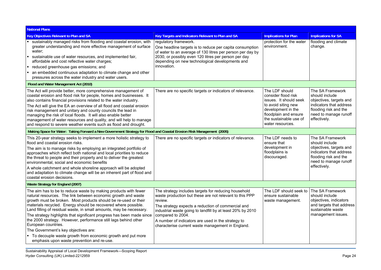| <b>National Plans</b>                                                                                                                                                                                                                                                                                                                                                                                                                                                                                                                                                                                                                                                 |                                                                                                                                                                                                                                                                                                                                                                                |                                                                                                                                                                                     |                                                                                                                                                            |
|-----------------------------------------------------------------------------------------------------------------------------------------------------------------------------------------------------------------------------------------------------------------------------------------------------------------------------------------------------------------------------------------------------------------------------------------------------------------------------------------------------------------------------------------------------------------------------------------------------------------------------------------------------------------------|--------------------------------------------------------------------------------------------------------------------------------------------------------------------------------------------------------------------------------------------------------------------------------------------------------------------------------------------------------------------------------|-------------------------------------------------------------------------------------------------------------------------------------------------------------------------------------|------------------------------------------------------------------------------------------------------------------------------------------------------------|
| Key Objectives Relevant to Plan and SA                                                                                                                                                                                                                                                                                                                                                                                                                                                                                                                                                                                                                                | Key Targets and Indicators Relevant to Plan and SA                                                                                                                                                                                                                                                                                                                             | <b>Implications for Plan</b>                                                                                                                                                        | <b>Implications for SA</b>                                                                                                                                 |
| sustainably managed risks from flooding and coastal erosion, with<br>greater understanding and more effective management of surface<br>water;<br>sustainable use of water resources, and implemented fair,<br>affordable and cost reflective water charges;<br>reduced greenhouse gas emissions; and<br>an embedded continuous adaptation to climate change and other<br>pressures across the water industry and water users.                                                                                                                                                                                                                                         | regulatory framework.<br>One headline targets is to reduce per capita consumption<br>of water to an average of 130 litres per person per day by<br>2030, or possibly even 120 litres per person per day<br>depending on new technological developments and<br>innovation.                                                                                                      | protection for the water<br>environment.                                                                                                                                            | flooding and climate<br>change.                                                                                                                            |
| Flood and Water Management Act (2010)                                                                                                                                                                                                                                                                                                                                                                                                                                                                                                                                                                                                                                 |                                                                                                                                                                                                                                                                                                                                                                                |                                                                                                                                                                                     |                                                                                                                                                            |
| The Act will provide better, more comprehensive management of<br>coastal erosion and flood risk for people, homes and businesses. It<br>also contains financial provisions related to the water industry.<br>The Act will give the EA an overview of all flood and coastal erosion<br>risk management and unitary and county councils the lead in<br>managing the risk of local floods. It will also enable better<br>management of water resources and quality, and will help to manage<br>and respond to severe weather events such as flood and drought.                                                                                                           | There are no specific targets or indicators of relevance.                                                                                                                                                                                                                                                                                                                      | The LDF should<br>consider flood risk<br>issues. It should seek<br>to avoid siting new<br>development in the<br>floodplain and ensure<br>the sustainable use of<br>water resources. | The SA Framework<br>should include<br>objectives, targets and<br>indicators that address<br>flooding risk and the<br>need to manage runoff<br>effectively. |
| Making Space for Water: Taking Forward a New Government Strategy for Flood and Coastal Erosion Risk Management (2005)                                                                                                                                                                                                                                                                                                                                                                                                                                                                                                                                                 |                                                                                                                                                                                                                                                                                                                                                                                |                                                                                                                                                                                     |                                                                                                                                                            |
| This 20-year strategy seeks to implement a more holistic strategy to<br>flood and coastal erosion risks.<br>The aim is to manage risks by employing an integrated portfolio of<br>approaches which reflect both national and local priorities to reduce<br>the threat to people and their property and to deliver the greatest<br>environmental, social and economic benefits<br>A whole catchment and whole shoreline approach will be adopted<br>and adaptation to climate change will be an inherent part of flood and<br>coastal erosion decisions.                                                                                                               | There are no specific targets or indicators of relevance.                                                                                                                                                                                                                                                                                                                      | The LDF needs to<br>ensure that<br>development in<br>floodplains is<br>discouraged.                                                                                                 | The SA Framework<br>should include<br>objectives, targets and<br>indicators that address<br>flooding risk and the<br>need to manage runoff<br>effectively. |
| Waste Strategy for England (2007)                                                                                                                                                                                                                                                                                                                                                                                                                                                                                                                                                                                                                                     |                                                                                                                                                                                                                                                                                                                                                                                |                                                                                                                                                                                     |                                                                                                                                                            |
| The aim has to be to reduce waste by making products with fewer<br>natural resources. The link between economic growth and waste<br>growth must be broken. Most products should be re-used or their<br>materials recycled. Energy should be recovered where possible.<br>Land filling of residual waste, in small amounts, may be necessary.<br>The strategy highlights that significant progress has been made since<br>the 2000 strategy. However, performance still lags behind other<br>European countries.<br>The Government's key objectives are:<br>• To decouple waste growth from economic growth and put more<br>emphasis upon waste prevention and re-use. | The strategy includes targets for reducing household<br>waste production but these are not relevant to this PPP<br>review.<br>The strategy expects a reduction of commercial and<br>industrial waste going to landfill by at least 20% by 2010<br>compared to 2004.<br>A number of indicators are used in the strategy to<br>characterise current waste management in England. | The LDF should seek to<br>ensure sustainable<br>waste management.                                                                                                                   | The SA Framework<br>should include<br>objectives, indicators<br>and targets that address<br>sustainable waste<br>management issues.                        |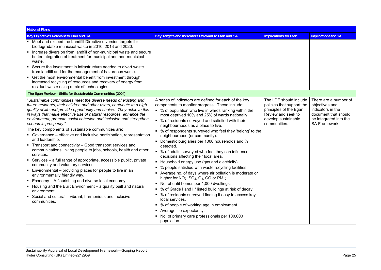| <b>National Plans</b>                                                                                                                                                                                                                                                                                                                                                                                                                                                                                                                                                                                                                                                                                                                                                                                                                                                                                                                                                                                                                                                                                               |                                                                                                                                                                                                                                                                                                                                                                                                                                                                                                                                                                                                                                                                                                                                                                                                                                                                                                                                                                                                                                                                                                                        |                                                                                                                                            |                                                                                                                                 |
|---------------------------------------------------------------------------------------------------------------------------------------------------------------------------------------------------------------------------------------------------------------------------------------------------------------------------------------------------------------------------------------------------------------------------------------------------------------------------------------------------------------------------------------------------------------------------------------------------------------------------------------------------------------------------------------------------------------------------------------------------------------------------------------------------------------------------------------------------------------------------------------------------------------------------------------------------------------------------------------------------------------------------------------------------------------------------------------------------------------------|------------------------------------------------------------------------------------------------------------------------------------------------------------------------------------------------------------------------------------------------------------------------------------------------------------------------------------------------------------------------------------------------------------------------------------------------------------------------------------------------------------------------------------------------------------------------------------------------------------------------------------------------------------------------------------------------------------------------------------------------------------------------------------------------------------------------------------------------------------------------------------------------------------------------------------------------------------------------------------------------------------------------------------------------------------------------------------------------------------------------|--------------------------------------------------------------------------------------------------------------------------------------------|---------------------------------------------------------------------------------------------------------------------------------|
| Key Objectives Relevant to Plan and SA                                                                                                                                                                                                                                                                                                                                                                                                                                                                                                                                                                                                                                                                                                                                                                                                                                                                                                                                                                                                                                                                              | Key Targets and Indicators Relevant to Plan and SA                                                                                                                                                                                                                                                                                                                                                                                                                                                                                                                                                                                                                                                                                                                                                                                                                                                                                                                                                                                                                                                                     | <b>Implications for Plan</b>                                                                                                               | <b>Implications for SA</b>                                                                                                      |
| Meet and exceed the Landfill Directive diversion targets for<br>biodegradable municipal waste in 2010, 2013 and 2020.<br>• Increase diversion from landfill of non-municipal waste and secure<br>better integration of treatment for municipal and non-municipal<br>waste.<br>Secure the investment in infrastructure needed to divert waste<br>from landfill and for the management of hazardous waste.<br>• Get the most environmental benefit from investment through<br>increased recycling of resources and recovery of energy from<br>residual waste using a mix of technologies.                                                                                                                                                                                                                                                                                                                                                                                                                                                                                                                             |                                                                                                                                                                                                                                                                                                                                                                                                                                                                                                                                                                                                                                                                                                                                                                                                                                                                                                                                                                                                                                                                                                                        |                                                                                                                                            |                                                                                                                                 |
| The Egan Review - Skills for Sustainable Communities (2004)                                                                                                                                                                                                                                                                                                                                                                                                                                                                                                                                                                                                                                                                                                                                                                                                                                                                                                                                                                                                                                                         |                                                                                                                                                                                                                                                                                                                                                                                                                                                                                                                                                                                                                                                                                                                                                                                                                                                                                                                                                                                                                                                                                                                        |                                                                                                                                            |                                                                                                                                 |
| "Sustainable communities meet the diverse needs of existing and<br>future residents, their children and other users, contribute to a high<br>quality of life and provide opportunity and choice. They achieve this<br>in ways that make effective use of natural resources, enhance the<br>environment, promote social cohesion and inclusion and strengthen<br>economic prosperity."<br>The key components of sustainable communities are:<br>• Governance – effective and inclusive participation, representation<br>and leadership.<br>• Transport and connectivity - Good transport services and<br>communications linking people to jobs, schools, health and other<br>services.<br>• Services - a full range of appropriate, accessible public, private<br>community and voluntary services.<br>Environmental – providing places for people to live in an<br>environmentally friendly way.<br>Economy - A flourishing and diverse local economy.<br>Housing and the Built Environment - a quality built and natural<br>environment<br>Social and cultural – vibrant, harmonious and inclusive<br>communities. | A series of indicators are defined for each of the key<br>components to monitor progress. These include:<br>• % of population who live in wards ranking within the<br>most deprived 10% and 25% of wards nationally.<br>• % of residents surveyed and satisfied with their<br>neighbourhoods as a place to live.<br>% of respondents surveyed who feel they 'belong' to the<br>neighbourhood (or community).<br>Domestic burglaries per 1000 households and %<br>detected.<br>% of adults surveyed who feel they can influence<br>decisions affecting their local area.<br>Household energy use (gas and electricity).<br>% people satisfied with waste recycling facilities.<br>Average no. of days where air pollution is moderate or<br>higher for $NO2$ , $SO2$ , $O3$ , CO or $PM10$ .<br>No. of unfit homes per 1,000 dwellings.<br>% of Grade I and II* listed buildings at risk of decay.<br>% of residents surveyed finding it easy to access key<br>local services.<br>% of people of working age in employment.<br>Average life expectancy.<br>No. of primary care professionals per 100,000<br>population. | The LDF should include<br>policies that support the<br>principles of the Egan<br>Review and seek to<br>develop sustainable<br>communities. | There are a number of<br>objectives and<br>indicators in the<br>document that should<br>be integrated into the<br>SA Framework. |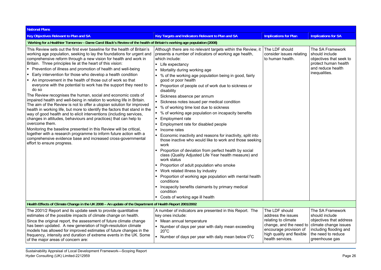| <b>National Plans</b>                                                                                                                                                                                                                                                                                                                                                                                                                                                                                                                                                                                                                                                                                                                                                                                                                                                                                                                                                                                                                                                                                                                                                                                                                                                    |                                                                                                                                                                                                                                                                                                                                                                                                                                                                                                                                                                                                                                                                                                                                                                                                                                                                                                                                                                                                                                                                                                                                                                                        |                                                                                                                                                                   |                                                                                                                                                          |
|--------------------------------------------------------------------------------------------------------------------------------------------------------------------------------------------------------------------------------------------------------------------------------------------------------------------------------------------------------------------------------------------------------------------------------------------------------------------------------------------------------------------------------------------------------------------------------------------------------------------------------------------------------------------------------------------------------------------------------------------------------------------------------------------------------------------------------------------------------------------------------------------------------------------------------------------------------------------------------------------------------------------------------------------------------------------------------------------------------------------------------------------------------------------------------------------------------------------------------------------------------------------------|----------------------------------------------------------------------------------------------------------------------------------------------------------------------------------------------------------------------------------------------------------------------------------------------------------------------------------------------------------------------------------------------------------------------------------------------------------------------------------------------------------------------------------------------------------------------------------------------------------------------------------------------------------------------------------------------------------------------------------------------------------------------------------------------------------------------------------------------------------------------------------------------------------------------------------------------------------------------------------------------------------------------------------------------------------------------------------------------------------------------------------------------------------------------------------------|-------------------------------------------------------------------------------------------------------------------------------------------------------------------|----------------------------------------------------------------------------------------------------------------------------------------------------------|
| Key Objectives Relevant to Plan and SA                                                                                                                                                                                                                                                                                                                                                                                                                                                                                                                                                                                                                                                                                                                                                                                                                                                                                                                                                                                                                                                                                                                                                                                                                                   | Key Targets and Indicators Relevant to Plan and SA                                                                                                                                                                                                                                                                                                                                                                                                                                                                                                                                                                                                                                                                                                                                                                                                                                                                                                                                                                                                                                                                                                                                     | <b>Implications for Plan</b>                                                                                                                                      | <b>Implications for SA</b>                                                                                                                               |
| Working for a Healthier Tomorrow - Dame Carol Black's Review of the health of Britain's working age population (2008)                                                                                                                                                                                                                                                                                                                                                                                                                                                                                                                                                                                                                                                                                                                                                                                                                                                                                                                                                                                                                                                                                                                                                    |                                                                                                                                                                                                                                                                                                                                                                                                                                                                                                                                                                                                                                                                                                                                                                                                                                                                                                                                                                                                                                                                                                                                                                                        |                                                                                                                                                                   |                                                                                                                                                          |
| This Review sets out the first ever baseline for the health of Britain's<br>working age population, seeking to lay the foundations for urgent and<br>comprehensive reform through a new vision for health and work in<br>Britain. Three principles lie at the heart of this vision:<br>• Prevention of illness and promotion of health and well-being<br>Early intervention for those who develop a health condition<br>• An improvement in the health of those out of work so that<br>everyone with the potential to work has the support they need to<br>do so<br>The Review recognises the human, social and economic costs of<br>impaired health and well-being in relation to working life in Britain.<br>The aim of the Review is not to offer a utopian solution for improved<br>health in working life, but more to identify the factors that stand in the<br>way of good health and to elicit interventions (including services,<br>changes in attitudes, behaviours and practices) that can help to<br>overcome them.<br>Monitoring the baseline presented in this Review will be critical,<br>together with a research programme to inform future action with a<br>comprehensive evidence base and increased cross-governmental<br>effort to ensure progress. | Although there are no relevant targets within the Review, it<br>presents a number of indicators of working age health,<br>which include:<br>• Life expectancy<br>• Mortality during working age<br>• % of the working age population being in good, fairly<br>good or poor health<br>• Proportion of people out of work due to sickness or<br>disability<br>Sickness absence per annum<br>$\blacksquare$<br>Sickness notes issued per medical condition<br>% of working time lost due to sickness<br>• % of working age population on incapacity benefits<br>Employment rate<br>Employment rate for disabled people<br>Income rates<br>$\blacksquare$<br>Economic inactivity and reasons for inactivity, split into<br>those inactive who would like to work and those seeking<br>work<br>Proportion of deviation from perfect health by social<br>class (Quality Adjusted Life Year health measure) and<br>work status<br>Proportion of adult population who smoke<br>Work related illness by industry<br>Proportion of working age population with mental health<br>conditions<br>Incapacity benefits claimants by primary medical<br>condition<br>• Costs of working age ill health | The LDF should<br>consider issues relating<br>to human health.                                                                                                    | The SA Framework<br>should include<br>objectives that seek to<br>protect human health<br>and reduce health<br>inequalities.                              |
| Health Effects of Climate Change in the UK 2008 - An update of the Department of Health Report 2001/2002                                                                                                                                                                                                                                                                                                                                                                                                                                                                                                                                                                                                                                                                                                                                                                                                                                                                                                                                                                                                                                                                                                                                                                 |                                                                                                                                                                                                                                                                                                                                                                                                                                                                                                                                                                                                                                                                                                                                                                                                                                                                                                                                                                                                                                                                                                                                                                                        |                                                                                                                                                                   |                                                                                                                                                          |
| The 2001/2 Report and its update seek to provide quantitative<br>estimates of the possible impacts of climate change on health.<br>Since the original report, the assessment of future climate change<br>has been updated. A new generation of high-resolution climate<br>models has allowed for improved estimates of future changes in the<br>frequency, intensity and duration of extreme events in the UK. Some<br>of the major areas of concern are:                                                                                                                                                                                                                                                                                                                                                                                                                                                                                                                                                                                                                                                                                                                                                                                                                | A number of indicators are presented in this Report. The<br>key ones include:<br>• Mean annual temperature<br>• Number of days per year with daily mean exceeding<br>$20^{\circ}$ C<br>• Number of days per year with daily mean below $0^{\circ}$ C                                                                                                                                                                                                                                                                                                                                                                                                                                                                                                                                                                                                                                                                                                                                                                                                                                                                                                                                   | The LDF should<br>address the issues<br>relating to climate<br>change, and the need to<br>encourage provision of<br>high quality and flexible<br>health services. | The SA Framework<br>should include<br>objectives that address<br>climate change issues<br>including flooding and<br>the need to reduce<br>greenhouse gas |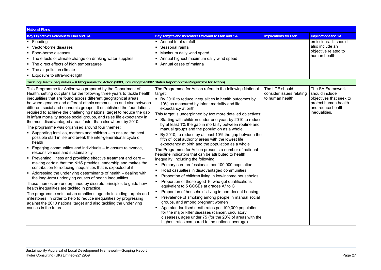| <b>National Plans</b>                                                                                                                                                                                                                                                                                                                                                                                                                                                                                                                                                                                                                                                                                                                                                                                                                                                                                                                                                                                                                                                                                                                                                                                                                                                                                                                                                                                                                                                                                                |                                                                                                                                                                                                                                                                                                                                                                                                                                                                                                                                                                                                                                                                                                                                                                                                                                                                                                                                                                                                                                                                                                                                                                                                                                                                                                                                                                          |                                              |                                                                                                         |
|----------------------------------------------------------------------------------------------------------------------------------------------------------------------------------------------------------------------------------------------------------------------------------------------------------------------------------------------------------------------------------------------------------------------------------------------------------------------------------------------------------------------------------------------------------------------------------------------------------------------------------------------------------------------------------------------------------------------------------------------------------------------------------------------------------------------------------------------------------------------------------------------------------------------------------------------------------------------------------------------------------------------------------------------------------------------------------------------------------------------------------------------------------------------------------------------------------------------------------------------------------------------------------------------------------------------------------------------------------------------------------------------------------------------------------------------------------------------------------------------------------------------|--------------------------------------------------------------------------------------------------------------------------------------------------------------------------------------------------------------------------------------------------------------------------------------------------------------------------------------------------------------------------------------------------------------------------------------------------------------------------------------------------------------------------------------------------------------------------------------------------------------------------------------------------------------------------------------------------------------------------------------------------------------------------------------------------------------------------------------------------------------------------------------------------------------------------------------------------------------------------------------------------------------------------------------------------------------------------------------------------------------------------------------------------------------------------------------------------------------------------------------------------------------------------------------------------------------------------------------------------------------------------|----------------------------------------------|---------------------------------------------------------------------------------------------------------|
| Key Objectives Relevant to Plan and SA                                                                                                                                                                                                                                                                                                                                                                                                                                                                                                                                                                                                                                                                                                                                                                                                                                                                                                                                                                                                                                                                                                                                                                                                                                                                                                                                                                                                                                                                               | Key Targets and Indicators Relevant to Plan and SA                                                                                                                                                                                                                                                                                                                                                                                                                                                                                                                                                                                                                                                                                                                                                                                                                                                                                                                                                                                                                                                                                                                                                                                                                                                                                                                       | <b>Implications for Plan</b>                 | <b>Implications for SA</b>                                                                              |
| • Flooding<br>• Vector-borne diseases<br>Food-borne diseases<br>The effects of climate change on drinking water supplies<br>The direct effects of high temperatures<br>п.<br>• The air pollution climate<br>Exposure to ultra-violet light<br>Tackling Health Inequalities - A Programme for Action (2003, including the 2007 Status Report on the Programme for Action)<br>This Programme for Action was prepared by the Department of                                                                                                                                                                                                                                                                                                                                                                                                                                                                                                                                                                                                                                                                                                                                                                                                                                                                                                                                                                                                                                                                              | Annual total rainfall<br>Seasonal rainfall<br>Maximum daily wind speed<br>٠<br>Annual highest maximum daily wind speed<br>٠<br>Annual cases of malaria<br>٠<br>The Programme for Action refers to the following National                                                                                                                                                                                                                                                                                                                                                                                                                                                                                                                                                                                                                                                                                                                                                                                                                                                                                                                                                                                                                                                                                                                                                 | The LDF should                               | emissions. It should<br>also include an<br>objective related to<br>human health.<br>The SA Framework    |
| Health, setting out plans for the following three years to tackle health<br>inequalities that are found across different geographical areas,<br>between genders and different ethnic communities and also between<br>different social and economic groups. It established the foundations<br>required to achieve the challenging national target to reduce the gap<br>in infant mortality across social groups, and raise life expectancy in<br>the most disadvantaged areas faster than elsewhere, by 2010.<br>The programme was organised around four themes:<br>• Supporting families, mothers and children - to ensure the best<br>possible start in life and break the inter-generational cycle of<br>health<br>Engaging communities and individuals - to ensure relevance,<br>responsiveness and sustainability<br>Preventing illness and providing effective treatment and care -<br>making certain that the NHS provides leadership and makes the<br>contribution to reducing inequalities that is expected of it<br>• Addressing the underlying determinants of health - dealing with<br>the long-term underlying causes of health inequalities<br>These themes are underpinned by discrete principles to guide how<br>health inequalities are tackled in practice.<br>The programme sets out an ambitious agenda including targets and<br>milestones, in order to help to reduce inequalities by progressing<br>against the 2010 national target and also tackling the underlying<br>causes in the future. | target:<br>• By 2010 to reduce inequalities in health outcomes by<br>10% as measured by infant mortality and life<br>expectancy at birth<br>This target is underpinned by two more detailed objectives:<br>• Starting with children under one year, by 2010 to reduce<br>by at least 1% the gap in mortality between routine and<br>manual groups and the population as a whole<br>By 2010, to reduce by at least 10% the gap between the<br>fifth of local authority areas with the lowest life<br>expectancy at birth and the population as a whole<br>The Programme for Action presents a number of national<br>headline indicators that can be attributed to health<br>inequality, including the following:<br>Primary care professionals per 100,000 population<br>Road casualties in disadvantaged communities<br>п<br>Proportion of children living in low-income households<br>Proportion of those aged 16 who get qualifications<br>equivalent to 5 GCSEs at grades A* to C<br>Proportion of households living in non-decent housing<br>Prevalence of smoking among people in manual social<br>٠<br>groups, and among pregnant women<br>Age-standardised death rates per 100,000 population<br>for the major killer diseases (cancer, circulatory<br>diseases), ages under 75 (for the 20% of areas with the<br>highest rates compared to the national average) | consider issues relating<br>to human health. | should include<br>objectives that seek to<br>protect human health<br>and reduce health<br>inequalities. |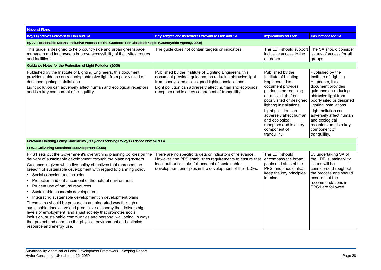| <b>National Plans</b>                                                                                                                                                                                                                                                                                                                                                                                                                                                                                                                                                                                                                                                                                                                                                                                                                                                                                                  |                                                                                                                                                                                                                                                                                             |                                                                                                                                                                                                                                                                                                                        |                                                                                                                                                                                                                                                                                                                        |  |
|------------------------------------------------------------------------------------------------------------------------------------------------------------------------------------------------------------------------------------------------------------------------------------------------------------------------------------------------------------------------------------------------------------------------------------------------------------------------------------------------------------------------------------------------------------------------------------------------------------------------------------------------------------------------------------------------------------------------------------------------------------------------------------------------------------------------------------------------------------------------------------------------------------------------|---------------------------------------------------------------------------------------------------------------------------------------------------------------------------------------------------------------------------------------------------------------------------------------------|------------------------------------------------------------------------------------------------------------------------------------------------------------------------------------------------------------------------------------------------------------------------------------------------------------------------|------------------------------------------------------------------------------------------------------------------------------------------------------------------------------------------------------------------------------------------------------------------------------------------------------------------------|--|
| Key Objectives Relevant to Plan and SA                                                                                                                                                                                                                                                                                                                                                                                                                                                                                                                                                                                                                                                                                                                                                                                                                                                                                 | Key Targets and Indicators Relevant to Plan and SA                                                                                                                                                                                                                                          | <b>Implications for Plan</b>                                                                                                                                                                                                                                                                                           | <b>Implications for SA</b>                                                                                                                                                                                                                                                                                             |  |
|                                                                                                                                                                                                                                                                                                                                                                                                                                                                                                                                                                                                                                                                                                                                                                                                                                                                                                                        | By All Reasonable Means: Inclusive Access To The Outdoors For Disabled People (Countryside Agency, 2005)                                                                                                                                                                                    |                                                                                                                                                                                                                                                                                                                        |                                                                                                                                                                                                                                                                                                                        |  |
| This guide is designed to help countryside and urban greenspace<br>managers and landowners improve accessibility of their sites, routes<br>and facilities.                                                                                                                                                                                                                                                                                                                                                                                                                                                                                                                                                                                                                                                                                                                                                             | The guide does not contain targets or indicators.                                                                                                                                                                                                                                           | The LDF should support<br>inclusive access to the<br>outdoors.                                                                                                                                                                                                                                                         | The SA should consider<br>issues of access for all<br>groups.                                                                                                                                                                                                                                                          |  |
| Guidance Notes for the Reduction of Light Pollution (2000)                                                                                                                                                                                                                                                                                                                                                                                                                                                                                                                                                                                                                                                                                                                                                                                                                                                             |                                                                                                                                                                                                                                                                                             |                                                                                                                                                                                                                                                                                                                        |                                                                                                                                                                                                                                                                                                                        |  |
| Published by the Institute of Lighting Engineers, this document<br>provides guidance on reducing obtrusive light from poorly sited or<br>designed lighting installations.<br>Light pollution can adversely affect human and ecological receptors<br>and is a key component of tranquillity.                                                                                                                                                                                                                                                                                                                                                                                                                                                                                                                                                                                                                            | Published by the Institute of Lighting Engineers, this<br>document provides guidance on reducing obtrusive light<br>from poorly sited or designed lighting installations.<br>Light pollution can adversely affect human and ecological<br>receptors and is a key component of tranquillity. | Published by the<br>Institute of Lighting<br>Engineers, this<br>document provides<br>guidance on reducing<br>obtrusive light from<br>poorly sited or designed<br>lighting installations.<br>Light pollution can<br>adversely affect human<br>and ecological<br>receptors and is a key<br>component of<br>tranquillity. | Published by the<br>Institute of Lighting<br>Engineers, this<br>document provides<br>guidance on reducing<br>obtrusive light from<br>poorly sited or designed<br>lighting installations.<br>Light pollution can<br>adversely affect human<br>and ecological<br>receptors and is a key<br>component of<br>tranquillity. |  |
| Relevant Planning Policy Statements (PPS) and Planning Policy Guidance Notes (PPG)                                                                                                                                                                                                                                                                                                                                                                                                                                                                                                                                                                                                                                                                                                                                                                                                                                     |                                                                                                                                                                                                                                                                                             |                                                                                                                                                                                                                                                                                                                        |                                                                                                                                                                                                                                                                                                                        |  |
| PPS1: Delivering Sustainable Development (2005)                                                                                                                                                                                                                                                                                                                                                                                                                                                                                                                                                                                                                                                                                                                                                                                                                                                                        |                                                                                                                                                                                                                                                                                             |                                                                                                                                                                                                                                                                                                                        |                                                                                                                                                                                                                                                                                                                        |  |
| PPS1 sets out the Government's overarching planning policies on the<br>delivery of sustainable development through the planning system.<br>Guidance is given within five policy objectives that represent the<br>breadth of sustainable development with regard to planning policy:<br>• Social cohesion and inclusion<br>Protection and enhancement of the natural environment<br>$\blacksquare$<br>• Prudent use of natural resources<br>• Sustainable economic development<br>• Integrating sustainable development tin development plans<br>These aims should be pursued in an integrated way through a<br>sustainable, innovative and productive economy that delivers high<br>levels of employment, and a just society that promotes social<br>inclusion, sustainable communities and personal well being, in ways<br>that protect and enhance the physical environment and optimise<br>resource and energy use. | There are no specific targets or indicators of relevance.<br>However, the PPS establishes requirements to ensure that<br>local authorities take full account of sustainable<br>development principles in the development of their LDFs.                                                     | The LDF should<br>encompass the broad<br>goals and aims of the<br>PPS, and should also<br>keep the key principles<br>in mind.                                                                                                                                                                                          | By undertaking SA of<br>the LDF, sustainability<br>issues will be<br>considered throughout<br>the process and should<br>ensure that the<br>recommendations in<br>PPS1 are followed.                                                                                                                                    |  |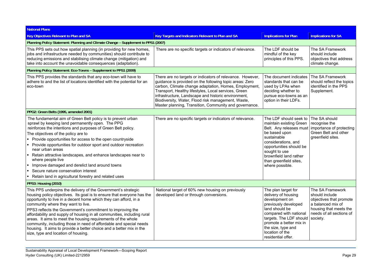| <b>National Plans</b>                                                                                                                                                                                                                                                                                                                                                                                                                                                                                                                                                                                                                          |                                                                                                                                                                                                                                                                                                                                                                                                              |                                                                                                                                                                                                                                                        |                                                                                                                                                      |
|------------------------------------------------------------------------------------------------------------------------------------------------------------------------------------------------------------------------------------------------------------------------------------------------------------------------------------------------------------------------------------------------------------------------------------------------------------------------------------------------------------------------------------------------------------------------------------------------------------------------------------------------|--------------------------------------------------------------------------------------------------------------------------------------------------------------------------------------------------------------------------------------------------------------------------------------------------------------------------------------------------------------------------------------------------------------|--------------------------------------------------------------------------------------------------------------------------------------------------------------------------------------------------------------------------------------------------------|------------------------------------------------------------------------------------------------------------------------------------------------------|
| Key Objectives Relevant to Plan and SA                                                                                                                                                                                                                                                                                                                                                                                                                                                                                                                                                                                                         | Key Targets and Indicators Relevant to Plan and SA                                                                                                                                                                                                                                                                                                                                                           | <b>Implications for Plan</b>                                                                                                                                                                                                                           | <b>Implications for SA</b>                                                                                                                           |
| Planning Policy Statement: Planning and Climate Change - Supplement to PPS1 (2007)                                                                                                                                                                                                                                                                                                                                                                                                                                                                                                                                                             |                                                                                                                                                                                                                                                                                                                                                                                                              |                                                                                                                                                                                                                                                        |                                                                                                                                                      |
| This PPS sets out how spatial planning (in providing for new homes,<br>jobs and infrastructure needed by communities) should contribute to<br>reducing emissions and stabilising climate change (mitigation) and<br>take into account the unavoidable consequences (adaptation).                                                                                                                                                                                                                                                                                                                                                               | There are no specific targets or indicators of relevance.                                                                                                                                                                                                                                                                                                                                                    | The LDF should be<br>mindful of the key<br>principles of this PPS.                                                                                                                                                                                     | The SA Framework<br>should include<br>objectives that address<br>climate change.                                                                     |
| Planning Policy Statement: Eco-Towns - Supplement to PPS1 (2009)                                                                                                                                                                                                                                                                                                                                                                                                                                                                                                                                                                               |                                                                                                                                                                                                                                                                                                                                                                                                              |                                                                                                                                                                                                                                                        |                                                                                                                                                      |
| This PPS provides the standards that any eco-town will have to<br>adhere to and the list of locations identified with the potential for an<br>eco-town                                                                                                                                                                                                                                                                                                                                                                                                                                                                                         | There are no targets or indicators of relevance. However,<br>guidance is provided on the following topic areas: Zero<br>carbon, Climate change adaptation, Homes, Employment,<br>Transport, Healthy lifestyles, Local services, Green<br>infrastructure, Landscape and historic environment,<br>Biodiversity, Water, Flood risk management, Waste,<br>Master planning, Transition, Community and governance. | The document indicates<br>standards that can be<br>used by LPAs when<br>deciding whether to<br>pursue eco-towns as an<br>option in their LDFs.                                                                                                         | The SA Framework<br>should reflect the topics<br>identified in the PPS<br>Supplement.                                                                |
| PPG2: Green Belts (1995, amended 2001)                                                                                                                                                                                                                                                                                                                                                                                                                                                                                                                                                                                                         |                                                                                                                                                                                                                                                                                                                                                                                                              |                                                                                                                                                                                                                                                        |                                                                                                                                                      |
| The fundamental aim of Green Belt policy is to prevent urban<br>sprawl by keeping land permanently open. The PPG<br>reinforces the intentions and purposes of Green Belt policy.<br>The objectives of the policy are to<br>• Provide opportunities for access to the open countryside<br>Provide opportunities for outdoor sport and outdoor recreation<br>. .<br>near urban areas<br>• Retain attractive landscapes, and enhance landscapes near to<br>where people live<br>Improve damaged and derelict land around towns<br>Secure nature conservation interest<br>۰.<br>• Retain land in agricultural forestry and related uses            | There are no specific targets or indicators of relevance.                                                                                                                                                                                                                                                                                                                                                    | The LDF should seek to<br>maintain existing Green<br>Belt. Any releases must<br>be based upon<br>sustainable<br>considerations, and<br>opportunities should be<br>sought to use<br>brownfield land rather<br>than greenfield sites,<br>where possible. | The SA should<br>recognise the<br>importance of protecting<br>Green Belt and other<br>greenfield sites.                                              |
| PPS3: Housing (2010)                                                                                                                                                                                                                                                                                                                                                                                                                                                                                                                                                                                                                           |                                                                                                                                                                                                                                                                                                                                                                                                              |                                                                                                                                                                                                                                                        |                                                                                                                                                      |
| This PPS underpins the delivery of the Government's strategic<br>housing policy objectives. Its goal is to ensure that everyone has the<br>opportunity to live in a decent home which they can afford, in a<br>community where they want to live.<br>PPS3 reflects the Government's commitment to improving the<br>affordability and supply of housing in all communities, including rural<br>areas. It aims to meet the housing requirements of the whole<br>community, including those in need of affordable and special needs<br>housing. It aims to provide a better choice and a better mix in the<br>size, type and location of housing. | National target of 60% new housing on previously<br>developed land or through conversions.                                                                                                                                                                                                                                                                                                                   | The plan target for<br>delivery of housing<br>development on<br>previously developed<br>land should be<br>compared with national<br>targets. The LDF should<br>promote a better mix in<br>the size, type and<br>location of the<br>residential offer.  | The SA Framework<br>should include<br>objectives that promote<br>a balanced mix of<br>housing that meets the<br>needs of all sections of<br>society. |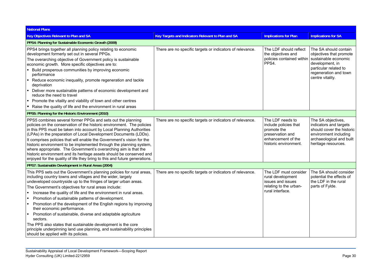| <b>National Plans</b>                                                                                                                                                                                                                                                                                                                                                                                                                                                                                                                                                                                                                                                                                                    |                                                           |                                                                                                                             |                                                                                                                                                       |
|--------------------------------------------------------------------------------------------------------------------------------------------------------------------------------------------------------------------------------------------------------------------------------------------------------------------------------------------------------------------------------------------------------------------------------------------------------------------------------------------------------------------------------------------------------------------------------------------------------------------------------------------------------------------------------------------------------------------------|-----------------------------------------------------------|-----------------------------------------------------------------------------------------------------------------------------|-------------------------------------------------------------------------------------------------------------------------------------------------------|
| Key Objectives Relevant to Plan and SA                                                                                                                                                                                                                                                                                                                                                                                                                                                                                                                                                                                                                                                                                   | Key Targets and Indicators Relevant to Plan and SA        | <b>Implications for Plan</b>                                                                                                | <b>Implications for SA</b>                                                                                                                            |
| PPS4: Planning for Sustainable Economic Growth (2009)                                                                                                                                                                                                                                                                                                                                                                                                                                                                                                                                                                                                                                                                    |                                                           |                                                                                                                             |                                                                                                                                                       |
| PPS4 brings together all planning policy relating to economic<br>development formerly set out in several PPGs.                                                                                                                                                                                                                                                                                                                                                                                                                                                                                                                                                                                                           | There are no specific targets or indicators of relevance. | The LDF should reflect<br>the objectives and                                                                                | The SA should contain<br>objectives that promote<br>sustainable economic                                                                              |
| The overarching objective of Government policy is sustainable<br>economic growth. More specific objectives are to:                                                                                                                                                                                                                                                                                                                                                                                                                                                                                                                                                                                                       |                                                           | policies contained within<br>PPS4.                                                                                          | development, in<br>particular related to                                                                                                              |
| • Build prosperous communities by improving economic<br>performance                                                                                                                                                                                                                                                                                                                                                                                                                                                                                                                                                                                                                                                      |                                                           |                                                                                                                             | regeneration and town<br>centre vitality.                                                                                                             |
| Reduce economic inequality, promote regeneration and tackle<br>deprivation                                                                                                                                                                                                                                                                                                                                                                                                                                                                                                                                                                                                                                               |                                                           |                                                                                                                             |                                                                                                                                                       |
| • Deliver more sustainable patterns of economic development and<br>reduce the need to travel                                                                                                                                                                                                                                                                                                                                                                                                                                                                                                                                                                                                                             |                                                           |                                                                                                                             |                                                                                                                                                       |
| • Promote the vitality and viability of town and other centres                                                                                                                                                                                                                                                                                                                                                                                                                                                                                                                                                                                                                                                           |                                                           |                                                                                                                             |                                                                                                                                                       |
| Raise the quality of life and the environment in rural areas                                                                                                                                                                                                                                                                                                                                                                                                                                                                                                                                                                                                                                                             |                                                           |                                                                                                                             |                                                                                                                                                       |
| PPS5: Planning for the Historic Environment (2010)                                                                                                                                                                                                                                                                                                                                                                                                                                                                                                                                                                                                                                                                       |                                                           |                                                                                                                             |                                                                                                                                                       |
| PPS5 combines several former PPGs and sets out the planning<br>policies on the conservation of the historic environment. The policies<br>in this PPS must be taken into account by Local Planning Authorities<br>(LPAs) in the preparation of Local Development Documents (LDDs).<br>It comprises policies that will enable the Government's vision for the<br>historic environment to be implemented through the planning system,<br>where appropriate. The Government's overarching aim is that the<br>historic environment and its heritage assets should be conserved and<br>enjoyed for the quality of life they bring to this and future generations.                                                              | There are no specific targets or indicators of relevance. | The LDF needs to<br>include policies that<br>promote the<br>preservation and<br>enhancement of the<br>historic environment. | The SA objectives,<br>indicators and targets<br>should cover the historic<br>environment including<br>archaeological and built<br>heritage resources. |
| PPS7: Sustainable Development in Rural Areas (2004)                                                                                                                                                                                                                                                                                                                                                                                                                                                                                                                                                                                                                                                                      |                                                           |                                                                                                                             |                                                                                                                                                       |
| This PPS sets out the Government's planning policies for rural areas,<br>including country towns and villages and the wider, largely<br>undeveloped countryside up to the fringes of larger urban areas.<br>The Government's objectives for rural areas include:<br>Increase the quality of life and the environment in rural areas.<br>Promotion of sustainable patterns of development.<br>Promotion of the development of the English regions by improving<br>their economic performance.<br>Promotion of sustainable, diverse and adaptable agriculture<br>л.<br>sectors.<br>The PPS also states that sustainable development is the core<br>principle underpinning land use planning, and sustainability principles | There are no specific targets or indicators of relevance. | The LDF must consider<br>rural development<br>issues and issues<br>relating to the urban-<br>rural interface.               | The SA should consider<br>potential the effects of<br>the LDF in the rural<br>parts of Fylde.                                                         |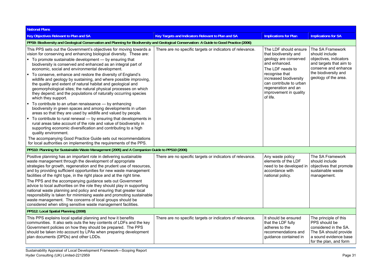| <b>National Plans</b>                                                                                                                                                                                                                                                                                                                                                                                                                                                                                                                                                                                                                                                                                                                                                                                                                                                                                                                                                                                                                                                                                                                                                                                                                                          |                                                           |                                                                                                                                                                                                                                                  |                                                                                                                                                                 |
|----------------------------------------------------------------------------------------------------------------------------------------------------------------------------------------------------------------------------------------------------------------------------------------------------------------------------------------------------------------------------------------------------------------------------------------------------------------------------------------------------------------------------------------------------------------------------------------------------------------------------------------------------------------------------------------------------------------------------------------------------------------------------------------------------------------------------------------------------------------------------------------------------------------------------------------------------------------------------------------------------------------------------------------------------------------------------------------------------------------------------------------------------------------------------------------------------------------------------------------------------------------|-----------------------------------------------------------|--------------------------------------------------------------------------------------------------------------------------------------------------------------------------------------------------------------------------------------------------|-----------------------------------------------------------------------------------------------------------------------------------------------------------------|
| Key Objectives Relevant to Plan and SA                                                                                                                                                                                                                                                                                                                                                                                                                                                                                                                                                                                                                                                                                                                                                                                                                                                                                                                                                                                                                                                                                                                                                                                                                         | Key Targets and Indicators Relevant to Plan and SA        | <b>Implications for Plan</b>                                                                                                                                                                                                                     | <b>Implications for SA</b>                                                                                                                                      |
| PPS9: Biodiversity and Geological Conservation and Planning for Biodiversity and Geological Conservation: A Guide to Good Practice (2006)                                                                                                                                                                                                                                                                                                                                                                                                                                                                                                                                                                                                                                                                                                                                                                                                                                                                                                                                                                                                                                                                                                                      |                                                           |                                                                                                                                                                                                                                                  |                                                                                                                                                                 |
| This PPS sets out the Government's objectives for moving towards a<br>vision for conserving and enhancing biological diversity. These are:<br>• To promote sustainable development - by ensuring that<br>biodiversity is conserved and enhanced as an integral part of<br>economic, social and environmental development.<br>To conserve, enhance and restore the diversity of England's<br>wildlife and geology by sustaining, and where possible improving,<br>the quality and extent of natural habitat and geological and<br>geomorphological sites; the natural physical processes on which<br>they depend; and the populations of naturally occurring species<br>which they support.<br>To contribute to an urban renaissance - by enhancing<br>biodiversity in green spaces and among developments in urban<br>areas so that they are used by wildlife and valued by people.<br>To contribute to rural renewal - by ensuring that developments in<br>rural areas take account of the role and value of biodiversity in<br>supporting economic diversification and contributing to a high<br>quality environment.<br>The accompanying Good Practice Guide sets out recommendations<br>for local authorities on implementing the requirements of the PPS. | There are no specific targets or indicators of relevance. | The LDF should ensure<br>that biodiversity and<br>geology are conserved<br>and enhanced.<br>The LDF needs to<br>recognise that<br>increased biodiversity<br>can contribute to urban<br>regeneration and an<br>improvement in quality<br>of life. | The SA Framework<br>should include<br>objectives, indicators<br>and targets that aim to<br>conserve and enhance<br>the biodiversity and<br>geology of the area. |
| PPS10: Planning for Sustainable Waste Management (2005) and A Companion Guide to PPS10 (2006)                                                                                                                                                                                                                                                                                                                                                                                                                                                                                                                                                                                                                                                                                                                                                                                                                                                                                                                                                                                                                                                                                                                                                                  |                                                           |                                                                                                                                                                                                                                                  |                                                                                                                                                                 |
| Positive planning has an important role in delivering sustainable<br>waste management through the development of appropriate<br>strategies for growth, regeneration and the prudent use of resources,<br>and by providing sufficient opportunities for new waste management<br>facilities of the right type, in the right place and at the right time.<br>The PPS and the accompanying guidance sets out Government<br>advice to local authorities on the role they should play in supporting<br>national waste planning and policy and ensuring that greater local<br>responsibility is taken for minimising waste and promoting sustainable<br>waste management. The concerns of local groups should be<br>considered when siting sensitive waste management facilities.                                                                                                                                                                                                                                                                                                                                                                                                                                                                                     | There are no specific targets or indicators of relevance. | Any waste policy<br>elements of the LDF<br>need to be developed in<br>accordance with<br>national policy.                                                                                                                                        | The SA Framework<br>should include<br>objectives that promote<br>sustainable waste<br>management.                                                               |
| PPS12: Local Spatial Planning (2008)                                                                                                                                                                                                                                                                                                                                                                                                                                                                                                                                                                                                                                                                                                                                                                                                                                                                                                                                                                                                                                                                                                                                                                                                                           |                                                           |                                                                                                                                                                                                                                                  |                                                                                                                                                                 |
| This PPS explains local spatial planning and how it benefits<br>communities. It also sets outs the key contents of LDFs and the key<br>Government policies on how they should be prepared. The PPS<br>should be taken into account by LPAs when preparing development<br>plan documents (DPDs) and other LDDs.                                                                                                                                                                                                                                                                                                                                                                                                                                                                                                                                                                                                                                                                                                                                                                                                                                                                                                                                                 | There are no specific targets or indicators of relevance. | It should be ensured<br>that the LDF fully<br>adheres to the<br>recommendations and<br>guidance contained in                                                                                                                                     | The principle of this<br>PPS should be<br>considered in the SA.<br>The SA should provide<br>a sound evidence base<br>for the plan, and form                     |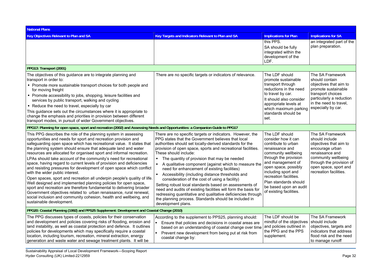| <b>National Plans</b>                                                                                                                                                                                                                                                                                                                                                                                                                                                                                                                                                                                                                                                                                                                                                                                                                                                                                                                                                                                      |                                                                                                                                                                                                                                                                                                                                                                                                                                                                                                                                                                                                                                                                                                                                                                                                                      |                                                                                                                                                                                                                                                                                                             |                                                                                                                                                                                                          |
|------------------------------------------------------------------------------------------------------------------------------------------------------------------------------------------------------------------------------------------------------------------------------------------------------------------------------------------------------------------------------------------------------------------------------------------------------------------------------------------------------------------------------------------------------------------------------------------------------------------------------------------------------------------------------------------------------------------------------------------------------------------------------------------------------------------------------------------------------------------------------------------------------------------------------------------------------------------------------------------------------------|----------------------------------------------------------------------------------------------------------------------------------------------------------------------------------------------------------------------------------------------------------------------------------------------------------------------------------------------------------------------------------------------------------------------------------------------------------------------------------------------------------------------------------------------------------------------------------------------------------------------------------------------------------------------------------------------------------------------------------------------------------------------------------------------------------------------|-------------------------------------------------------------------------------------------------------------------------------------------------------------------------------------------------------------------------------------------------------------------------------------------------------------|----------------------------------------------------------------------------------------------------------------------------------------------------------------------------------------------------------|
| Key Objectives Relevant to Plan and SA                                                                                                                                                                                                                                                                                                                                                                                                                                                                                                                                                                                                                                                                                                                                                                                                                                                                                                                                                                     | Key Targets and Indicators Relevant to Plan and SA                                                                                                                                                                                                                                                                                                                                                                                                                                                                                                                                                                                                                                                                                                                                                                   | <b>Implications for Plan</b>                                                                                                                                                                                                                                                                                | <b>Implications for SA</b>                                                                                                                                                                               |
|                                                                                                                                                                                                                                                                                                                                                                                                                                                                                                                                                                                                                                                                                                                                                                                                                                                                                                                                                                                                            |                                                                                                                                                                                                                                                                                                                                                                                                                                                                                                                                                                                                                                                                                                                                                                                                                      | this PPS.<br>SA should be fully<br>integrated within the<br>development of the<br>LDF.                                                                                                                                                                                                                      | an integrated part of the<br>plan preparation.                                                                                                                                                           |
| PPG13: Transport (2001)                                                                                                                                                                                                                                                                                                                                                                                                                                                                                                                                                                                                                                                                                                                                                                                                                                                                                                                                                                                    |                                                                                                                                                                                                                                                                                                                                                                                                                                                                                                                                                                                                                                                                                                                                                                                                                      |                                                                                                                                                                                                                                                                                                             |                                                                                                                                                                                                          |
| The objectives of this guidance are to integrate planning and<br>transport in order to:<br>• Promote more sustainable transport choices for both people and<br>for moving freight<br>• Promote accessibility to jobs, shopping, leisure facilities and<br>services by public transport, walking and cycling<br>• Reduce the need to travel, especially by car<br>This guidance sets out the circumstances where it is appropriate to<br>change the emphasis and priorities in provision between different<br>transport modes, in pursuit of wider Government objectives.                                                                                                                                                                                                                                                                                                                                                                                                                                   | There are no specific targets or indicators of relevance.                                                                                                                                                                                                                                                                                                                                                                                                                                                                                                                                                                                                                                                                                                                                                            | The LDF should<br>promote sustainable<br>transport through<br>reductions in the need<br>to travel by car.<br>It should also consider<br>appropriate levels at<br>which maximum parking<br>standards should be<br>set.                                                                                       | The SA Framework<br>should contain<br>objectives that aim to<br>promote sustainable<br>transport choices<br>particularly a reduction<br>in the need to travel,<br>especially by car.                     |
| PPG17: Planning for open space, sport and recreation (2002) and Assessing Needs and Opportunities: a Companion Guide to PPG17                                                                                                                                                                                                                                                                                                                                                                                                                                                                                                                                                                                                                                                                                                                                                                                                                                                                              |                                                                                                                                                                                                                                                                                                                                                                                                                                                                                                                                                                                                                                                                                                                                                                                                                      |                                                                                                                                                                                                                                                                                                             |                                                                                                                                                                                                          |
| This PPG describes the role of the planning system in assessing<br>opportunities and needs for sport and recreation provision and<br>safeguarding open space which has recreational value. It states that<br>the planning system should ensure that adequate land and water<br>resources are allocated for organised sport and informal recreation.<br>LPAs should take account of the community's need for recreational<br>space, having regard to current levels of provision and deficiencies<br>and resisting pressures for development of open space which conflict<br>with the wider public interest.<br>Open spaces, sport and recreation all underpin people's quality of life.<br>Well designed and implemented planning policies for open space,<br>sport and recreation are therefore fundamental to delivering broader<br>Government objectives related to urban renaissance, rural renewal,<br>social inclusion and community cohesion, health and wellbeing, and<br>sustainable development. | There are no specific targets or indicators. However, the<br>PPG states that the Government believes that local<br>authorities should set locally-derived standards for the<br>provision of open space, sports and recreational facilities.<br>These should include:<br>• The quantity of provision that may be needed<br>• A qualitative component (against which to measure the<br>need for enhancement of existing facilities)<br>• Accessibility (including distance thresholds and<br>consideration of the cost of using a facility)<br>Setting robust local standards based on assessments of<br>need and audits of existing facilities will form the basis for<br>redressing quantitative and qualitative deficiencies through<br>the planning process. Standards should be included in<br>development plans. | The LDF should<br>consider how it can<br>contribute to urban<br>renaissance and<br>community wellbeing<br>through the provision<br>and management of<br>open space, possibly<br>including sport and<br>recreation facilities.<br>Plan standards should<br>be based upon an audit<br>of existing facilities. | The SA Framework<br>should include<br>objectives that aim to<br>encourage urban<br>renaissance and<br>community wellbeing<br>through the provision of<br>open space, sport and<br>recreation facilities. |
| PPG20: Coastal Planning (1992) and PPS25 Supplement: Development and Coastal Change (2010)                                                                                                                                                                                                                                                                                                                                                                                                                                                                                                                                                                                                                                                                                                                                                                                                                                                                                                                 |                                                                                                                                                                                                                                                                                                                                                                                                                                                                                                                                                                                                                                                                                                                                                                                                                      |                                                                                                                                                                                                                                                                                                             |                                                                                                                                                                                                          |
| The PPG discusses types of coasts, policies for their conservation<br>and development and policies covering risks of flooding, erosion and<br>land instability, as well as coastal protection and defence. It outlines<br>policies for developments which may specifically require a coastal<br>location, including tourism, recreation, mineral extraction, energy<br>generation and waste water and sewage treatment plants. It will be                                                                                                                                                                                                                                                                                                                                                                                                                                                                                                                                                                  | According to the supplement to PPS25, planning should:<br>Ensure that policies and decisions in coastal areas are<br>based on an understanding of coastal change over time<br>Prevent new development from being put at risk from<br>coastal change by:                                                                                                                                                                                                                                                                                                                                                                                                                                                                                                                                                              | The LDF should be<br>mindful of the objectives<br>and policies outlined in<br>the PPG and the PPS<br>supplement.                                                                                                                                                                                            | The SA Framework<br>should include<br>objectives, targets and<br>indicators that address<br>flood risk and the need<br>to manage runoff                                                                  |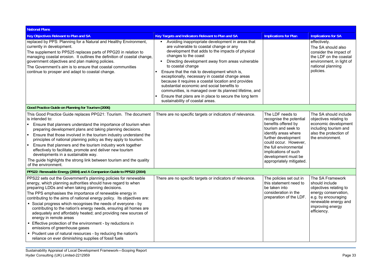| <b>National Plans</b>                                                                                                                                                                                                                                                                                                                                                                                                                                                                                                                                                                                                                                                                                                                                                                      |                                                                                                                                                                                                                                                                                                                                                                                                                                                                                                                                                                                                                                       |                                                                                                                                                                                                                                                                        |                                                                                                                                                                        |
|--------------------------------------------------------------------------------------------------------------------------------------------------------------------------------------------------------------------------------------------------------------------------------------------------------------------------------------------------------------------------------------------------------------------------------------------------------------------------------------------------------------------------------------------------------------------------------------------------------------------------------------------------------------------------------------------------------------------------------------------------------------------------------------------|---------------------------------------------------------------------------------------------------------------------------------------------------------------------------------------------------------------------------------------------------------------------------------------------------------------------------------------------------------------------------------------------------------------------------------------------------------------------------------------------------------------------------------------------------------------------------------------------------------------------------------------|------------------------------------------------------------------------------------------------------------------------------------------------------------------------------------------------------------------------------------------------------------------------|------------------------------------------------------------------------------------------------------------------------------------------------------------------------|
| <b>Key Objectives Relevant to Plan and SA</b>                                                                                                                                                                                                                                                                                                                                                                                                                                                                                                                                                                                                                                                                                                                                              | Key Targets and Indicators Relevant to Plan and SA                                                                                                                                                                                                                                                                                                                                                                                                                                                                                                                                                                                    | <b>Implications for Plan</b>                                                                                                                                                                                                                                           | <b>Implications for SA</b>                                                                                                                                             |
| replaced by PPS: Planning for a Natural and Healthy Environment,<br>currently in development.<br>The supplement to PPS25 replaces parts of PPG20 in relation to<br>managing coastal erosion. It outlines the definition of coastal change,<br>government objectives and plan making policies.<br>The Government's aim is to ensure that coastal communities<br>continue to prosper and adapt to coastal change.                                                                                                                                                                                                                                                                                                                                                                            | Avoiding inappropriate development in areas that<br>$\blacksquare$<br>are vulnerable to coastal change or any<br>development that adds to the impacts of physical<br>changes to the coast<br>Directing development away from areas vulnerable<br>to coastal change<br>Ensure that the risk to development which is,<br>exceptionally, necessary in coastal change areas<br>because it requires a coastal location and provides<br>substantial economic and social benefits to<br>communities, is managed over its planned lifetime, and<br>Ensure that plans are in place to secure the long term<br>sustainability of coastal areas. |                                                                                                                                                                                                                                                                        | effectively.<br>The SA should also<br>consider the impact of<br>the LDF on the coastal<br>environment, in light of<br>national planning<br>policies.                   |
| Good Practice Guide on Planning for Tourism (2006)                                                                                                                                                                                                                                                                                                                                                                                                                                                                                                                                                                                                                                                                                                                                         |                                                                                                                                                                                                                                                                                                                                                                                                                                                                                                                                                                                                                                       |                                                                                                                                                                                                                                                                        |                                                                                                                                                                        |
| This Good Practice Guide replaces PPG21: Tourism. The document<br>is intended to:<br>Ensure that planners understand the importance of tourism when<br>$\blacksquare$<br>preparing development plans and taking planning decisions.<br>Ensure that those involved in the tourism industry understand the<br>$\blacksquare$<br>principles of national planning policy as they apply to tourism.<br>Ensure that planners and the tourism industry work together<br>$\blacksquare$<br>effectively to facilitate, promote and deliver new tourism<br>developments in a sustainable way.<br>The guide highlights the strong link between tourism and the quality<br>of the environment.                                                                                                         | There are no specific targets or indicators of relevance.                                                                                                                                                                                                                                                                                                                                                                                                                                                                                                                                                                             | The LDF needs to<br>recognise the potential<br>benefits offered by<br>tourism and seek to<br>identify areas where<br>further development<br>could occur. However,<br>the full environmental<br>implications of such<br>development must be<br>appropriately mitigated. | The SA should include<br>objectives relating to<br>economic development<br>including tourism and<br>also the protection of<br>the environment.                         |
| PPS22: Renewable Energy (2004) and A Companion Guide to PPS22 (2004)                                                                                                                                                                                                                                                                                                                                                                                                                                                                                                                                                                                                                                                                                                                       |                                                                                                                                                                                                                                                                                                                                                                                                                                                                                                                                                                                                                                       |                                                                                                                                                                                                                                                                        |                                                                                                                                                                        |
| PPS22 sets out the Government's planning policies for renewable<br>energy, which planning authorities should have regard to when<br>preparing LDDs and when taking planning decisions.<br>The PPS emphasises the importance of renewable energy in<br>contributing to the aims of national energy policy. Its objectives are:<br>• Social progress which recognises the needs of everyone - by<br>contributing to the nation's energy needs, ensuring all homes are<br>adequately and affordably heated; and providing new sources of<br>energy in remote areas<br>• Effective protection of the environment - by reductions in<br>emissions of greenhouse gases<br>• Prudent use of natural resources - by reducing the nation's<br>reliance on ever diminishing supplies of fossil fuels | There are no specific targets or indicators of relevance.                                                                                                                                                                                                                                                                                                                                                                                                                                                                                                                                                                             | The policies set out in<br>this statement need to<br>be taken into<br>consideration in the<br>preparation of the LDF.                                                                                                                                                  | The SA Framework<br>should include<br>objectives relating to<br>energy conservation,<br>e.g. by encouraging<br>renewable energy and<br>improving energy<br>efficiency. |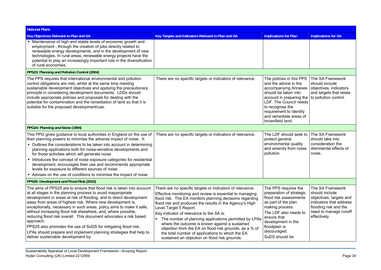| <b>National Plans</b>                                                                                                                                                                                                                                                                                                                                                                                                                                                                                                                                                                                                                                                                |                                                                                                                                                                                                                                                                                                                                                                                                                                                                                                                                                                                               |                                                                                                                                                                                                                                                      |                                                                                                                                                            |
|--------------------------------------------------------------------------------------------------------------------------------------------------------------------------------------------------------------------------------------------------------------------------------------------------------------------------------------------------------------------------------------------------------------------------------------------------------------------------------------------------------------------------------------------------------------------------------------------------------------------------------------------------------------------------------------|-----------------------------------------------------------------------------------------------------------------------------------------------------------------------------------------------------------------------------------------------------------------------------------------------------------------------------------------------------------------------------------------------------------------------------------------------------------------------------------------------------------------------------------------------------------------------------------------------|------------------------------------------------------------------------------------------------------------------------------------------------------------------------------------------------------------------------------------------------------|------------------------------------------------------------------------------------------------------------------------------------------------------------|
| Key Objectives Relevant to Plan and SA                                                                                                                                                                                                                                                                                                                                                                                                                                                                                                                                                                                                                                               | Key Targets and Indicators Relevant to Plan and SA                                                                                                                                                                                                                                                                                                                                                                                                                                                                                                                                            | <b>Implications for Plan</b>                                                                                                                                                                                                                         | <b>Implications for SA</b>                                                                                                                                 |
| • Maintenance of high and stable levels of economic growth and<br>employment - through the creation of jobs directly related to<br>renewable energy developments, and in the development of new<br>technologies. In rural areas, renewable energy projects have the<br>potential to play an increasingly important role in the diversification<br>of rural economies.                                                                                                                                                                                                                                                                                                                |                                                                                                                                                                                                                                                                                                                                                                                                                                                                                                                                                                                               |                                                                                                                                                                                                                                                      |                                                                                                                                                            |
| PPS23: Planning and Pollution Control (2004)                                                                                                                                                                                                                                                                                                                                                                                                                                                                                                                                                                                                                                         |                                                                                                                                                                                                                                                                                                                                                                                                                                                                                                                                                                                               |                                                                                                                                                                                                                                                      |                                                                                                                                                            |
| The PPS requires that international environmental and pollution<br>control obligations are met, whilst at the same time meeting<br>sustainable development objectives and applying the precautionary<br>principle in considering development documents. LDDs should<br>include appropriate policies and proposals for dealing with the<br>potential for contamination and the remediation of land so that it is<br>suitable for the proposed development/use.                                                                                                                                                                                                                        | There are no specific targets or indicators of relevance.                                                                                                                                                                                                                                                                                                                                                                                                                                                                                                                                     | The policies in this PPS<br>and the advice in the<br>accompanying Annexes<br>should be taken into<br>account in preparing the<br>LDF. The Council needs<br>to recognise the<br>requirement to identify<br>and remediate areas of<br>brownfield land. | The SA Framework<br>should include<br>objectives, indicators<br>and targets that relate<br>to pollution control.                                           |
| PPG24: Planning and Noise (1994)                                                                                                                                                                                                                                                                                                                                                                                                                                                                                                                                                                                                                                                     |                                                                                                                                                                                                                                                                                                                                                                                                                                                                                                                                                                                               |                                                                                                                                                                                                                                                      |                                                                                                                                                            |
| This PPG gives guidance to local authorities in England on the use of<br>their planning powers to minimise the adverse impact of noise. It:<br>• Outlines the considerations to be taken into account in determining<br>planning applications both for noise-sensitive developments and<br>for those activities which will generate noise<br>• Introduces the concept of noise exposure categories for residential<br>development, encourages their use and recommends appropriate<br>levels for exposure to different sources of noise<br>Advises on the use of conditions to minimise the impact of noise                                                                          | There are no specific targets or indicators of relevance.                                                                                                                                                                                                                                                                                                                                                                                                                                                                                                                                     | The LDF should seek to<br>protect general<br>environmental quality<br>and amenity from noise<br>pollution.                                                                                                                                           | The SA Framework<br>should take into<br>consideration the<br>detrimental effects of<br>noise.                                                              |
| PPS25: Development and Flood Risk (2010)                                                                                                                                                                                                                                                                                                                                                                                                                                                                                                                                                                                                                                             |                                                                                                                                                                                                                                                                                                                                                                                                                                                                                                                                                                                               |                                                                                                                                                                                                                                                      |                                                                                                                                                            |
| The aims of PPS25 are to ensure that flood risk is taken into account<br>at all stages in the planning process to avoid inappropriate<br>development in areas at risk of flooding, and to direct development<br>away from areas of highest risk. Where new development is,<br>exceptionally, necessary in such areas, policy aims to make it safe,<br>without increasing flood risk elsewhere, and, where possible,<br>reducing flood risk overall. This document advocates a risk based<br>approach.<br>PPS25 also promotes the use of SuDS for mitigating flood risk.<br>LPAs should prepare and implement planning strategies that help to<br>deliver sustainable development by: | There are no specific targets or indicators of relevance.<br>Effective monitoring and review is essential to managing<br>flood risk. The EA monitors planning decisions regarding<br>flood risk and produces the results in the Agency's High<br>Level Target 5 Report.<br>Key indicator of relevance to the SA is:<br>The number of planning applications permitted by LPAs<br>where the outcome is known against a sustained<br>objection from the EA on flood risk grounds, as a % of<br>the total number of applications to which the EA<br>sustained an objection on flood risk grounds. | The PPS requires the<br>preparation of strategic<br>flood risk assessments<br>as part of the plan<br>making process.<br>The LDF also needs to<br>ensure that<br>development in the<br>floodplain is<br>discouraged.<br>SuDS should be                | The SA Framework<br>should include<br>objectives, targets and<br>indicators that address<br>flooding risk and the<br>need to manage runoff<br>effectively. |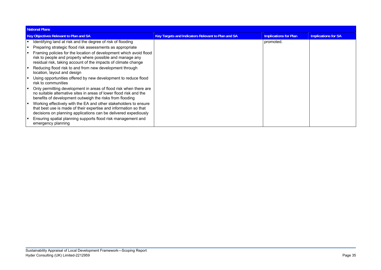| <b>National Plans</b>                                                                                                                                                                                   |                                                    |                              |                            |  |
|---------------------------------------------------------------------------------------------------------------------------------------------------------------------------------------------------------|----------------------------------------------------|------------------------------|----------------------------|--|
| Key Objectives Relevant to Plan and SA                                                                                                                                                                  | Key Targets and Indicators Relevant to Plan and SA | <b>Implications for Plan</b> | <b>Implications for SA</b> |  |
| Identifying land at risk and the degree of risk of flooding                                                                                                                                             |                                                    | promoted.                    |                            |  |
| Preparing strategic flood risk assessments as appropriate                                                                                                                                               |                                                    |                              |                            |  |
| Framing policies for the location of development which avoid flood<br>risk to people and property where possible and manage any<br>residual risk, taking account of the impacts of climate change       |                                                    |                              |                            |  |
| Reducing flood risk to and from new development through<br>location, layout and design                                                                                                                  |                                                    |                              |                            |  |
| Using opportunities offered by new development to reduce flood<br>risk to communities                                                                                                                   |                                                    |                              |                            |  |
| Only permitting development in areas of flood risk when there are<br>no suitable alternative sites in areas of lower flood risk and the<br>benefits of development outweigh the risks from flooding     |                                                    |                              |                            |  |
| Working effectively with the EA and other stakeholders to ensure<br>that best use is made of their expertise and information so that<br>decisions on planning applications can be delivered expediously |                                                    |                              |                            |  |
| Ensuring spatial planning supports flood risk management and<br>emergency planning                                                                                                                      |                                                    |                              |                            |  |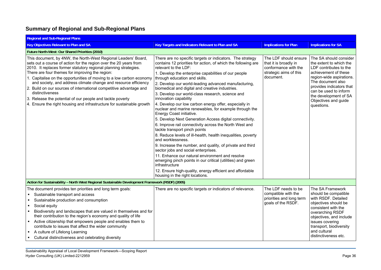## **Summary of Regional and Sub-Regional Plans**

| <b>Regional and Sub-Regional Plans</b>                                                                                                                                                                                                                                                                                                                                                                                                                                                                                                                                                                                               |                                                                                                                                                                                                                                                                                                                                                                                                                                                                                                                                                                                                                                                                                                                                                                                                                                                                                                                                                                                                                                                                                                                                                                      |                                                                                                               |                                                                                                                                                                                                                                                                          |
|--------------------------------------------------------------------------------------------------------------------------------------------------------------------------------------------------------------------------------------------------------------------------------------------------------------------------------------------------------------------------------------------------------------------------------------------------------------------------------------------------------------------------------------------------------------------------------------------------------------------------------------|----------------------------------------------------------------------------------------------------------------------------------------------------------------------------------------------------------------------------------------------------------------------------------------------------------------------------------------------------------------------------------------------------------------------------------------------------------------------------------------------------------------------------------------------------------------------------------------------------------------------------------------------------------------------------------------------------------------------------------------------------------------------------------------------------------------------------------------------------------------------------------------------------------------------------------------------------------------------------------------------------------------------------------------------------------------------------------------------------------------------------------------------------------------------|---------------------------------------------------------------------------------------------------------------|--------------------------------------------------------------------------------------------------------------------------------------------------------------------------------------------------------------------------------------------------------------------------|
| Key Objectives Relevant to Plan and SA                                                                                                                                                                                                                                                                                                                                                                                                                                                                                                                                                                                               | Key Targets and Indicators Relevant to Plan and SA                                                                                                                                                                                                                                                                                                                                                                                                                                                                                                                                                                                                                                                                                                                                                                                                                                                                                                                                                                                                                                                                                                                   | <b>Implications for Plan</b>                                                                                  | <b>Implications for SA</b>                                                                                                                                                                                                                                               |
| Future North-West: Our Shared Priorities (2010)                                                                                                                                                                                                                                                                                                                                                                                                                                                                                                                                                                                      |                                                                                                                                                                                                                                                                                                                                                                                                                                                                                                                                                                                                                                                                                                                                                                                                                                                                                                                                                                                                                                                                                                                                                                      |                                                                                                               |                                                                                                                                                                                                                                                                          |
| This document, by 4NW, the North-West Regional Leaders' Board,<br>sets out a course of action for the region over the 20 years from<br>2010. It replaces former statutory regional planning strategies.<br>There are four themes for improving the region:<br>1. Capitalise on the opportunities of moving to a low carbon economy<br>and society, and address climate change and resource efficiency<br>2. Build on our sources of international competitive advantage and<br>distinctiveness<br>3. Release the potential of our people and tackle poverty<br>4. Ensure the right housing and infrastructure for sustainable growth | There are no specific targets or indicators. The strategy<br>contains 12 priorities for action, of which the following are<br>relevant to the LDF:<br>1. Develop the enterprise capabilities of our people<br>through education and skills.<br>2. Develop our world-leading advanced manufacturing,<br>biomedical and digital and creative industries.<br>3. Develop our world-class research, science and<br>innovation capability<br>4. Develop our low carbon energy offer, especially in<br>nuclear and marine renewables, for example through the<br>Energy Coast initiative.<br>5. Develop Next Generation Access digital connectivity.<br>6. Improve rail connectivity across the North West and<br>tackle transport pinch points<br>8. Reduce levels of ill-health, health inequalities, poverty<br>and worklessness.<br>9. Increase the number, and quality, of private and third<br>sector jobs and social enterprises.<br>11. Enhance our natural environment and resolve<br>emerging pinch points in our critical (utilities) and green<br>infrastructure<br>12. Ensure high-quality, energy efficient and affordable<br>housing in the right locations. | The LDF should ensure<br>that it is broadly in<br>conformance with the<br>strategic aims of this<br>document. | The SA should consider<br>the extent to which the<br>LDF contributes to the<br>achievement of these<br>region-wide aspirations.<br>The document also<br>provides indicators that<br>can be used to inform<br>the development of SA<br>Objectives and guide<br>questions. |
| Action for Sustainability - North West Regional Sustainable Development Framework (RSDF) (2005)                                                                                                                                                                                                                                                                                                                                                                                                                                                                                                                                      |                                                                                                                                                                                                                                                                                                                                                                                                                                                                                                                                                                                                                                                                                                                                                                                                                                                                                                                                                                                                                                                                                                                                                                      |                                                                                                               |                                                                                                                                                                                                                                                                          |
| The document provides ten priorities and long term goals:<br>Sustainable transport and access<br>Sustainable production and consumption<br>Social equity<br>Biodiversity and landscapes that are valued in themselves and for<br>their contribution to the region's economy and quality of life<br>• Active citizenship that empowers people and enables them to<br>contribute to issues that affect the wider community<br>A culture of Lifelong Learning<br>Cultural distinctiveness and celebrating diversity                                                                                                                     | There are no specific targets or indicators of relevance.                                                                                                                                                                                                                                                                                                                                                                                                                                                                                                                                                                                                                                                                                                                                                                                                                                                                                                                                                                                                                                                                                                            | The LDF needs to be<br>compatible with the<br>priorities and long term<br>goals of the RSDF.                  | The SA Framework<br>should be compatible<br>with RSDF. Detailed<br>objectives should be<br>consistent with the<br>overarching RSDF<br>objectives, and include<br>issues covering<br>transport, biodiversity<br>and cultural<br>distinctiveness etc.                      |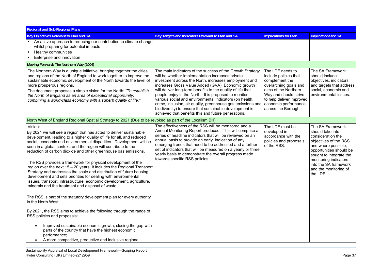| <b>Regional and Sub-Regional Plans</b>                                                                                                                                                                                                                                                                                                                                                                                                                                                                                                                                                                                                                                                                                                                                                                                                                                                                                                                                                                                                                                                                                                                                                               |                                                                                                                                                                                                                                                                                                                                                                                                                                                                                                                                                                                                 |                                                                                                                                                                                                                  |                                                                                                                                                                                                                                                        |
|------------------------------------------------------------------------------------------------------------------------------------------------------------------------------------------------------------------------------------------------------------------------------------------------------------------------------------------------------------------------------------------------------------------------------------------------------------------------------------------------------------------------------------------------------------------------------------------------------------------------------------------------------------------------------------------------------------------------------------------------------------------------------------------------------------------------------------------------------------------------------------------------------------------------------------------------------------------------------------------------------------------------------------------------------------------------------------------------------------------------------------------------------------------------------------------------------|-------------------------------------------------------------------------------------------------------------------------------------------------------------------------------------------------------------------------------------------------------------------------------------------------------------------------------------------------------------------------------------------------------------------------------------------------------------------------------------------------------------------------------------------------------------------------------------------------|------------------------------------------------------------------------------------------------------------------------------------------------------------------------------------------------------------------|--------------------------------------------------------------------------------------------------------------------------------------------------------------------------------------------------------------------------------------------------------|
| Key Objectives Relevant to Plan and SA                                                                                                                                                                                                                                                                                                                                                                                                                                                                                                                                                                                                                                                                                                                                                                                                                                                                                                                                                                                                                                                                                                                                                               | Key Targets and Indicators Relevant to Plan and SA                                                                                                                                                                                                                                                                                                                                                                                                                                                                                                                                              | <b>Implications for Plan</b>                                                                                                                                                                                     | <b>Implications for SA</b>                                                                                                                                                                                                                             |
| An active approach to reducing our contribution to climate change<br>$\bullet$<br>whilst preparing for potential impacts<br>Healthy communities<br>Enterprise and innovation                                                                                                                                                                                                                                                                                                                                                                                                                                                                                                                                                                                                                                                                                                                                                                                                                                                                                                                                                                                                                         |                                                                                                                                                                                                                                                                                                                                                                                                                                                                                                                                                                                                 |                                                                                                                                                                                                                  |                                                                                                                                                                                                                                                        |
| Moving Forward: The Northern Way (2004)                                                                                                                                                                                                                                                                                                                                                                                                                                                                                                                                                                                                                                                                                                                                                                                                                                                                                                                                                                                                                                                                                                                                                              |                                                                                                                                                                                                                                                                                                                                                                                                                                                                                                                                                                                                 |                                                                                                                                                                                                                  |                                                                                                                                                                                                                                                        |
| The Northern Way is a unique initiative, bringing together the cities<br>and regions of the North of England to work together to improve the<br>sustainable economic development of the North towards the level of<br>more prosperous regions.<br>The document proposes a simple vision for the North: "To establish<br>the North of England as an area of exceptional opportunity,<br>combining a world-class economy with a superb quality of life."                                                                                                                                                                                                                                                                                                                                                                                                                                                                                                                                                                                                                                                                                                                                               | The main indicators of the success of the Growth Strategy<br>will be whether implementation increases private<br>investment across the North, increases employment and<br>increases Gross Value Added (GVA). Economic growth<br>will deliver long-term benefits to the quality of life that<br>people enjoy in the North. It is proposed to monitor<br>various social and environmental indicators (on health,<br>crime, inclusion, air quality, greenhouse gas emissions and<br>biodiversity) to ensure that sustainable development is<br>achieved that benefits this and future generations. | The LDF needs to<br>include policies that<br>complement the<br>overarching goals and<br>aims of the Northern<br>Way and should strive<br>to help deliver improved<br>economic performance<br>across the Borough. | The SA Framework<br>should include<br>objectives, indicators<br>and targets that address<br>social, economic and<br>environmental issues.                                                                                                              |
| North West of England Regional Spatial Strategy to 2021 (Due to be revoked as part of the Localism Bill)                                                                                                                                                                                                                                                                                                                                                                                                                                                                                                                                                                                                                                                                                                                                                                                                                                                                                                                                                                                                                                                                                             |                                                                                                                                                                                                                                                                                                                                                                                                                                                                                                                                                                                                 |                                                                                                                                                                                                                  |                                                                                                                                                                                                                                                        |
| Vision:<br>By 2021 we will see a region that has acted to deliver sustainable<br>development, leading to a higher quality of life for all, and reduced<br>social, economic and environmental disparities. Development will be<br>seen in a global context, and the region will contribute to the<br>reduction of carbon dioxide and other greenhouse gas emissions.<br>The RSS provides a framework for physical development of the<br>region over the next 15 - 20 years. It includes the Regional Transport<br>Strategy and addresses the scale and distribution of future housing<br>development and sets priorities for dealing with environmental<br>issues, transport, infrastructure, economic development, agriculture,<br>minerals and the treatment and disposal of waste.<br>The RSS is part of the statutory development plan for every authority<br>in the North West.<br>By 2021, the RSS aims to achieve the following through the range of<br>RSS policies and proposals:<br>Improved sustainable economic growth, closing the gap with<br>$\bullet$<br>parts of the country that have the highest economic<br>performance:<br>A more competitive, productive and inclusive regional | The effectiveness of the RSS will be monitored and a<br>Annual Monitoring Report produced. This will comprise a<br>series of headline indicators that will be reviewed on an<br>annual basis to provide an early indication of any<br>emerging trends that need to be addressed and a further<br>set of indicators that will be measured on a yearly or three<br>yearly basis to demonstrate the overall progress made<br>towards specific RSS policies.                                                                                                                                        | The LDF must be<br>developed in<br>accordance with the<br>policies and proposals<br>of the RSS.                                                                                                                  | The SA Framework<br>should take into<br>consideration the<br>objectives of the RSS<br>and where possible,<br>opportunities should be<br>sought to integrate the<br>monitoring indicators<br>into the SA framework<br>and the monitoring of<br>the LDF. |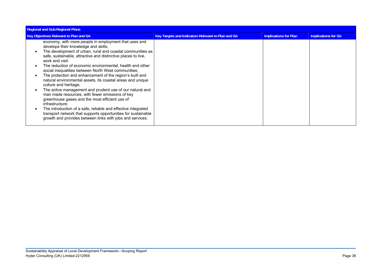| <b>Regional and Sub-Regional Plans</b>                                                                                                                                                                                                                                                                                                                                                                                                                                                                                                                                                                                                                                                                                                                                                                                                                                                                   |                                                    |                              |                            |  |
|----------------------------------------------------------------------------------------------------------------------------------------------------------------------------------------------------------------------------------------------------------------------------------------------------------------------------------------------------------------------------------------------------------------------------------------------------------------------------------------------------------------------------------------------------------------------------------------------------------------------------------------------------------------------------------------------------------------------------------------------------------------------------------------------------------------------------------------------------------------------------------------------------------|----------------------------------------------------|------------------------------|----------------------------|--|
| Key Objectives Relevant to Plan and SA                                                                                                                                                                                                                                                                                                                                                                                                                                                                                                                                                                                                                                                                                                                                                                                                                                                                   | Key Targets and Indicators Relevant to Plan and SA | <b>Implications for Plan</b> | <b>Implications for SA</b> |  |
| economy, with more people in employment that uses and<br>develops their knowledge and skills;<br>The development of urban, rural and coastal communities as<br>safe, sustainable, attractive and distinctive places to live,<br>work and visit<br>The reduction of economic environmental, health and other<br>social inequalities between North West communities;<br>The protection and enhancement of the region's built and<br>natural environmental assets, its coastal areas and unique<br>culture and heritage;<br>The active management and prudent use of our natural and<br>man made resources, with fewer emissions of key<br>greenhouse gases and the most efficient use of<br>infrastructure;<br>The introduction of a safe, reliable and effective integrated<br>transport network that supports opportunities for sustainable<br>growth and provides between links with jobs and services. |                                                    |                              |                            |  |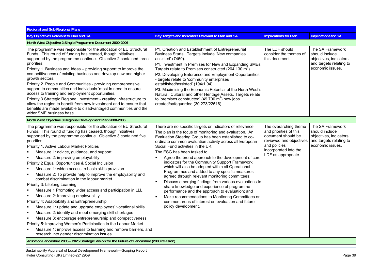| <b>Regional and Sub-Regional Plans</b>                                                                                                                                                                                                                                                                                                                                                                                                                                                                                                                                                                                                                                                                                                                                                                                                                                                                                                                                                                                                                                                                                                                                                                                                                                           |                                                                                                                                                                                                                                                                                                                                                                                                                                                                                                                                                                                                                                                                                                                                                                                                                                                                         |                                                                                                                                                                  |                                                                                                             |  |
|----------------------------------------------------------------------------------------------------------------------------------------------------------------------------------------------------------------------------------------------------------------------------------------------------------------------------------------------------------------------------------------------------------------------------------------------------------------------------------------------------------------------------------------------------------------------------------------------------------------------------------------------------------------------------------------------------------------------------------------------------------------------------------------------------------------------------------------------------------------------------------------------------------------------------------------------------------------------------------------------------------------------------------------------------------------------------------------------------------------------------------------------------------------------------------------------------------------------------------------------------------------------------------|-------------------------------------------------------------------------------------------------------------------------------------------------------------------------------------------------------------------------------------------------------------------------------------------------------------------------------------------------------------------------------------------------------------------------------------------------------------------------------------------------------------------------------------------------------------------------------------------------------------------------------------------------------------------------------------------------------------------------------------------------------------------------------------------------------------------------------------------------------------------------|------------------------------------------------------------------------------------------------------------------------------------------------------------------|-------------------------------------------------------------------------------------------------------------|--|
| Key Objectives Relevant to Plan and SA                                                                                                                                                                                                                                                                                                                                                                                                                                                                                                                                                                                                                                                                                                                                                                                                                                                                                                                                                                                                                                                                                                                                                                                                                                           | Key Targets and Indicators Relevant to Plan and SA                                                                                                                                                                                                                                                                                                                                                                                                                                                                                                                                                                                                                                                                                                                                                                                                                      | <b>Implications for Plan</b>                                                                                                                                     | <b>Implications for SA</b>                                                                                  |  |
| North West Objective 2 Single Programme Document 2000-2006                                                                                                                                                                                                                                                                                                                                                                                                                                                                                                                                                                                                                                                                                                                                                                                                                                                                                                                                                                                                                                                                                                                                                                                                                       |                                                                                                                                                                                                                                                                                                                                                                                                                                                                                                                                                                                                                                                                                                                                                                                                                                                                         |                                                                                                                                                                  |                                                                                                             |  |
| The programme was responsible for the allocation of EU Structural<br>Funds. This round of funding has ceased, though initiatives<br>supported by the programme continue. Objective 2 contained three<br>priorities:<br>Priority 1. Business and Ideas - providing support to improve the<br>competitiveness of existing business and develop new and higher<br>growth sectors,<br>Priority 2. People and Communities - providing comprehensive<br>support to communities and individuals 'most in need to ensure<br>access to training and employment opportunities.<br>Priority 3 Strategic Regional Investment - creating infrastructure to<br>allow the region to benefit from new investment and to ensure that<br>benefits are made available to disadvantaged communities and the<br>wider SME business base.                                                                                                                                                                                                                                                                                                                                                                                                                                                              | P1. Creation and Establishment of Entrepreneurial<br>Business Starts. Targets include 'New companies<br>assisted' (7450).<br>P1. Investment In Premises for New and Expanding SMEs.<br>Targets relate to Premises constructed (204,130 m <sup>3</sup> ).<br>P2. Developing Enterprise and Employment Opportunities<br>- targets relate to 'community enterprises<br>established/assisted' (194/1 94).<br>P3. Maximising the Economic Potential of the North West's<br>Natural, Cultural and other Heritage Assets. Targets relate<br>to 'premises constructed' $(49,700 \text{ m}^2)$ new jobs<br>created/safeguarded (30 273/22516).                                                                                                                                                                                                                                   | The LDF should<br>consider the themes of<br>this document.                                                                                                       | The SA Framework<br>should include<br>objectives, indicators<br>and targets relating to<br>economic issues. |  |
| North West Objective 3 Regional Development Plan 2000-2006                                                                                                                                                                                                                                                                                                                                                                                                                                                                                                                                                                                                                                                                                                                                                                                                                                                                                                                                                                                                                                                                                                                                                                                                                       |                                                                                                                                                                                                                                                                                                                                                                                                                                                                                                                                                                                                                                                                                                                                                                                                                                                                         |                                                                                                                                                                  |                                                                                                             |  |
| The programme was responsible for the allocation of EU Structural<br>Funds. This round of funding has ceased, though initiatives<br>supported by the programme continue. Objective 3 contained five<br>priorities:<br>Priority 1. Active Labour Market Policies<br>Measure 1: advice, guidance, and support<br>Measure 2: improving employability<br>Priority 2 Equal Opportunities & Social Inclusion<br>Measure 1: widen access to basic skills provision<br>Measure 2: To provide help to improve the employability and<br>combat discrimination in the labour market<br>Priority 3: Lifelong Learning<br>Measure 1 Promoting wider access and participation in LLL<br>$\blacksquare$<br>Measure 2: Improving employability<br>$\blacksquare$<br>Priority 4: Adaptability and Entrepreneurship<br>Measure 1: update and upgrade employees' vocational skills<br>Measure 2: identify and meet emerging skill shortages<br>п<br>Measure 3: encourage entrepreneurship and competitiveness<br>Priority 5: Improving Women's Participation in the Labour Market.<br>Measure 1: improve access to learning and remove barriers, and<br>research into gender discrimination issues<br>Ambition Lancashire 2005 - 2025 Strategic Vision for the Future of Lancashire (2008 revision) | There are no specific targets or indicators of relevance.<br>The plan is the focus of monitoring and evaluation. An<br>Evaluation Steering Group has been established to co-<br>ordinate common evaluation activity across all European<br>Social Fund activities in the UK.<br>The ESG has been tasked to:<br>Agree the broad approach to the development of core<br>indicators for the Community Support Framework<br>which will also be adopted within all Operational<br>Programmes and added to any specific measures<br>agreed through relevant monitoring committees;<br>Discuss emerging findings from various evaluations to<br>share knowledge and experience of programme<br>performance and the approach to evaluation; and<br>Make recommendations to Monitoring Committees on<br>common areas of interest on evaluation and future<br>policy development. | The overarching theme<br>and priorities of this<br>document should be<br>reviewed and objectives<br>and policies<br>incorporated into the<br>LDF as appropriate. | The SA Framework<br>should include<br>objectives, indicators<br>and targets relating to<br>economic issues. |  |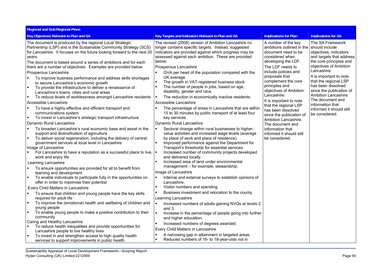| <b>Regional and Sub-Regional Plans</b>                                                                                                                                                                                                                                                                                                                                                                                                                                                                                                                                                                                                                                                                                                                                                                                                                                                                                                                                                                                                                                                                                                                                                                                                                                                                                                                                                                                                                                                                                                                                                                                                                                                                                                                                                                                                                                      |                                                                                                                                                                                                                                                                                                                                                                                                                                                                                                                                                                                                                                                                                                                                                                                                                                                                                                                                                                                                                                                                                                                                                                                                                                                                                                                                                                                                                                 |                                                                                                                                                                                                                                                                                                                                                                                                                                                                                       |                                                                                                                                                                                                                                                                                                                                                                                  |
|-----------------------------------------------------------------------------------------------------------------------------------------------------------------------------------------------------------------------------------------------------------------------------------------------------------------------------------------------------------------------------------------------------------------------------------------------------------------------------------------------------------------------------------------------------------------------------------------------------------------------------------------------------------------------------------------------------------------------------------------------------------------------------------------------------------------------------------------------------------------------------------------------------------------------------------------------------------------------------------------------------------------------------------------------------------------------------------------------------------------------------------------------------------------------------------------------------------------------------------------------------------------------------------------------------------------------------------------------------------------------------------------------------------------------------------------------------------------------------------------------------------------------------------------------------------------------------------------------------------------------------------------------------------------------------------------------------------------------------------------------------------------------------------------------------------------------------------------------------------------------------|---------------------------------------------------------------------------------------------------------------------------------------------------------------------------------------------------------------------------------------------------------------------------------------------------------------------------------------------------------------------------------------------------------------------------------------------------------------------------------------------------------------------------------------------------------------------------------------------------------------------------------------------------------------------------------------------------------------------------------------------------------------------------------------------------------------------------------------------------------------------------------------------------------------------------------------------------------------------------------------------------------------------------------------------------------------------------------------------------------------------------------------------------------------------------------------------------------------------------------------------------------------------------------------------------------------------------------------------------------------------------------------------------------------------------------|---------------------------------------------------------------------------------------------------------------------------------------------------------------------------------------------------------------------------------------------------------------------------------------------------------------------------------------------------------------------------------------------------------------------------------------------------------------------------------------|----------------------------------------------------------------------------------------------------------------------------------------------------------------------------------------------------------------------------------------------------------------------------------------------------------------------------------------------------------------------------------|
| Key Objectives Relevant to Plan and SA                                                                                                                                                                                                                                                                                                                                                                                                                                                                                                                                                                                                                                                                                                                                                                                                                                                                                                                                                                                                                                                                                                                                                                                                                                                                                                                                                                                                                                                                                                                                                                                                                                                                                                                                                                                                                                      | Key Targets and Indicators Relevant to Plan and SA                                                                                                                                                                                                                                                                                                                                                                                                                                                                                                                                                                                                                                                                                                                                                                                                                                                                                                                                                                                                                                                                                                                                                                                                                                                                                                                                                                              | <b>Implications for Plan</b>                                                                                                                                                                                                                                                                                                                                                                                                                                                          | <b>Implications for SA</b>                                                                                                                                                                                                                                                                                                                                                       |
| The document is produced by the regional Local Strategic<br>Partnership (LSP) and is the Sustainable Community Strategy (SCS)<br>for Lancashire. It focuses on the future looking forward to the next 20<br>years.<br>The document is based around a series of ambitions and for each<br>there are a number of objectives. Examples are provided below:<br>Prosperous Lancashire<br>To improve business performance and address skills shortages<br>to secure Lancashire's economic growth<br>To provide the infrastructure to deliver a renaissance of<br>$\blacksquare$<br>Lancashire's towns, cities and rural areas<br>To reduce levels of worklessness amongst Lancashire residents<br>$\blacksquare$<br>Accessible Lancashire<br>To have a highly effective and efficient transport and<br>communications system<br>To invest in Lancashire's strategic transport infrastructure<br>$\blacksquare$<br>Dynamic Rural Lancashire<br>To broaden Lancashire's rural economic base and assist in the<br>support and diversification of agriculture<br>To deliver social regeneration, including the delivery of central<br>$\blacksquare$<br>government services at local level in Lancashire<br>Image of Lancashire<br>For Lancashire to have a reputation as a successful place to live,<br>work and enjoy life<br>Learning Lancashire<br>To ensure opportunities are provided for all to benefit from<br>learning and development<br>To enable individuals to participate fully in the opportunities on<br>$\blacksquare$<br>offer in order to maximise their potential<br>Every Child Matters in Lancashire<br>To ensure that children and young people have the key skills<br>required for adult life<br>To improve the (emotional) health and wellbeing of children and<br>٠<br>young people<br>To enable young people to make a positive contribution to their<br>٠ | The revised (2008) version of Ambition Lancashire no<br>longer contains specific targets. Instead, suggested<br>indicators are provided against which progress may be<br>assessed against each ambition. These are provided<br>below:<br>Prosperous Lancashire<br>GVA per head of the population compared with the<br>UK average.<br>The growth in VAT-registered business stock.<br>The number of people in jobs, based on age,<br>disability, gender and race.<br>The reduction in economically inactive residents.<br>Accessible Lancashire<br>The percentage of areas in Lancashire that are within<br>15 to 30 minutes by public transport of at least four<br>key services<br>Dynamic Rural Lancashire<br>Sectoral change within rural businesses to higher-<br>value activities and increased wage levels (average<br>by place of work and place of residence).<br>Improved performance against the Department for<br>Transport's thresholds for essential services<br>Increased number of community projects developed<br>and delivered locally.<br>Increased area of land under environmental<br>management - for example, stewardship.<br>Image of Lancashire<br>Internal and external surveys to establish opinions of<br>Lancashire.<br>Visitor numbers and spending.<br>Business investment and relocation to the county.<br>Learning Lancashire<br>Increased numbers of adults gaining NVQs at levels 2<br>and 3. | A number of the key<br>ambitions outlined in the<br>document need to be<br>considered when<br>developing the LDF.<br>The LDF needs to<br>include policies and<br>proposals that<br>complement the core<br>principles and<br>objectives of Ambition<br>Lancashire.<br>It is important to note<br>that the regional LSP<br>has been dissolved<br>since the publication of<br>Ambition Lancashire.<br>The document and<br>information that<br>informed it should still<br>be considered. | The SA Framework<br>should include<br>objectives, indicators<br>and targets that address<br>the core principles and<br>objectives of Ambition<br>Lancashire.<br>It is important to note<br>that the regional LSP<br>has been dissolved<br>since the publication of<br>Ambition Lancashire.<br>The document and<br>information that<br>informed it should still<br>be considered. |
| community                                                                                                                                                                                                                                                                                                                                                                                                                                                                                                                                                                                                                                                                                                                                                                                                                                                                                                                                                                                                                                                                                                                                                                                                                                                                                                                                                                                                                                                                                                                                                                                                                                                                                                                                                                                                                                                                   | Increase in the percentage of people going into further<br>and higher education.                                                                                                                                                                                                                                                                                                                                                                                                                                                                                                                                                                                                                                                                                                                                                                                                                                                                                                                                                                                                                                                                                                                                                                                                                                                                                                                                                |                                                                                                                                                                                                                                                                                                                                                                                                                                                                                       |                                                                                                                                                                                                                                                                                                                                                                                  |
| Caring and Healthy Lancashire                                                                                                                                                                                                                                                                                                                                                                                                                                                                                                                                                                                                                                                                                                                                                                                                                                                                                                                                                                                                                                                                                                                                                                                                                                                                                                                                                                                                                                                                                                                                                                                                                                                                                                                                                                                                                                               | Increased numbers of degrees awarded.                                                                                                                                                                                                                                                                                                                                                                                                                                                                                                                                                                                                                                                                                                                                                                                                                                                                                                                                                                                                                                                                                                                                                                                                                                                                                                                                                                                           |                                                                                                                                                                                                                                                                                                                                                                                                                                                                                       |                                                                                                                                                                                                                                                                                                                                                                                  |
| To reduce health inequalities and provide opportunities for                                                                                                                                                                                                                                                                                                                                                                                                                                                                                                                                                                                                                                                                                                                                                                                                                                                                                                                                                                                                                                                                                                                                                                                                                                                                                                                                                                                                                                                                                                                                                                                                                                                                                                                                                                                                                 | Every Child Matters in Lancashire                                                                                                                                                                                                                                                                                                                                                                                                                                                                                                                                                                                                                                                                                                                                                                                                                                                                                                                                                                                                                                                                                                                                                                                                                                                                                                                                                                                               |                                                                                                                                                                                                                                                                                                                                                                                                                                                                                       |                                                                                                                                                                                                                                                                                                                                                                                  |
| Lancashire people to live healthy lives                                                                                                                                                                                                                                                                                                                                                                                                                                                                                                                                                                                                                                                                                                                                                                                                                                                                                                                                                                                                                                                                                                                                                                                                                                                                                                                                                                                                                                                                                                                                                                                                                                                                                                                                                                                                                                     |                                                                                                                                                                                                                                                                                                                                                                                                                                                                                                                                                                                                                                                                                                                                                                                                                                                                                                                                                                                                                                                                                                                                                                                                                                                                                                                                                                                                                                 |                                                                                                                                                                                                                                                                                                                                                                                                                                                                                       |                                                                                                                                                                                                                                                                                                                                                                                  |
| To invest in and strengthen access to high quality health<br>services to support improvements in public health                                                                                                                                                                                                                                                                                                                                                                                                                                                                                                                                                                                                                                                                                                                                                                                                                                                                                                                                                                                                                                                                                                                                                                                                                                                                                                                                                                                                                                                                                                                                                                                                                                                                                                                                                              | A narrowing gap in attainment in targeted areas.<br>Reduced numbers of 16- to 18-year-olds not in                                                                                                                                                                                                                                                                                                                                                                                                                                                                                                                                                                                                                                                                                                                                                                                                                                                                                                                                                                                                                                                                                                                                                                                                                                                                                                                               |                                                                                                                                                                                                                                                                                                                                                                                                                                                                                       |                                                                                                                                                                                                                                                                                                                                                                                  |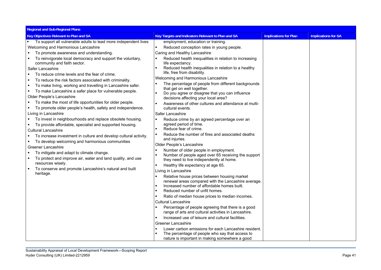| <b>Regional and Sub-Regional Plans</b>                                                                                                                                                                                                                                                                                                                                                                                                                                                                                                                                                                                                                                                                                                                                                                                                                                                                                                                                                                                                                                                                                                                                                                    |                                                                                                                                                                                                                                                                                                                                                                                                                                                                                                                                                                                                                                                                                                                                                                                                                                                                                                                                                                                                                                                                                                                                                                                                                                                                                                     |                              |                            |
|-----------------------------------------------------------------------------------------------------------------------------------------------------------------------------------------------------------------------------------------------------------------------------------------------------------------------------------------------------------------------------------------------------------------------------------------------------------------------------------------------------------------------------------------------------------------------------------------------------------------------------------------------------------------------------------------------------------------------------------------------------------------------------------------------------------------------------------------------------------------------------------------------------------------------------------------------------------------------------------------------------------------------------------------------------------------------------------------------------------------------------------------------------------------------------------------------------------|-----------------------------------------------------------------------------------------------------------------------------------------------------------------------------------------------------------------------------------------------------------------------------------------------------------------------------------------------------------------------------------------------------------------------------------------------------------------------------------------------------------------------------------------------------------------------------------------------------------------------------------------------------------------------------------------------------------------------------------------------------------------------------------------------------------------------------------------------------------------------------------------------------------------------------------------------------------------------------------------------------------------------------------------------------------------------------------------------------------------------------------------------------------------------------------------------------------------------------------------------------------------------------------------------------|------------------------------|----------------------------|
| Key Objectives Relevant to Plan and SA                                                                                                                                                                                                                                                                                                                                                                                                                                                                                                                                                                                                                                                                                                                                                                                                                                                                                                                                                                                                                                                                                                                                                                    | Key Targets and Indicators Relevant to Plan and SA                                                                                                                                                                                                                                                                                                                                                                                                                                                                                                                                                                                                                                                                                                                                                                                                                                                                                                                                                                                                                                                                                                                                                                                                                                                  | <b>Implications for Plan</b> | <b>Implications for SA</b> |
| To support all vulnerable adults to lead more independent lives<br>Welcoming and Harmonious Lancashire<br>To promote awareness and understanding.<br>To reinvigorate local democracy and support the voluntary,<br>community and faith sector.<br>Safer Lancashire<br>To reduce crime levels and the fear of crime.<br>To reduce the risk factors associated with criminality.<br>To make living, working and travelling in Lancashire safer.<br>To make Lancashire a safer place for vulnerable people.<br>Older People's Lancashire<br>To make the most of life opportunities for older people.<br>To promote older people's health, safety and independence.<br>Living in Lancashire<br>To invest in neighbourhoods and replace obsolete housing.<br>To provide affordable, specialist and supported housing.<br><b>Cultural Lancashire</b><br>To increase investment in culture and develop cultural activity.<br>To develop welcoming and harmonious communities<br><b>Greener Lancashire</b><br>To mitigate and adapt to climate change.<br>To protect and improve air, water and land quality, and use<br>resources wisely.<br>To conserve and promote Lancashire's natural and built<br>heritage. | employment, education or training.<br>Reduced conception rates in young people.<br>Caring and Healthy Lancashire<br>Reduced health inequalities in relation to increasing<br>life expectancy.<br>Reduced health inequalities in relation to a healthy<br>life, free from disability.<br>Welcoming and Harmonious Lancashire<br>The percentage of people from different backgrounds<br>that get on well together.<br>Do you agree or disagree that you can influence<br>decisions affecting your local area?<br>Awareness of other cultures and attendance at multi-<br>cultural events.<br>Safer Lancashire<br>Reduce crime by an agreed percentage over an<br>agreed period of time.<br>Reduce fear of crime.<br>Reduce the number of fires and associated deaths<br>and injuries.<br>Older People's Lancashire<br>Number of older people in employment.<br>Number of people aged over 65 receiving the support<br>they need to live independently at home.<br>Healthy life expectancy at age 65.<br>Living in Lancashire<br>Relative house prices between housing market<br>renewal areas compared with the Lancashire average.<br>Increased number of affordable homes built.<br>Reduced number of unfit homes.<br>Ratio of median house prices to median incomes.<br><b>Cultural Lancashire</b> |                              |                            |
|                                                                                                                                                                                                                                                                                                                                                                                                                                                                                                                                                                                                                                                                                                                                                                                                                                                                                                                                                                                                                                                                                                                                                                                                           | Percentage of people agreeing that there is a good<br>range of arts and cultural activities in Lancashire.                                                                                                                                                                                                                                                                                                                                                                                                                                                                                                                                                                                                                                                                                                                                                                                                                                                                                                                                                                                                                                                                                                                                                                                          |                              |                            |
|                                                                                                                                                                                                                                                                                                                                                                                                                                                                                                                                                                                                                                                                                                                                                                                                                                                                                                                                                                                                                                                                                                                                                                                                           | Increased use of leisure and cultural facilities.<br>Greener Lancashire<br>Lower carbon emissions for each Lancashire resident.<br>The percentage of people who say that access to<br>nature is important in making somewhere a good                                                                                                                                                                                                                                                                                                                                                                                                                                                                                                                                                                                                                                                                                                                                                                                                                                                                                                                                                                                                                                                                |                              |                            |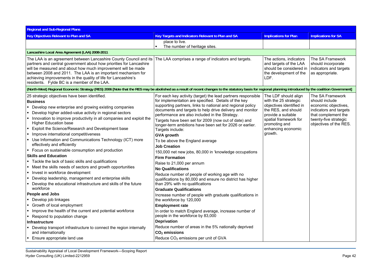| <b>Regional and Sub-Regional Plans</b>                                                                                                                                                                                                                                                                                                                                                                                                                                                                                                                                                                                                                                                                                                                                                                                                                                                                                                                                                                                                                                                                                                                                                                                                                                                                            |                                                                                                                                                                                                                                                                                                                                                                                                                                                                                                                                                                                                                                                                                                                                                                                                                                                                                                                                                                                                                                                                                                                                                                                                                                |                                                                                                                                                                                                   |                                                                                                                                                                |
|-------------------------------------------------------------------------------------------------------------------------------------------------------------------------------------------------------------------------------------------------------------------------------------------------------------------------------------------------------------------------------------------------------------------------------------------------------------------------------------------------------------------------------------------------------------------------------------------------------------------------------------------------------------------------------------------------------------------------------------------------------------------------------------------------------------------------------------------------------------------------------------------------------------------------------------------------------------------------------------------------------------------------------------------------------------------------------------------------------------------------------------------------------------------------------------------------------------------------------------------------------------------------------------------------------------------|--------------------------------------------------------------------------------------------------------------------------------------------------------------------------------------------------------------------------------------------------------------------------------------------------------------------------------------------------------------------------------------------------------------------------------------------------------------------------------------------------------------------------------------------------------------------------------------------------------------------------------------------------------------------------------------------------------------------------------------------------------------------------------------------------------------------------------------------------------------------------------------------------------------------------------------------------------------------------------------------------------------------------------------------------------------------------------------------------------------------------------------------------------------------------------------------------------------------------------|---------------------------------------------------------------------------------------------------------------------------------------------------------------------------------------------------|----------------------------------------------------------------------------------------------------------------------------------------------------------------|
| Key Objectives Relevant to Plan and SA                                                                                                                                                                                                                                                                                                                                                                                                                                                                                                                                                                                                                                                                                                                                                                                                                                                                                                                                                                                                                                                                                                                                                                                                                                                                            | Key Targets and Indicators Relevant to Plan and SA                                                                                                                                                                                                                                                                                                                                                                                                                                                                                                                                                                                                                                                                                                                                                                                                                                                                                                                                                                                                                                                                                                                                                                             | <b>Implications for Plan</b>                                                                                                                                                                      | <b>Implications for SA</b>                                                                                                                                     |
|                                                                                                                                                                                                                                                                                                                                                                                                                                                                                                                                                                                                                                                                                                                                                                                                                                                                                                                                                                                                                                                                                                                                                                                                                                                                                                                   | place to live.<br>The number of heritage sites.                                                                                                                                                                                                                                                                                                                                                                                                                                                                                                                                                                                                                                                                                                                                                                                                                                                                                                                                                                                                                                                                                                                                                                                |                                                                                                                                                                                                   |                                                                                                                                                                |
| Lancashire Local Area Agreement (LAA) 2008-2011                                                                                                                                                                                                                                                                                                                                                                                                                                                                                                                                                                                                                                                                                                                                                                                                                                                                                                                                                                                                                                                                                                                                                                                                                                                                   |                                                                                                                                                                                                                                                                                                                                                                                                                                                                                                                                                                                                                                                                                                                                                                                                                                                                                                                                                                                                                                                                                                                                                                                                                                |                                                                                                                                                                                                   |                                                                                                                                                                |
| The LAA is an agreement between Lancashire County Council and its<br>partners and central government about how priorities for Lancashire<br>will be measured and about how much improvement will be made<br>between 2008 and 2011. The LAA is an important mechanism for<br>achieving improvements in the quality of life for Lancashire's<br>residents. Fylde BC is a member of the LAA.                                                                                                                                                                                                                                                                                                                                                                                                                                                                                                                                                                                                                                                                                                                                                                                                                                                                                                                         | The LAA comprises a range of indicators and targets.                                                                                                                                                                                                                                                                                                                                                                                                                                                                                                                                                                                                                                                                                                                                                                                                                                                                                                                                                                                                                                                                                                                                                                           | The actions, indicators<br>and targets of the LAA<br>should be considered in<br>the development of the<br>LDF.                                                                                    | The SA Framework<br>should incorporate<br>indicators and targets<br>as appropriate.                                                                            |
| (North-West) Regional Economic Strategy (RES) 2006 [Note that the RES may be abolished as a result of recent changes to the statutory basis for regional planning introduced by the coalition Government]                                                                                                                                                                                                                                                                                                                                                                                                                                                                                                                                                                                                                                                                                                                                                                                                                                                                                                                                                                                                                                                                                                         |                                                                                                                                                                                                                                                                                                                                                                                                                                                                                                                                                                                                                                                                                                                                                                                                                                                                                                                                                                                                                                                                                                                                                                                                                                |                                                                                                                                                                                                   |                                                                                                                                                                |
| 25 strategic objectives have been identified.<br><b>Business</b><br>• Develop new enterprise and growing existing companies<br>Develop higher added-value activity in regional sectors<br>• Innovation to improve productivity in all companies and exploit the<br><b>Higher Education base</b><br>Exploit the Science/Research and Development base<br>$\blacksquare$<br>Improve international competitiveness<br>$\blacksquare$<br>• Use Information and Communications Technology (ICT) more<br>effectively and efficiently<br>• Focus on sustainable consumption and production<br><b>Skills and Education</b><br>Tackle the lack of basic skills and qualifications<br>Meet the skills needs of sectors and growth opportunities<br>Invest in workforce development<br>$\blacksquare$<br>Develop leadership, management and enterprise skills<br>$\blacksquare$<br>Develop the educational infrastructure and skills of the future<br>$\blacksquare$<br>workforce<br><b>People and Jobs</b><br>• Develop job linkages<br>• Growth of local employment<br>• Improve the health of the current and potential workforce<br>• Respond to population change<br><b>Infrastructure</b><br>Develop transport infrastructure to connect the region internally<br>and internationally<br>• Ensure appropriate land use | For each key activity (target) the lead partners responsible<br>for implementation are specified. Details of the key<br>supporting partners, links to national and regional policy<br>documents and targets to help drive delivery and monitor<br>performance are also included in the Strategy.<br>Targets have been set for 2009 (now out of date) and<br>longer-term ambitions have been set for 2026 or earlier.<br>Targets include:<br><b>GVA growth</b><br>To be above the England average<br><b>Job Creation</b><br>150,000 net new jobs, 80,000 in 'knowledge occupations<br><b>Firm Formation</b><br>Raise to 21,000 per annum<br><b>No Qualifications</b><br>Reduce number of people of working age with no<br>qualifications by 80,000 and ensure no district has higher<br>than 29% with no qualifications<br><b>Graduate Qualifications</b><br>Increase number of people with graduate qualifications in<br>the workforce by 120,000<br><b>Employment rate</b><br>In order to match England average, increase number of<br>people in the workforce by 83,000<br><b>Deprivation</b><br>Reduce number of areas in the 5% nationally deprived<br>$CO2$ emissions<br>Reduce CO <sub>2</sub> emissions per unit of GVA | The LDF should align<br>with the 25 strategic<br>objectives identified in<br>the RES, and should<br>provide a suitable<br>spatial framework for<br>promoting and<br>enhancing economic<br>growth. | The SA Framework<br>should include<br>economic objectives,<br>indicators and targets<br>that complement the<br>twenty-five strategic<br>objectives of the RES. |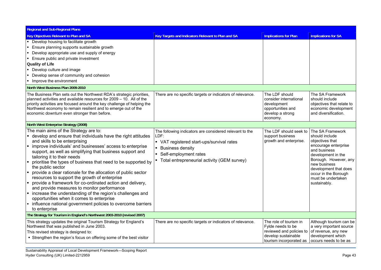| <b>Regional and Sub-Regional Plans</b>                                                                                                                                                                                                                                                                                                                                                                                                                                                                                                                                                                                                                                                                                                                                                                              |                                                                                                                                                                                                                                   |                                                                                                                           |                                                                                                                                                                                                                                                     |  |
|---------------------------------------------------------------------------------------------------------------------------------------------------------------------------------------------------------------------------------------------------------------------------------------------------------------------------------------------------------------------------------------------------------------------------------------------------------------------------------------------------------------------------------------------------------------------------------------------------------------------------------------------------------------------------------------------------------------------------------------------------------------------------------------------------------------------|-----------------------------------------------------------------------------------------------------------------------------------------------------------------------------------------------------------------------------------|---------------------------------------------------------------------------------------------------------------------------|-----------------------------------------------------------------------------------------------------------------------------------------------------------------------------------------------------------------------------------------------------|--|
| Key Objectives Relevant to Plan and SA                                                                                                                                                                                                                                                                                                                                                                                                                                                                                                                                                                                                                                                                                                                                                                              | Key Targets and Indicators Relevant to Plan and SA                                                                                                                                                                                | <b>Implications for Plan</b>                                                                                              | <b>Implications for SA</b>                                                                                                                                                                                                                          |  |
| $\blacksquare$<br>Develop housing to facilitate growth<br>Ensure planning supports sustainable growth<br>Develop appropriate use and supply of energy<br>٠<br>Ensure public and private investment<br>٠.<br><b>Quality of Life</b><br>• Develop culture and image<br>Develop sense of community and cohesion<br>• Improve the environment<br>North West Business Plan 2009-2010                                                                                                                                                                                                                                                                                                                                                                                                                                     |                                                                                                                                                                                                                                   |                                                                                                                           |                                                                                                                                                                                                                                                     |  |
| The Business Plan sets out the Northwest RDA's strategic priorities,<br>planned activities and available resources for 2009 - 10. All of the<br>priority activities are focused around the key challenge of helping the<br>Northwest economy to remain resilient and to emerge out of the<br>economic downturn even stronger than before.                                                                                                                                                                                                                                                                                                                                                                                                                                                                           | There are no specific targets or indicators of relevance.                                                                                                                                                                         | The LDF should<br>consider international<br>development<br>opportunities and<br>develop a strong<br>economy.              | The SA Framework<br>should include<br>objectives that relate to<br>economic development<br>and diversification.                                                                                                                                     |  |
| North West Enterprise Strategy (2008)                                                                                                                                                                                                                                                                                                                                                                                                                                                                                                                                                                                                                                                                                                                                                                               |                                                                                                                                                                                                                                   |                                                                                                                           |                                                                                                                                                                                                                                                     |  |
| The main aims of the Strategy are to:<br>• develop and ensure that individuals have the right attitudes<br>and skills to be enterprising<br>• improve individuals' and businesses' access to enterprise<br>support, as well as simplifying that business support and<br>tailoring it to their needs<br>prioritise the types of business that need to be supported by<br>the public sector<br>provide a clear rationale for the allocation of public sector<br>resources to support the growth of enterprise<br>provide a framework for co-ordinated action and delivery,<br>and provide measures to monitor performance<br>• increase the understanding of the region's challenges and<br>opportunities when it comes to enterprise<br>influence national government policies to overcome barriers<br>to enterprise | The following indicators are considered relevant to the<br>LDF:<br>• VAT registered start-ups/survival rates<br><b>Business density</b><br>$\blacksquare$<br>Self-employment rates<br>Total entrepreneurial activity (GEM survey) | The LDF should seek to<br>support business<br>growth and enterprise.                                                      | The SA Framework<br>should include<br>objectives that<br>encourage enterprise<br>and business<br>development in the<br>Borough. However, any<br>new business<br>development that does<br>occur in the Borough<br>must be undertaken<br>sustainably. |  |
| The Strategy for Tourism in England's Northwest 2003-2010 (revised 2007)                                                                                                                                                                                                                                                                                                                                                                                                                                                                                                                                                                                                                                                                                                                                            |                                                                                                                                                                                                                                   |                                                                                                                           |                                                                                                                                                                                                                                                     |  |
| This strategy updates the original Tourism Strategy for England's<br>Northwest that was published in June 2003.<br>This revised strategy is designed to:<br>• Strengthen the region's focus on offering some of the best visitor                                                                                                                                                                                                                                                                                                                                                                                                                                                                                                                                                                                    | There are no specific targets or indicators of relevance.                                                                                                                                                                         | The role of tourism in<br>Fylde needs to be<br>reviewed and policies to<br>develop sustainable<br>tourism incorporated as | Although tourism can be<br>a very important source<br>of revenue, any new<br>development which<br>occurs needs to be as                                                                                                                             |  |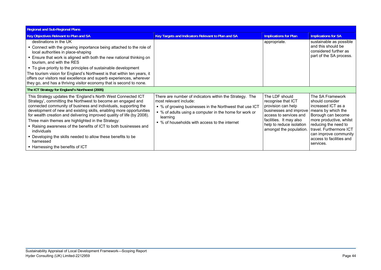| <b>Regional and Sub-Regional Plans</b>                                                                                                                                                                                                                                                                                                                                                                                                                                                                                                                                                                     |                                                                                                                                                                                                                                                                     |                                                                                                                                                                                                  |                                                                                                                                                                                                                                                       |  |
|------------------------------------------------------------------------------------------------------------------------------------------------------------------------------------------------------------------------------------------------------------------------------------------------------------------------------------------------------------------------------------------------------------------------------------------------------------------------------------------------------------------------------------------------------------------------------------------------------------|---------------------------------------------------------------------------------------------------------------------------------------------------------------------------------------------------------------------------------------------------------------------|--------------------------------------------------------------------------------------------------------------------------------------------------------------------------------------------------|-------------------------------------------------------------------------------------------------------------------------------------------------------------------------------------------------------------------------------------------------------|--|
| Key Objectives Relevant to Plan and SA                                                                                                                                                                                                                                                                                                                                                                                                                                                                                                                                                                     | Key Targets and Indicators Relevant to Plan and SA                                                                                                                                                                                                                  | <b>Implications for Plan</b>                                                                                                                                                                     | <b>Implications for SA</b>                                                                                                                                                                                                                            |  |
| destinations in the UK<br>• Connect with the growing importance being attached to the role of<br>local authorities in place-shaping<br>. Ensure that work is aligned with both the new national thinking on<br>tourism, and with the RES<br>• To give priority to the principles of sustainable development<br>The tourism vision for England's Northwest is that within ten years, it<br>offers our visitors real excellence and superb experiences, wherever<br>they go, and has a thriving visitor economy that is second to none.                                                                      |                                                                                                                                                                                                                                                                     | appropriate.                                                                                                                                                                                     | sustainable as possible<br>and this should be<br>considered further as<br>part of the SA process.                                                                                                                                                     |  |
| The ICT Strategy for England's Northwest (2005)                                                                                                                                                                                                                                                                                                                                                                                                                                                                                                                                                            |                                                                                                                                                                                                                                                                     |                                                                                                                                                                                                  |                                                                                                                                                                                                                                                       |  |
| This Strategy updates the 'England's North West Connected ICT<br>Strategy', committing the Northwest to become an engaged and<br>connected community of business and individuals, supporting the<br>development of new and existing skills, enabling more opportunities<br>for wealth creation and delivering improved quality of life (by 2008).<br>Three main themes are highlighted in the Strategy:<br>Raising awareness of the benefits of ICT to both businesses and<br>individuals<br>• Developing the skills needed to allow these benefits to be<br>harnessed<br>■ Harnessing the benefits of ICT | There are number of indicators within the Strategy. The<br>most relevant include:<br>• % of growing businesses in the Northwest that use ICT<br>• % of adults using a computer in the home for work or<br>learning<br>• % of households with access to the internet | The LDF should<br>recognise that ICT<br>provision can help<br>businesses and improve<br>access to services and<br>facilities. It may also<br>help to reduce isolation<br>amongst the population. | The SA Framework<br>should consider<br>increased ICT as a<br>means by which the<br>Borough can become<br>more productive, whilst<br>reducing the need to<br>travel. Furthermore ICT<br>can improve community<br>access to facilities and<br>services. |  |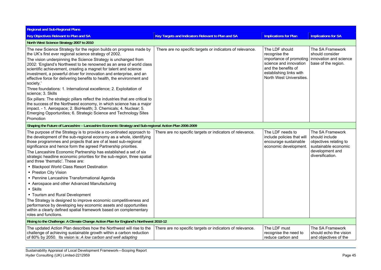| <b>Regional and Sub-Regional Plans</b>                                                                                                                                                                                                                                                                                                                                                                                                                                                                                                                                                                                                                                                                                                                                                                                                                                                                                       |                                                           |                                                                                                                                                                    |                                                                                                                             |  |  |
|------------------------------------------------------------------------------------------------------------------------------------------------------------------------------------------------------------------------------------------------------------------------------------------------------------------------------------------------------------------------------------------------------------------------------------------------------------------------------------------------------------------------------------------------------------------------------------------------------------------------------------------------------------------------------------------------------------------------------------------------------------------------------------------------------------------------------------------------------------------------------------------------------------------------------|-----------------------------------------------------------|--------------------------------------------------------------------------------------------------------------------------------------------------------------------|-----------------------------------------------------------------------------------------------------------------------------|--|--|
| Key Objectives Relevant to Plan and SA                                                                                                                                                                                                                                                                                                                                                                                                                                                                                                                                                                                                                                                                                                                                                                                                                                                                                       | Key Targets and Indicators Relevant to Plan and SA        | <b>Implications for Plan</b>                                                                                                                                       | <b>Implications for SA</b>                                                                                                  |  |  |
| North West Science Strategy 2007 to 2010                                                                                                                                                                                                                                                                                                                                                                                                                                                                                                                                                                                                                                                                                                                                                                                                                                                                                     |                                                           |                                                                                                                                                                    |                                                                                                                             |  |  |
| The new Science Strategy for the region builds on progress made by<br>the UK's first ever regional science strategy of 2002.<br>The vision underpinning the Science Strategy is unchanged from<br>2002: 'England's Northwest to be renowned as an area of world class<br>scientific achievement, creating a magnet for talent and science<br>investment, a powerful driver for innovation and enterprise, and an<br>effective force for delivering benefits to health, the environment and<br>society.'<br>Three foundations: 1. International excellence; 2. Exploitation of<br>science; 3. Skills<br>Six pillars: The strategic pillars reflect the industries that are critical to<br>the success of the Northwest economy, in which science has a major<br>impact. - 1. Aerospace; 2. BioHealth; 3. Chemicals; 4. Nuclear; 5.<br>Emerging Opportunities; 6. Strategic Science and Technology Sites<br>Promotion          | There are no specific targets or indicators of relevance. | The LDF should<br>recognise the<br>importance of promoting<br>science and innovation<br>and the benefits of<br>establishing links with<br>North West Universities. | The SA Framework<br>should consider<br>innovation and science<br>base of the region.                                        |  |  |
| Shaping the Future of Lancashire - Lancashire Economic Strategy and Sub-regional Action Plan 2006-2009                                                                                                                                                                                                                                                                                                                                                                                                                                                                                                                                                                                                                                                                                                                                                                                                                       |                                                           |                                                                                                                                                                    |                                                                                                                             |  |  |
| The purpose of the Strategy is to provide a co-ordinated approach to<br>the development of the sub-regional economy as a whole, identifying<br>those programmes and projects that are of at least sub-regional<br>significance and hence form the agreed Partnership priorities.<br>The Lancashire Economic Partnership has established a set of six<br>strategic headline economic priorities for the sub-region, three spatial<br>and three 'thematic'. These are:<br>• Blackpool World Class Resort Destination<br>• Preston City Vision<br>• Pennine Lancashire Transformational Agenda<br>Aerospace and other Advanced Manufacturing<br>• Skills<br>• Tourism and Rural Development<br>The Strategy is designed to improve economic competitiveness and<br>performance by developing key economic assets and opportunities<br>within a clearly defined spatial framework based on complementary<br>roles and functions. | There are no specific targets or indicators of relevance. | The LDF needs to<br>include policies that will<br>encourage sustainable<br>economic development.                                                                   | The SA Framework<br>should include<br>objectives relating to<br>sustainable economic<br>development and<br>diversification. |  |  |
| Rising to the Challenge: A Climate Change Action Plan for England's Northwest 2010-12                                                                                                                                                                                                                                                                                                                                                                                                                                                                                                                                                                                                                                                                                                                                                                                                                                        |                                                           |                                                                                                                                                                    |                                                                                                                             |  |  |
| The updated Action Plan describes how the Northwest will rise to the<br>challenge of achieving sustainable growth within a carbon reduction<br>of 80% by 2050. Its vision is: A low carbon and well adapting                                                                                                                                                                                                                                                                                                                                                                                                                                                                                                                                                                                                                                                                                                                 | There are no specific targets or indicators of relevance. | The LDF must<br>recognise the need to<br>reduce carbon and                                                                                                         | The SA Framework<br>should echo the vision<br>and objectives of the                                                         |  |  |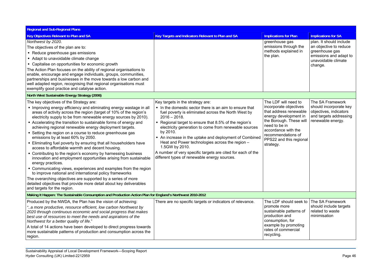| <b>Regional and Sub-Regional Plans</b>                                                                                                                                                                                                                                                                                                                                                                                                                                                                                                                                                                                                                                                                                                                                                                                                                                                                                                                                                                                                                                           |                                                                                                                                                                                                                                                                                                                                                                                                                                                                                                                                                   |                                                                                                                                                                                                                                    |                                                                                                                                 |
|----------------------------------------------------------------------------------------------------------------------------------------------------------------------------------------------------------------------------------------------------------------------------------------------------------------------------------------------------------------------------------------------------------------------------------------------------------------------------------------------------------------------------------------------------------------------------------------------------------------------------------------------------------------------------------------------------------------------------------------------------------------------------------------------------------------------------------------------------------------------------------------------------------------------------------------------------------------------------------------------------------------------------------------------------------------------------------|---------------------------------------------------------------------------------------------------------------------------------------------------------------------------------------------------------------------------------------------------------------------------------------------------------------------------------------------------------------------------------------------------------------------------------------------------------------------------------------------------------------------------------------------------|------------------------------------------------------------------------------------------------------------------------------------------------------------------------------------------------------------------------------------|---------------------------------------------------------------------------------------------------------------------------------|
| Key Objectives Relevant to Plan and SA                                                                                                                                                                                                                                                                                                                                                                                                                                                                                                                                                                                                                                                                                                                                                                                                                                                                                                                                                                                                                                           | Key Targets and Indicators Relevant to Plan and SA                                                                                                                                                                                                                                                                                                                                                                                                                                                                                                | <b>Implications for Plan</b>                                                                                                                                                                                                       | <b>Implications for SA</b>                                                                                                      |
| Northwest by 2020.<br>The objectives of the plan are to:<br>• Reduce greenhouse gas emissions<br>Adapt to unavoidable climate change<br>• Capitalise on opportunities for economic growth<br>The Action Plan focuses on the ability of regional organisations to<br>enable, encourage and engage individuals, groups, communities,<br>partnerships and businesses in the move towards a low carbon and<br>well adapted region, recognising that regional organisations must<br>exemplify good practice and catalyse action.                                                                                                                                                                                                                                                                                                                                                                                                                                                                                                                                                      |                                                                                                                                                                                                                                                                                                                                                                                                                                                                                                                                                   | greenhouse gas<br>emissions through the<br>methods explained in<br>the plan.                                                                                                                                                       | plan. It should include<br>an objective to reduce<br>greenhouse gas<br>emissions and adapt to<br>unavoidable climate<br>change. |
| North West Sustainable Energy Strategy (2006)                                                                                                                                                                                                                                                                                                                                                                                                                                                                                                                                                                                                                                                                                                                                                                                                                                                                                                                                                                                                                                    |                                                                                                                                                                                                                                                                                                                                                                                                                                                                                                                                                   |                                                                                                                                                                                                                                    |                                                                                                                                 |
| The key objectives of the Strategy are:<br>• Improving energy efficiency and eliminating energy wastage in all<br>areas of activity across the region (target of 10% of the region's<br>electricity supply to be from renewable energy sources by 2010).<br>• Accelerating the transition to sustainable forms of energy and<br>achieving regional renewable energy deployment targets.<br>• Setting the region on a course to reduce greenhouse gas<br>emissions by at least 60% by 2050.<br>. Eliminating fuel poverty by ensuring that all householders have<br>access to affordable warmth and decent housing.<br>• Contributing to the region's economy by harnessing business<br>innovation and employment opportunities arising from sustainable<br>energy practices.<br>• Communicating views, experiences and examples from the region<br>to improve national and international policy frameworks<br>The overarching objectives are supported by a series of more<br>detailed objectives that provide more detail about key deliverables<br>and targets for the region. | Key targets in the strategy are:<br>. In the domestic sector there is an aim to ensure that<br>fuel poverty is eliminated across the North West by<br>$2016 - 2018$ .<br>• Regional target to ensure that 8.5% of the region's<br>electricity generation to come from renewable sources<br>by 2010.<br>• An increase in the uptake and deployment of Combined<br>Heat and Power technologies across the region -<br>1.5GW by 2010.<br>A number of very specific targets are cited for each of the<br>different types of renewable energy sources. | The LDF will need to<br>incorporate objectives<br>that address renewable<br>energy development in<br>the Borough. These will<br>need to be in<br>accordance with the<br>recommendations of<br>PPS22 and this regional<br>strategy. | The SA Framework<br>should incorporate key<br>objectives, indicators<br>and targets addressing<br>renewable energy.             |
| Making It Happen: The Sustainable Consumption and Production Action Plan for England's Northwest 2010-2012                                                                                                                                                                                                                                                                                                                                                                                                                                                                                                                                                                                                                                                                                                                                                                                                                                                                                                                                                                       |                                                                                                                                                                                                                                                                                                                                                                                                                                                                                                                                                   |                                                                                                                                                                                                                                    |                                                                                                                                 |
| Produced by the NWDA, the Plan has the vision of achieving:<br>"a more productive, resource efficient, low carbon Northwest by<br>2020 through continuous economic and social progress that makes<br>best use of resources to meet the needs and aspirations of the<br>Northwest for a better quality of life."<br>A total of 14 actions have been developed to direct progress towards<br>more sustainable patterns of production and consumption across the<br>region.                                                                                                                                                                                                                                                                                                                                                                                                                                                                                                                                                                                                         | There are no specific targets or indicators of relevance.                                                                                                                                                                                                                                                                                                                                                                                                                                                                                         | The LDF should seek to<br>promote more<br>sustainable patterns of<br>production and<br>consumption, for<br>example by promoting<br>rates of commercial<br>recycling.                                                               | The SA Framework<br>should include targets<br>related to waste<br>minimisation                                                  |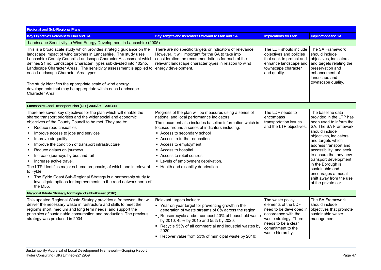| <b>Regional and Sub-Regional Plans</b>                                                                                                                                                                                                                                                                                                                                                                                                                                                                                                                                                                                                                                                                                                                   |                                                                                                                                                                                                                                                                                                                                                                                                                                                    |                                                                                                                                                                                    |                                                                                                                                                                                                                                                                                                                                                                                         |  |
|----------------------------------------------------------------------------------------------------------------------------------------------------------------------------------------------------------------------------------------------------------------------------------------------------------------------------------------------------------------------------------------------------------------------------------------------------------------------------------------------------------------------------------------------------------------------------------------------------------------------------------------------------------------------------------------------------------------------------------------------------------|----------------------------------------------------------------------------------------------------------------------------------------------------------------------------------------------------------------------------------------------------------------------------------------------------------------------------------------------------------------------------------------------------------------------------------------------------|------------------------------------------------------------------------------------------------------------------------------------------------------------------------------------|-----------------------------------------------------------------------------------------------------------------------------------------------------------------------------------------------------------------------------------------------------------------------------------------------------------------------------------------------------------------------------------------|--|
| <b>Key Objectives Relevant to Plan and SA</b>                                                                                                                                                                                                                                                                                                                                                                                                                                                                                                                                                                                                                                                                                                            | Key Targets and Indicators Relevant to Plan and SA                                                                                                                                                                                                                                                                                                                                                                                                 | <b>Implications for Plan</b>                                                                                                                                                       | <b>Implications for SA</b>                                                                                                                                                                                                                                                                                                                                                              |  |
| Landscape Sensitivity to Wind Energy Development in Lancashire (2005)                                                                                                                                                                                                                                                                                                                                                                                                                                                                                                                                                                                                                                                                                    |                                                                                                                                                                                                                                                                                                                                                                                                                                                    |                                                                                                                                                                                    |                                                                                                                                                                                                                                                                                                                                                                                         |  |
| This is a broad scale study which provides strategic guidance on the<br>landscape impact of wind turbines in Lancashire. The study uses<br>Lancashire County Councils Landscape Character Assessment which<br>defines 21 no. Landscape Character Types sub-divided into 102no.<br>Landscape Character Areas. The sensitivity assessment is applied to<br>each Landscape Character Area types<br>The study identifies the appropriate scale of wind energy<br>developments that may be appropriate within each Landscape<br>Character Area.                                                                                                                                                                                                               | There are no specific targets or indicators of relevance.<br>However, it will important for the SA to take into<br>consideration the recommendations for each of the<br>relevant landscape character types in relation to wind<br>energy development.                                                                                                                                                                                              | The LDF should include<br>objectives and policies<br>that seek to protect and<br>enhance landscape and<br>townscape character<br>and quality.                                      | The SA Framework<br>should include<br>objectives, indicators<br>and targets relating the<br>preservation and<br>enhancement of<br>landscape and<br>townscape quality.                                                                                                                                                                                                                   |  |
| Lancashire Local Transport Plan (LTP) 2006/07 - 2010/11                                                                                                                                                                                                                                                                                                                                                                                                                                                                                                                                                                                                                                                                                                  |                                                                                                                                                                                                                                                                                                                                                                                                                                                    |                                                                                                                                                                                    |                                                                                                                                                                                                                                                                                                                                                                                         |  |
| There are seven key objectives for the plan which will enable the<br>shared transport priorities and the wider social and economic<br>objectives of the County Council to be met. They are to:<br>Reduce road casualties<br>$\blacksquare$<br>Improve access to jobs and services<br>٠<br>Improve air quality<br>$\blacksquare$<br>Improve the condition of transport infrastructure<br>٠<br>Reduce delays on journeys<br>л.<br>Increase journeys by bus and rail<br>$\blacksquare$<br>Increase active travel.<br>The LTP identifies major scheme proposals, of which one is relevant<br>to Fylde:<br>• The Fylde Coast Sub-Regional Strategy is a partnership study to<br>investigate options for improvements to the road network north of<br>the M55. | Progress of the plan will be measures using a series of<br>national and local performance indicators.<br>The document also includes baseline information which is<br>focused around a series of indicators including:<br>• Access to secondary school<br>• Access to further education<br>• Access to employment<br>Access to hospital<br>• Access to retail centres<br>• Levels of employment deprivation.<br>• Health and disability deprivation | The LDF needs to<br>encompass<br>transportation issues<br>and the LTP objectives.                                                                                                  | The baseline data<br>provided in the LTP has<br>been used to inform the<br>SA. The SA Framework<br>should include<br>objectives, indicators<br>and targets which<br>address transport and<br>accessibility, and seek<br>to ensure that any new<br>transport development<br>in the Borough is<br>sustainable and<br>encourages a modal<br>shift away from the use<br>of the private car. |  |
| Regional Waste Strategy for England's Northwest (2010)                                                                                                                                                                                                                                                                                                                                                                                                                                                                                                                                                                                                                                                                                                   |                                                                                                                                                                                                                                                                                                                                                                                                                                                    |                                                                                                                                                                                    |                                                                                                                                                                                                                                                                                                                                                                                         |  |
| This updated Regional Waste Strategy provides a framework that will<br>deliver the necessary waste infrastructure and skills to meet the<br>region's short, medium and long term needs, and support the<br>principles of sustainable consumption and production. The previous<br>strategy was produced in 2004.                                                                                                                                                                                                                                                                                                                                                                                                                                          | Relevant targets include:<br>• Year on year target for preventing growth in the<br>generation of waste streams of 0% across the region.<br>. Reuse/recycle and/or compost 40% of household waste<br>by 2010; 45% by 2015 and 55% by 2020.<br>Recycle 55% of all commercial and industrial wastes by<br>2020.<br>Recover value from 53% of municipal waste by 2010;                                                                                 | The waste policy<br>elements of the LDF<br>need to be developed in<br>accordance with the<br>waste strategy. There<br>needs to be a clear<br>commitment to the<br>waste hierarchy. | The SA Framework<br>should include<br>objectives that promote<br>sustainable waste<br>management.                                                                                                                                                                                                                                                                                       |  |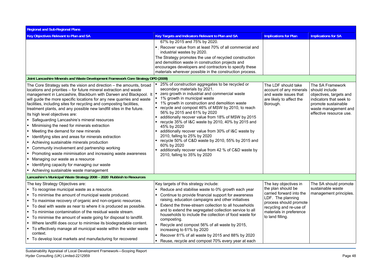| <b>Regional and Sub-Regional Plans</b>                                                                                                                                                                                                                                                                                                                                                                                                                                                                                                                                                                                                                                                                                                                                                                                                                                                                                                                                                                                                                 |                                                                                                                                                                                                                                                                                                                                                                                                                                                                                                                                                                                                                                                                                                              |                                                                                                                                                                                                  |                                                                                                                                                                    |
|--------------------------------------------------------------------------------------------------------------------------------------------------------------------------------------------------------------------------------------------------------------------------------------------------------------------------------------------------------------------------------------------------------------------------------------------------------------------------------------------------------------------------------------------------------------------------------------------------------------------------------------------------------------------------------------------------------------------------------------------------------------------------------------------------------------------------------------------------------------------------------------------------------------------------------------------------------------------------------------------------------------------------------------------------------|--------------------------------------------------------------------------------------------------------------------------------------------------------------------------------------------------------------------------------------------------------------------------------------------------------------------------------------------------------------------------------------------------------------------------------------------------------------------------------------------------------------------------------------------------------------------------------------------------------------------------------------------------------------------------------------------------------------|--------------------------------------------------------------------------------------------------------------------------------------------------------------------------------------------------|--------------------------------------------------------------------------------------------------------------------------------------------------------------------|
| Key Objectives Relevant to Plan and SA                                                                                                                                                                                                                                                                                                                                                                                                                                                                                                                                                                                                                                                                                                                                                                                                                                                                                                                                                                                                                 | Key Targets and Indicators Relevant to Plan and SA                                                                                                                                                                                                                                                                                                                                                                                                                                                                                                                                                                                                                                                           | <b>Implications for Plan</b>                                                                                                                                                                     | <b>Implications for SA</b>                                                                                                                                         |
|                                                                                                                                                                                                                                                                                                                                                                                                                                                                                                                                                                                                                                                                                                                                                                                                                                                                                                                                                                                                                                                        | 67% by 2015 and 75% by 2020.<br>• Recover value from at least 70% of all commercial and<br>industrial wastes by 2020.<br>The Strategy promotes the use of recycled construction<br>and demolition waste in construction projects and<br>encourages developers and contractors to specify these<br>materials wherever possible in the construction process.                                                                                                                                                                                                                                                                                                                                                   |                                                                                                                                                                                                  |                                                                                                                                                                    |
| Joint Lancashire Minerals and Waste Development Framework Core Strategy DPD (2009)                                                                                                                                                                                                                                                                                                                                                                                                                                                                                                                                                                                                                                                                                                                                                                                                                                                                                                                                                                     |                                                                                                                                                                                                                                                                                                                                                                                                                                                                                                                                                                                                                                                                                                              |                                                                                                                                                                                                  |                                                                                                                                                                    |
| The Core Strategy sets the vision and direction - the amounts, broad<br>locations and priorities - for future mineral extraction and waste<br>management in Lancashire, Blackburn with Darwen and Blackpool. It<br>will guide the more specific locations for any new quarries and waste<br>facilities, including sites for recycling and composting facilities,<br>treatment plants, and any possible new landfill sites in the future.<br>Its high level objectives are:<br>• Safeguarding Lancashire's mineral resources<br>Minimising the need for minerals extraction<br>Meeting the demand for new minerals<br>$\blacksquare$<br>Identifying sites and areas for minerals extraction<br>$\blacksquare$<br>Achieving sustainable minerals production<br>$\blacksquare$<br>Community involvement and partnership working<br>٠<br>Promoting waste minimisation and increasing waste awareness<br>$\blacksquare$<br>Managing our waste as a resource<br>٠<br>Identifying capacity for managing our waste<br>• Achieving sustainable waste management | 25% of construction aggregates to be recycled or<br>secondary materials by 2021.<br>zero growth in industrial and commercial waste<br>$\blacksquare$<br>1% growth in municipal waste<br>ω.<br>1% growth in construction and demolition waste<br>recycle and compost 46% of MSW by 2010, to reach<br>56% by 2015 and 61% by 2020<br>additionally recover value from 18% of MSW by 2015<br>recycle 35% of I&C waste by 2010, 40% by 2015 and<br>45% by 2020<br>additionally recover value from 30% of I&C waste by<br>2010, falling to 25% by 2020<br>recycle 50% of C&D waste by 2010, 55% by 2015 and<br>60% by 2020<br>additionally recover value from 42 % of C&D waste by<br>2010, falling to 35% by 2020 | The LDF should take<br>account of any minerals<br>and waste issues that<br>are likely to affect the<br>Borough.                                                                                  | The SA Framework<br>should include<br>objectives, targets and<br>indicators that seek to<br>promote sustainable<br>waste management and<br>effective resource use. |
| Lancashire's Municipal Waste Strategy 2008 - 2020 Rubbish to Resources                                                                                                                                                                                                                                                                                                                                                                                                                                                                                                                                                                                                                                                                                                                                                                                                                                                                                                                                                                                 |                                                                                                                                                                                                                                                                                                                                                                                                                                                                                                                                                                                                                                                                                                              |                                                                                                                                                                                                  |                                                                                                                                                                    |
| The key Strategy Objectives are:<br>• To recognise municipal waste as a resource.<br>To minimise the amount of municipal waste produced.<br>To maximise recovery of organic and non-organic resources.<br>To deal with waste as near to where it is produced as possible.<br>٠<br>To minimise contamination of the residual waste stream.<br>$\blacksquare$<br>To minimise the amount of waste going for disposal to landfill.<br>$\blacksquare$<br>Where landfill does occur to minimise its biodegradable content.<br>To effectively manage all municipal waste within the wider waste<br>٠<br>context.<br>• To develop local markets and manufacturing for recovered                                                                                                                                                                                                                                                                                                                                                                                | Key targets of this strategy include:<br>Reduce and stabilise waste to 0% growth each year<br>Continue to provide financial support for awareness<br>raising, education campaigns and other initiatives<br>Extend the three-stream collection to all households<br>and to extend the segregated collection service to all<br>households to include the collection of food waste for<br>composting.<br>Recycle and compost 56% of all waste by 2015,<br>٠.<br>increasing to 61% by 2020<br>Recover 81% of all waste by 2015 and 88% by 2020<br>Reuse, recycle and compost 70% every year at each                                                                                                              | The key objectives in<br>the plan should be<br>carried forward into the<br>LDF. The planning<br>process should promote<br>recycling and re-use of<br>materials in preference<br>to land filling. | The SA should promote<br>sustainable waste<br>management principles.                                                                                               |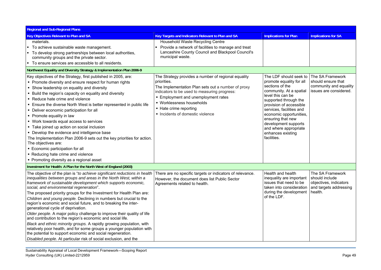| Key Targets and Indicators Relevant to Plan and SA<br>Household Waste Recycling Centre                                                                                                                                                                                                                     | <b>Implications for Plan</b>                                                                                                                                                                                                                                                                                                               | <b>Implications for SA</b>                                                                        |
|------------------------------------------------------------------------------------------------------------------------------------------------------------------------------------------------------------------------------------------------------------------------------------------------------------|--------------------------------------------------------------------------------------------------------------------------------------------------------------------------------------------------------------------------------------------------------------------------------------------------------------------------------------------|---------------------------------------------------------------------------------------------------|
|                                                                                                                                                                                                                                                                                                            |                                                                                                                                                                                                                                                                                                                                            |                                                                                                   |
| Lancashire County Council and Blackpool Council's<br>municipal waste.                                                                                                                                                                                                                                      |                                                                                                                                                                                                                                                                                                                                            |                                                                                                   |
|                                                                                                                                                                                                                                                                                                            |                                                                                                                                                                                                                                                                                                                                            |                                                                                                   |
| The Strategy provides a number of regional equality<br>priorities.<br>The Implementation Plan sets out a number of proxy<br>indicators to be used to measuring progress:<br>• Employment and unemployment rates<br>• Worklessness households<br>• Hate crime reporting<br>• Incidents of domestic violence | The LDF should seek to<br>promote equality for all<br>sections of the<br>community. At a spatial<br>level this can be<br>supported through the<br>provision of accessible<br>services, facilities and<br>economic opportunities,<br>ensuring that new<br>development supports<br>and where appropriate<br>enhances existing<br>facilities. | The SA Framework<br>should ensure that<br>community and equality<br>issues are considered.        |
|                                                                                                                                                                                                                                                                                                            |                                                                                                                                                                                                                                                                                                                                            |                                                                                                   |
| There are no specific targets or indicators of relevance.<br>However, the document does list Public Sector<br>Agreements related to health.                                                                                                                                                                | Health and health<br>inequality are important<br>issues that need to be<br>taken into consideration<br>during the development<br>of the LDF.                                                                                                                                                                                               | The SA Framework<br>should include<br>objectives, indicators<br>and targets addressing<br>health. |
|                                                                                                                                                                                                                                                                                                            | Provide a network of facilities to manage and treat<br>The objective of the plan is "to achieve significant reductions in health                                                                                                                                                                                                           |                                                                                                   |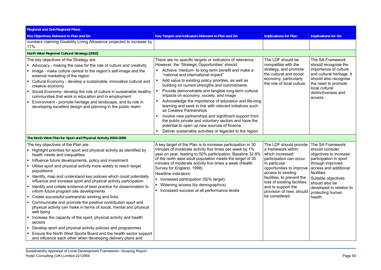| <b>Regional and Sub-Regional Plans</b>                                                                                                                                                                                                                                                                                                                                                                                                                                                                                                                                                                                                                                                                                                                                                                                                                                                                                                                                                                                                                           |                                                                                                                                                                                                                                                                                                                                                                                                                                                                                                                                                                                                                                                                                                                                                                                                                        |                                                                                                                                                                                                                                                                                                 |                                                                                                                                                                                                                                                         |
|------------------------------------------------------------------------------------------------------------------------------------------------------------------------------------------------------------------------------------------------------------------------------------------------------------------------------------------------------------------------------------------------------------------------------------------------------------------------------------------------------------------------------------------------------------------------------------------------------------------------------------------------------------------------------------------------------------------------------------------------------------------------------------------------------------------------------------------------------------------------------------------------------------------------------------------------------------------------------------------------------------------------------------------------------------------|------------------------------------------------------------------------------------------------------------------------------------------------------------------------------------------------------------------------------------------------------------------------------------------------------------------------------------------------------------------------------------------------------------------------------------------------------------------------------------------------------------------------------------------------------------------------------------------------------------------------------------------------------------------------------------------------------------------------------------------------------------------------------------------------------------------------|-------------------------------------------------------------------------------------------------------------------------------------------------------------------------------------------------------------------------------------------------------------------------------------------------|---------------------------------------------------------------------------------------------------------------------------------------------------------------------------------------------------------------------------------------------------------|
| Key Objectives Relevant to Plan and SA                                                                                                                                                                                                                                                                                                                                                                                                                                                                                                                                                                                                                                                                                                                                                                                                                                                                                                                                                                                                                           | Key Targets and Indicators Relevant to Plan and SA                                                                                                                                                                                                                                                                                                                                                                                                                                                                                                                                                                                                                                                                                                                                                                     | <b>Implications for Plan</b>                                                                                                                                                                                                                                                                    | <b>Implications for SA</b>                                                                                                                                                                                                                              |
| numbers claiming Disability Living Allowance projected to increase by<br>11%.                                                                                                                                                                                                                                                                                                                                                                                                                                                                                                                                                                                                                                                                                                                                                                                                                                                                                                                                                                                    |                                                                                                                                                                                                                                                                                                                                                                                                                                                                                                                                                                                                                                                                                                                                                                                                                        |                                                                                                                                                                                                                                                                                                 |                                                                                                                                                                                                                                                         |
| North West Regional Cultural Strategy (2002)                                                                                                                                                                                                                                                                                                                                                                                                                                                                                                                                                                                                                                                                                                                                                                                                                                                                                                                                                                                                                     |                                                                                                                                                                                                                                                                                                                                                                                                                                                                                                                                                                                                                                                                                                                                                                                                                        |                                                                                                                                                                                                                                                                                                 |                                                                                                                                                                                                                                                         |
| The key objectives of the Strategy are:<br>• Advocacy - making the case for the role of culture and creativity<br>Image - make culture central to the region's self-image and the<br>external marketing of the region<br>• Cultural Economy - develop a sustainable, innovative cultural and<br>creative economy<br>• Social Economy- develop the role of culture in sustainable healthy<br>communities that work in education and in employment<br>Environment - promote heritage and landscape, and its role in<br>٠<br>developing excellent design and planning in the public realm                                                                                                                                                                                                                                                                                                                                                                                                                                                                           | There are no specific targets or indicators of relevance.<br>However, the 'Strategic Opportunities' should:<br>Achieve 'medium- to long-term benefit and make a<br>"national and international impact"<br>Add value to existing policy priorities, as well as<br>$\blacksquare$<br>building on current strengths and commitments<br>Provide demonstrable and tangible long-term cultural<br>٠.<br>impacts on economy, society, and image<br>Acknowledge the importance of education and life-long<br>learning and seek to link with relevant initiatives such<br>as Creative Partnerships<br>Involve new partnerships and significant support from<br>the public private and voluntary sectors and have the<br>potential to open up new sources of finance<br>Deliver sustainable activities or legacies to the region | The LDF should be<br>compatible with the<br>strategy, and promote<br>the cultural and social<br>economy, particularly<br>the role of local culture.                                                                                                                                             | The SA Framework<br>should recognise the<br>importance of culture<br>and cultural heritage. It<br>should also recognise<br>the need to promote<br>local cultural<br>distinctiveness and<br>access.                                                      |
| The North West Plan for Sport and Physical Activity 2004-2008                                                                                                                                                                                                                                                                                                                                                                                                                                                                                                                                                                                                                                                                                                                                                                                                                                                                                                                                                                                                    |                                                                                                                                                                                                                                                                                                                                                                                                                                                                                                                                                                                                                                                                                                                                                                                                                        |                                                                                                                                                                                                                                                                                                 |                                                                                                                                                                                                                                                         |
| The key objectives of the Plan are:<br>Highlight priorities for sport and physical activity as identified by<br>health needs and inequalities<br>Influence future developments, policy and investment<br>Utilise sport and physical activity more widely to reach target<br>populations<br>Identify, map and understand key policies which could potentially<br>influence and increase sport and physical activity participation<br>Identify and collate evidence of best practice for dissemination to<br>inform future program site developments<br>Create successful partnership working and links<br>$\blacksquare$<br>Communicate and promote the positive contribution sport and<br>physical activity can make in terms of social, mental and physical<br>well being<br>Increase the capacity of the sport, physical activity and health<br>٠<br>sectors<br>Develop sport and physical activity policies and programmes<br>Ensure the North West Sports Board and the health sector support<br>and influence each other when developing delivery plans and | A key target of the Plan is to increase participation in 30<br>minutes of moderate activity five times per week by 1%<br>year on year, leading to 50% participation, Baseline 32.8%<br>of the north west adult population meets the target of 30<br>minutes of moderate activity five times a week (Health<br>Survey for England, 1998).<br>Headline indicators:<br>Increased participation (50% target)<br>Widening access (by demographics)<br>Increased success at all performance levels                                                                                                                                                                                                                                                                                                                           | The LDF should provide<br>a framework within<br>which increased<br>participation can occur.<br>In particular<br>opportunities to improve<br>access to existing<br>facilities, to prevent the<br>loss of existing facilities<br>and to support the<br>provision of new, should<br>be considered. | The SA Framework<br>should consider<br>objectives to increase<br>participation in sport<br>through improved<br>access and additional<br>facilities.<br>Suitable objectives<br>should also be<br>developed in relation to<br>protecting human<br>health. |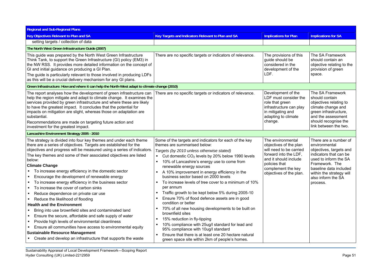| <b>Regional and Sub-Regional Plans</b>                                                                                                                                                                                                                                                                                                                                                                                                                                                                                                                                                                                                                                                                                                                                                                                                                                                                                                                                                                                     |                                                                                                                                                                                                                                                                                                                                                                                                                                                                                                                                                                                                                                                                                                                                                                                                                                                                                                                                 |                                                                                                                                                                                            |                                                                                                                                                                                                                                |
|----------------------------------------------------------------------------------------------------------------------------------------------------------------------------------------------------------------------------------------------------------------------------------------------------------------------------------------------------------------------------------------------------------------------------------------------------------------------------------------------------------------------------------------------------------------------------------------------------------------------------------------------------------------------------------------------------------------------------------------------------------------------------------------------------------------------------------------------------------------------------------------------------------------------------------------------------------------------------------------------------------------------------|---------------------------------------------------------------------------------------------------------------------------------------------------------------------------------------------------------------------------------------------------------------------------------------------------------------------------------------------------------------------------------------------------------------------------------------------------------------------------------------------------------------------------------------------------------------------------------------------------------------------------------------------------------------------------------------------------------------------------------------------------------------------------------------------------------------------------------------------------------------------------------------------------------------------------------|--------------------------------------------------------------------------------------------------------------------------------------------------------------------------------------------|--------------------------------------------------------------------------------------------------------------------------------------------------------------------------------------------------------------------------------|
| Key Objectives Relevant to Plan and SA                                                                                                                                                                                                                                                                                                                                                                                                                                                                                                                                                                                                                                                                                                                                                                                                                                                                                                                                                                                     | Key Targets and Indicators Relevant to Plan and SA                                                                                                                                                                                                                                                                                                                                                                                                                                                                                                                                                                                                                                                                                                                                                                                                                                                                              | <b>Implications for Plan</b>                                                                                                                                                               | <b>Implications for SA</b>                                                                                                                                                                                                     |
| setting targets / collection of data                                                                                                                                                                                                                                                                                                                                                                                                                                                                                                                                                                                                                                                                                                                                                                                                                                                                                                                                                                                       |                                                                                                                                                                                                                                                                                                                                                                                                                                                                                                                                                                                                                                                                                                                                                                                                                                                                                                                                 |                                                                                                                                                                                            |                                                                                                                                                                                                                                |
| The North West Green Infrastructure Guide (2007)                                                                                                                                                                                                                                                                                                                                                                                                                                                                                                                                                                                                                                                                                                                                                                                                                                                                                                                                                                           |                                                                                                                                                                                                                                                                                                                                                                                                                                                                                                                                                                                                                                                                                                                                                                                                                                                                                                                                 |                                                                                                                                                                                            |                                                                                                                                                                                                                                |
| This guide was prepared by the North West Green Infrastructure<br>Think Tank, to support the Green Infrastructure (GI) policy (EM3) in<br>the NW RSS. It provides more detailed information on the concept of<br>GI and initial guidance on producing a GI Plan.<br>The guide is particularly relevant to those involved in producing LDFs<br>as this will be a crucial delivery mechanism for any GI plans.                                                                                                                                                                                                                                                                                                                                                                                                                                                                                                                                                                                                               | There are no specific targets or indicators of relevance.                                                                                                                                                                                                                                                                                                                                                                                                                                                                                                                                                                                                                                                                                                                                                                                                                                                                       | The provisions of this<br>guide should be<br>considered in the<br>development of the<br>LDF.                                                                                               | The SA Framework<br>should contain an<br>objective relating to the<br>provision of green<br>space.                                                                                                                             |
| Green Infrastructure: How and where it can help the North-West adapt to climate change (2010)                                                                                                                                                                                                                                                                                                                                                                                                                                                                                                                                                                                                                                                                                                                                                                                                                                                                                                                              |                                                                                                                                                                                                                                                                                                                                                                                                                                                                                                                                                                                                                                                                                                                                                                                                                                                                                                                                 |                                                                                                                                                                                            |                                                                                                                                                                                                                                |
| The report analyses how the development of green infrastructure can<br>help the region mitigate and adapt to climate change. It examines the<br>services provided by green infrastructure and where these are likely<br>to have the greatest impact. It concludes that the potential for<br>impacts on mitigation are slight, whereas those on adaptation are<br>substantial.<br>Recommendations are made on targeting future action and<br>investment for the greatest impact.                                                                                                                                                                                                                                                                                                                                                                                                                                                                                                                                            | There are no specific targets or indicators of relevance.                                                                                                                                                                                                                                                                                                                                                                                                                                                                                                                                                                                                                                                                                                                                                                                                                                                                       | Development of the<br>LDF must consider the<br>role that green<br>infrastructure can play<br>in mitigating and<br>adapting to climate<br>change.                                           | The SA Framework<br>should contain<br>objectives relating to<br>climate change and<br>green infrastructure,<br>and the assessment<br>should recognise the<br>link between the two.                                             |
| Lancashire Environment Strategy 2005 - 2010                                                                                                                                                                                                                                                                                                                                                                                                                                                                                                                                                                                                                                                                                                                                                                                                                                                                                                                                                                                |                                                                                                                                                                                                                                                                                                                                                                                                                                                                                                                                                                                                                                                                                                                                                                                                                                                                                                                                 |                                                                                                                                                                                            |                                                                                                                                                                                                                                |
| The strategy is divided into four key themes and under each theme<br>there are a series of objectives. Targets are established for the<br>objectives and progress will be measured using a series of indicators.<br>The key themes and some of their associated objectives are listed<br>below:<br><b>Climate Change</b><br>To increase energy efficiency in the domestic sector<br>Encourage the development of renewable energy<br>To increase energy efficiency in the business sector<br>To increase the cover of carbon sinks<br>Reduce dependence on private car use<br>Reduce the likelihood of flooding<br><b>Health and the Environment</b><br>Bring into use brownfield sites and contaminated land<br>Ensure the secure, affordable and safe supply of water<br>$\blacksquare$<br>Provide high levels of environmental cleanliness<br>٠<br>Ensure all communities have access to environmental equity<br><b>Sustainable Resource Management</b><br>Create and develop an infrastructure that supports the waste | Some of the targets and indicators for each of the key<br>themes are summarised below:<br>Targets (by 2010 unless otherwise stated)<br>Cut domestic CO <sub>2</sub> levels by 20% below 1990 levels<br>10% of Lancashire's energy use to come from<br>renewable energy sources<br>• A 10% improvement in energy efficiency in the<br>business sector based on 2000 levels<br>To increase levels of tree cover to a minimum of 10%<br>per annum<br>Traffic growth to be kept below 5% during 2005-10<br>Ensure 70% of flood defence assets are in good<br>condition or better<br>70% of all new housing developments to be built on<br>brownfield sites<br>15% reduction in fly-tipping<br>$\blacksquare$<br>10% compliance with 25ug/l standard for lead and<br>$\blacksquare$<br>95% compliance with 10ug/l standard<br>Ensure that there is at least one 20 hectare natural<br>green space site within 2km of people's homes. | The environmental<br>objectives of the plan<br>will need to be carried<br>forward into the LDF,<br>and it should include<br>policies that<br>complement the key<br>objectives of the plan. | There are a number of<br>environmental<br>objectives, targets and<br>indicators that can be<br>used to inform the SA<br>Framework. The<br>baseline data included<br>within the strategy will<br>also inform the SA<br>process. |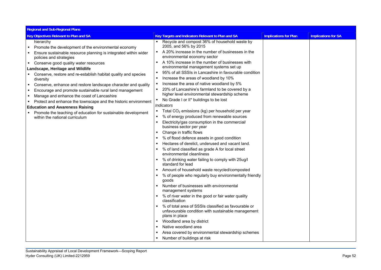| <b>Key Objectives Relevant to Plan and SA</b><br><b>Implications for Plan</b><br><b>Implications for SA</b><br>Key Targets and Indicators Relevant to Plan and SA<br>Recycle and compost 36% of household waste by<br>hierarchy<br>2005, and 56% by 2015<br>Promote the development of the environmental economy<br>A 20% increase in the number of businesses in the<br>Ensure sustainable resource planning is integrated within wider<br>environmental economy sector<br>policies and strategies<br>A 10% increase in the number of businesses with<br>$\blacksquare$<br>Conserve good quality water resources<br>environmental management systems set up<br>Landscape, Heritage and Wildlife<br>95% of all SSSIs in Lancashire in favourable condition<br>Conserve, restore and re-establish habitat quality and species<br>Increase the areas of woodland by 10%<br>$\blacksquare$<br>diversity<br>Increase the area of native woodland by 5%<br>Conserve, enhance and restore landscape character and quality<br>20% of Lancashire's farmland to be covered by a<br>Encourage and promote sustainable rural land management<br>higher level environmental stewardship scheme<br>Manage and enhance the coast of Lancashire<br>No Grade I or II* buildings to be lost<br>Protect and enhance the townscape and the historic environment<br><i><u><b>Indicators</b></u></i><br><b>Education and Awareness Raising</b><br>• Total CO <sub>2</sub> emissions (kg) per household per year<br>Promote the teaching of education for sustainable development<br>% of energy produced from renewable sources<br>within the national curriculum<br>Electricity/gas consumption in the commercial/<br>business sector per year<br>Change in traffic flows<br>% of flood defence assets in good condition<br>Hectares of derelict, underused and vacant land.<br>% of land classified as grade A for local street<br>environmental cleanliness<br>% of drinking water failing to comply with 25ug/l<br>standard for lead<br>Amount of household waste recycled/composted<br>% of people who regularly buy environmentally friendly<br>goods<br>Number of businesses with environmental<br>management systems<br>% of river water in the good or fair water quality<br>classification<br>% of total area of SSSIs classified as favourable or<br>л.<br>unfavourable condition with sustainable management<br>plans in place<br>Woodland area by district<br>Native woodland area |
|----------------------------------------------------------------------------------------------------------------------------------------------------------------------------------------------------------------------------------------------------------------------------------------------------------------------------------------------------------------------------------------------------------------------------------------------------------------------------------------------------------------------------------------------------------------------------------------------------------------------------------------------------------------------------------------------------------------------------------------------------------------------------------------------------------------------------------------------------------------------------------------------------------------------------------------------------------------------------------------------------------------------------------------------------------------------------------------------------------------------------------------------------------------------------------------------------------------------------------------------------------------------------------------------------------------------------------------------------------------------------------------------------------------------------------------------------------------------------------------------------------------------------------------------------------------------------------------------------------------------------------------------------------------------------------------------------------------------------------------------------------------------------------------------------------------------------------------------------------------------------------------------------------------------------------------------------------------------------------------------------------------------------------------------------------------------------------------------------------------------------------------------------------------------------------------------------------------------------------------------------------------------------------------------------------------------------------------------------------------------------------------------------------------------------------------------------------------------------|
|                                                                                                                                                                                                                                                                                                                                                                                                                                                                                                                                                                                                                                                                                                                                                                                                                                                                                                                                                                                                                                                                                                                                                                                                                                                                                                                                                                                                                                                                                                                                                                                                                                                                                                                                                                                                                                                                                                                                                                                                                                                                                                                                                                                                                                                                                                                                                                                                                                                                            |
|                                                                                                                                                                                                                                                                                                                                                                                                                                                                                                                                                                                                                                                                                                                                                                                                                                                                                                                                                                                                                                                                                                                                                                                                                                                                                                                                                                                                                                                                                                                                                                                                                                                                                                                                                                                                                                                                                                                                                                                                                                                                                                                                                                                                                                                                                                                                                                                                                                                                            |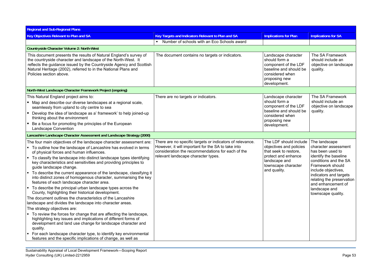| <b>Regional and Sub-Regional Plans</b>                                                                                                                                                                                                                                                                                                                                                                                                                                                                                                                                                                                                                                                                                                                                                                                                                                                                                                                                                                                                                     |                                                                                                                                                                                                             |                                                                                                                                                           |                                                                                                                                                                                                                                                                            |
|------------------------------------------------------------------------------------------------------------------------------------------------------------------------------------------------------------------------------------------------------------------------------------------------------------------------------------------------------------------------------------------------------------------------------------------------------------------------------------------------------------------------------------------------------------------------------------------------------------------------------------------------------------------------------------------------------------------------------------------------------------------------------------------------------------------------------------------------------------------------------------------------------------------------------------------------------------------------------------------------------------------------------------------------------------|-------------------------------------------------------------------------------------------------------------------------------------------------------------------------------------------------------------|-----------------------------------------------------------------------------------------------------------------------------------------------------------|----------------------------------------------------------------------------------------------------------------------------------------------------------------------------------------------------------------------------------------------------------------------------|
| Key Objectives Relevant to Plan and SA                                                                                                                                                                                                                                                                                                                                                                                                                                                                                                                                                                                                                                                                                                                                                                                                                                                                                                                                                                                                                     | Key Targets and Indicators Relevant to Plan and SA                                                                                                                                                          | <b>Implications for Plan</b>                                                                                                                              | <b>Implications for SA</b>                                                                                                                                                                                                                                                 |
|                                                                                                                                                                                                                                                                                                                                                                                                                                                                                                                                                                                                                                                                                                                                                                                                                                                                                                                                                                                                                                                            | • Number of schools with an Eco Schools award                                                                                                                                                               |                                                                                                                                                           |                                                                                                                                                                                                                                                                            |
| Countryside Character Volume 2: North-West                                                                                                                                                                                                                                                                                                                                                                                                                                                                                                                                                                                                                                                                                                                                                                                                                                                                                                                                                                                                                 |                                                                                                                                                                                                             |                                                                                                                                                           |                                                                                                                                                                                                                                                                            |
| This document presents the results of Natural England's survey of<br>the countryside character and landscape of the North-West. It<br>reflects the guidance issued by the Countryside Agency and Scottish<br>Natural Heritage (2002), referred to in the National Plans and<br>Policies section above.                                                                                                                                                                                                                                                                                                                                                                                                                                                                                                                                                                                                                                                                                                                                                     | The document contains no targets or indicators.                                                                                                                                                             | Landscape character<br>should form a<br>component of the LDF<br>baseline and should be<br>considered when<br>proposing new<br>development.                | The SA Framework<br>should include an<br>objective on landscape<br>quality.                                                                                                                                                                                                |
| North-West Landscape Character Framework Project (ongoing)                                                                                                                                                                                                                                                                                                                                                                                                                                                                                                                                                                                                                                                                                                                                                                                                                                                                                                                                                                                                 |                                                                                                                                                                                                             |                                                                                                                                                           |                                                                                                                                                                                                                                                                            |
| This Natural England project aims to:<br>Map and describe our diverse landscapes at a regional scale,<br>seamlessly from upland to city centre to sea<br>• Develop the idea of landscape as a' framework' to help joined-up<br>thinking about the environment<br>Be a focus for promoting the principles of the European<br>Landscape Convention                                                                                                                                                                                                                                                                                                                                                                                                                                                                                                                                                                                                                                                                                                           | There are no targets or indicators.                                                                                                                                                                         | Landscape character<br>should form a<br>component of the LDF<br>baseline and should be<br>considered when<br>proposing new<br>development.                | The SA Framework<br>should include an<br>objective on landscape<br>quality.                                                                                                                                                                                                |
| Lancashire Landscape Character Assessment and Landscape Strategy (2000)                                                                                                                                                                                                                                                                                                                                                                                                                                                                                                                                                                                                                                                                                                                                                                                                                                                                                                                                                                                    |                                                                                                                                                                                                             |                                                                                                                                                           |                                                                                                                                                                                                                                                                            |
| The four main objectives of the landscape character assessment are:<br>• To outline how the landscape of Lancashire has evolved in terms<br>of physical forces and human influences.<br>• To classify the landscape into distinct landscape types identifying<br>key characteristics and sensitivities and providing principles to<br>guide landscape change.<br>To describe the current appearance of the landscape, classifying it<br>into distinct zones of homogenous character, summarising the key<br>features of each landscape character area.<br>• To describe the principal urban landscape types across the<br>County, highlighting their historical development.<br>The document outlines the characteristics of the Lancashire<br>landscape and divides the landscape into character areas.<br>The strategy objectives are:<br>To review the forces for change that are affecting the landscape,<br>highlighting key issues and implications of different forms of<br>development and land use change for landscape character and<br>quality. | There are no specific targets or indicators of relevance.<br>However, it will important for the SA to take into<br>consideration the recommendations for each of the<br>relevant landscape character types. | The LDF should include<br>objectives and policies<br>that seek to restore,<br>protect and enhance<br>landscape and<br>townscape character<br>and quality. | The landscape<br>character assessment<br>has been used to<br>identify the baseline<br>conditions and the SA<br>Framework should<br>include objectives,<br>indicators and targets<br>relating the preservation<br>and enhancement of<br>landscape and<br>townscape quality. |
| • For each landscape character type, to identify key environmental<br>features and the specific implications of change, as well as                                                                                                                                                                                                                                                                                                                                                                                                                                                                                                                                                                                                                                                                                                                                                                                                                                                                                                                         |                                                                                                                                                                                                             |                                                                                                                                                           |                                                                                                                                                                                                                                                                            |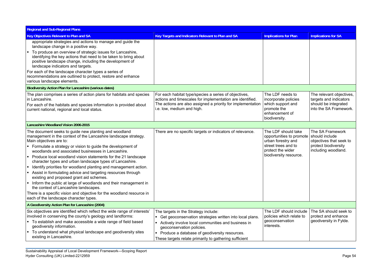| <b>Regional and Sub-Regional Plans</b>                                                                                                                                                                                                                                                                                                                                                                                                                                                                                                                                                                                                                                                                                                                                                                                |                                                                                                                                                                                                                                                                                                      |                                                                                                                                             |                                                                                                              |  |
|-----------------------------------------------------------------------------------------------------------------------------------------------------------------------------------------------------------------------------------------------------------------------------------------------------------------------------------------------------------------------------------------------------------------------------------------------------------------------------------------------------------------------------------------------------------------------------------------------------------------------------------------------------------------------------------------------------------------------------------------------------------------------------------------------------------------------|------------------------------------------------------------------------------------------------------------------------------------------------------------------------------------------------------------------------------------------------------------------------------------------------------|---------------------------------------------------------------------------------------------------------------------------------------------|--------------------------------------------------------------------------------------------------------------|--|
| <b>Key Objectives Relevant to Plan and SA</b>                                                                                                                                                                                                                                                                                                                                                                                                                                                                                                                                                                                                                                                                                                                                                                         | Key Targets and Indicators Relevant to Plan and SA                                                                                                                                                                                                                                                   | <b>Implications for Plan</b>                                                                                                                | <b>Implications for SA</b>                                                                                   |  |
| appropriate strategies and actions to manage and guide the<br>landscape change in a positive way.<br>To produce an overview of strategic issues for Lancashire,<br>identifying the key actions that need to be taken to bring about<br>positive landscape change, including the development of<br>landscape indicators and targets.<br>For each of the landscape character types a series of<br>recommendations are outlined to protect, restore and enhance<br>various landscape elements.                                                                                                                                                                                                                                                                                                                           |                                                                                                                                                                                                                                                                                                      |                                                                                                                                             |                                                                                                              |  |
| <b>Biodiversity Action Plan for Lancashire (various dates)</b>                                                                                                                                                                                                                                                                                                                                                                                                                                                                                                                                                                                                                                                                                                                                                        |                                                                                                                                                                                                                                                                                                      |                                                                                                                                             |                                                                                                              |  |
| The plan comprises a series of action plans for habitats and species<br>in Lancashire.<br>For each of the habitats and species information is provided about<br>current national, regional and local status.                                                                                                                                                                                                                                                                                                                                                                                                                                                                                                                                                                                                          | For each habitat type/species a series of objectives,<br>actions and timescales for implementation are identified.<br>The actions are also assigned a priority for implementation<br>i.e. low, medium and high.                                                                                      | The LDF needs to<br>incorporate policies<br>which support and<br>promote the<br>enhancement of<br>biodiversity.                             | The relevant objectives,<br>targets and indicators<br>should be integrated<br>into the SA Framework.         |  |
| Lancashire Woodland Vision 2006-2015                                                                                                                                                                                                                                                                                                                                                                                                                                                                                                                                                                                                                                                                                                                                                                                  |                                                                                                                                                                                                                                                                                                      |                                                                                                                                             |                                                                                                              |  |
| The document seeks to guide new planting and woodland<br>management in the context of the Lancashire landscape strategy.<br>Main objectives are to:<br>• Formulate a strategy or vision to guide the development of<br>woodlands and associated businesses in Lancashire.<br>Produce local woodland vision statements for the 21 landscape<br>character types and urban landscape types of Lancashire.<br>Identify priorities for woodland planting and management action.<br>Assist in formulating advice and targeting resources through<br>existing and proposed grant aid schemes.<br>Inform the public at large of woodlands and their management in<br>the context of Lancashire landscapes.<br>There is a specific vision and objective for the woodland resource in<br>each of the landscape character types. | There are no specific targets or indicators of relevance.                                                                                                                                                                                                                                            | The LDF should take<br>opportunities to promote<br>urban forestry and<br>street trees and to<br>protect the wider<br>biodiversity resource. | The SA Framework<br>should include<br>objectives that seek to<br>protect biodiversity<br>including woodland. |  |
| A Geodiversity Action Plan for Lancashire (2004)                                                                                                                                                                                                                                                                                                                                                                                                                                                                                                                                                                                                                                                                                                                                                                      |                                                                                                                                                                                                                                                                                                      |                                                                                                                                             |                                                                                                              |  |
| Six objectives are identified which reflect the wide range of interests'<br>involved in conserving the county's geology and landforms:<br>• To establish and make accessible a wide range of field based<br>geodiversity information.<br>To understand what physical landscape and geodiversity sites<br>existing in Lancashire.                                                                                                                                                                                                                                                                                                                                                                                                                                                                                      | The targets in the Strategy include:<br>• Get geoconservation strategies written into local plans.<br>• Actively involve local communities and business in<br>geoconservation policies.<br>• Produce a database of geodiversity resources.<br>These targets relate primarily to gathering sufficient | The LDF should include<br>policies which relate to<br>geoconservation<br>interests.                                                         | The SA should seek to<br>protect and enhance<br>geodiversity in Fylde.                                       |  |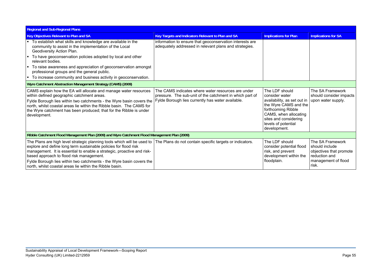| <b>Regional and Sub-Regional Plans</b>                                                                                                                                                                                                                                                                                                                                                                |                                                                                                                                                                     |                                                                                                                                                                                                         |                                                                                                                |  |
|-------------------------------------------------------------------------------------------------------------------------------------------------------------------------------------------------------------------------------------------------------------------------------------------------------------------------------------------------------------------------------------------------------|---------------------------------------------------------------------------------------------------------------------------------------------------------------------|---------------------------------------------------------------------------------------------------------------------------------------------------------------------------------------------------------|----------------------------------------------------------------------------------------------------------------|--|
| Key Objectives Relevant to Plan and SA                                                                                                                                                                                                                                                                                                                                                                | Key Targets and Indicators Relevant to Plan and SA                                                                                                                  | <b>Implications for Plan</b>                                                                                                                                                                            | <b>Implications for SA</b>                                                                                     |  |
| To establish what skills and knowledge are available in the<br>community to assist in the implementation of the Local<br>Geodiversity Action Plan.                                                                                                                                                                                                                                                    | information to ensure that geoconservation interests are<br>adequately addressed in relevant plans and strategies.                                                  |                                                                                                                                                                                                         |                                                                                                                |  |
| To have geoconservation policies adopted by local and other<br>relevant bodies.                                                                                                                                                                                                                                                                                                                       |                                                                                                                                                                     |                                                                                                                                                                                                         |                                                                                                                |  |
| To raise awareness and appreciation of geoconservation amongst<br>professional groups and the general public.                                                                                                                                                                                                                                                                                         |                                                                                                                                                                     |                                                                                                                                                                                                         |                                                                                                                |  |
| To increase community and business activity in geoconservation.                                                                                                                                                                                                                                                                                                                                       |                                                                                                                                                                     |                                                                                                                                                                                                         |                                                                                                                |  |
| Wyre Catchment Abstraction Management Strategy (CAMS) (2009)                                                                                                                                                                                                                                                                                                                                          |                                                                                                                                                                     |                                                                                                                                                                                                         |                                                                                                                |  |
| CAMS explain how the EA will allocate and manage water resources<br>within defined geographic catchment areas.<br>Fylde Borough lies within two catchments - the Wyre basin covers the<br>north, whilst coastal areas lie within the Ribble basin. The CAMS for<br>the Wyre catchment has been produced; that for the Ribble is under<br>development.                                                 | The CAMS indicates where water resources are under<br>pressure. The sub-unit of the catchment in which part of<br>Fylde Borough lies currently has water available. | The LDF should<br>consider water<br>availability, as set out in<br>the Wyre CAMS and the<br>forthcoming Ribble<br>CAMS, when allocating<br>sites and considering<br>levels of potential<br>development. | The SA Framework<br>should consider impacts<br>upon water supply.                                              |  |
|                                                                                                                                                                                                                                                                                                                                                                                                       | Ribble Catchment Flood Management Plan (2009) and Wyre Catchment Flood Management Plan (2009)                                                                       |                                                                                                                                                                                                         |                                                                                                                |  |
| The Plans are high level strategic planning tools which will be used to<br>explore and define long term sustainable policies for flood risk<br>management. It is essential to enable a strategic, proactive and risk-<br>based approach to flood risk management.<br>Fylde Borough lies within two catchments - the Wyre basin covers the<br>north, whilst coastal areas lie within the Ribble basin. | The Plans do not contain specific targets or indicators.                                                                                                            | The LDF should<br>consider potential flood<br>risk, and prevent<br>development within the<br>floodplain.                                                                                                | The SA Framework<br>should include<br>objectives that promote<br>reduction and<br>management of flood<br>risk. |  |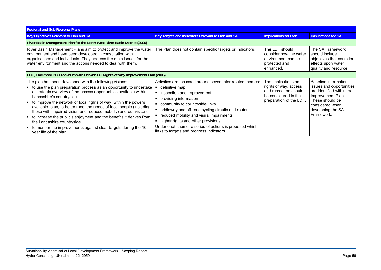| <b>Regional and Sub-Regional Plans</b>                                                                                                                                                                                                                                                                                                                                                                                                                                                                                                                                                                                                            |                                                                                                                                                                                                                                                                                                                                                                                                                      |                                                                                                                          |                                                                                                                                                                              |
|---------------------------------------------------------------------------------------------------------------------------------------------------------------------------------------------------------------------------------------------------------------------------------------------------------------------------------------------------------------------------------------------------------------------------------------------------------------------------------------------------------------------------------------------------------------------------------------------------------------------------------------------------|----------------------------------------------------------------------------------------------------------------------------------------------------------------------------------------------------------------------------------------------------------------------------------------------------------------------------------------------------------------------------------------------------------------------|--------------------------------------------------------------------------------------------------------------------------|------------------------------------------------------------------------------------------------------------------------------------------------------------------------------|
| Key Objectives Relevant to Plan and SA                                                                                                                                                                                                                                                                                                                                                                                                                                                                                                                                                                                                            | Key Targets and Indicators Relevant to Plan and SA                                                                                                                                                                                                                                                                                                                                                                   | <b>Implications for Plan</b>                                                                                             | <b>Implications for SA</b>                                                                                                                                                   |
| River Basin Management Plan for the North West River Basin District (2009)                                                                                                                                                                                                                                                                                                                                                                                                                                                                                                                                                                        |                                                                                                                                                                                                                                                                                                                                                                                                                      |                                                                                                                          |                                                                                                                                                                              |
| River Basin Management Plans aim to protect and improve the water<br>environment and have been developed in consultation with<br>organisations and individuals. They address the main issues for the<br>water environment and the actions needed to deal with them.                                                                                                                                                                                                                                                                                                                                                                               | The Plan does not contain specific targets or indicators.                                                                                                                                                                                                                                                                                                                                                            | The LDF should<br>consider how the water<br>environment can be<br>protected and<br>enhanced.                             | The SA Framework<br>should include<br>objectives that consider<br>effects upon water<br>quality and resource.                                                                |
| LCC, Blackpool BC, Blackburn with Darwen BC Rights of Way Improvement Plan (2005)                                                                                                                                                                                                                                                                                                                                                                                                                                                                                                                                                                 |                                                                                                                                                                                                                                                                                                                                                                                                                      |                                                                                                                          |                                                                                                                                                                              |
| The plan has been developed with the following visions:<br>to use the plan preparation process as an opportunity to undertake<br>a strategic overview of the access opportunities available within<br>Lancashire's countryside<br>to improve the network of local rights of way, within the powers<br>available to us, to better meet the needs of local people (including<br>those with impaired vision and reduced mobility) and our visitors<br>to increase the public's enjoyment and the benefits it derives from<br>the Lancashire countryside<br>to monitor the improvements against clear targets during the 10-<br>year life of the plan | Activities are focussed around seven inter-related themes:<br>definitive map<br>inspection and improvement<br>providing information<br>community to countryside links<br>bridleway and off-road cycling circuits and routes<br>reduced mobility and visual impairments<br>higher rights and other provisions<br>Under each theme, a series of actions is proposed which<br>links to targets and progress indicators. | The implications on<br>rights of way, access<br>and recreation should<br>be considered in the<br>preparation of the LDF. | Baseline information,<br>issues and opportunities<br>are identified within the<br>Improvement Plan.<br>These should be<br>considered when<br>developing the SA<br>Framework. |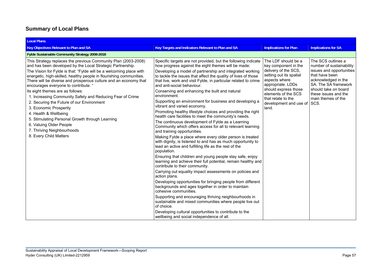## **Summary of Local Plans**

| <b>Local Plans</b>                                                                                                                                                                                                                                                                                                                                                                                                                                                                                                                                                                                                                                                                                                            |                                                                                                                                                                                                                                                                                                                                                                                                                                                                                                                                                                                                                                                                                                                                                                                                                                                                                                                                                                                                                                                                                                                                                                                                                                                                                                                                                                                                                                                                                                                                                                                                                                 |                                                                                                                                                                                                                                                   |                                                                                                                                                                                                                   |
|-------------------------------------------------------------------------------------------------------------------------------------------------------------------------------------------------------------------------------------------------------------------------------------------------------------------------------------------------------------------------------------------------------------------------------------------------------------------------------------------------------------------------------------------------------------------------------------------------------------------------------------------------------------------------------------------------------------------------------|---------------------------------------------------------------------------------------------------------------------------------------------------------------------------------------------------------------------------------------------------------------------------------------------------------------------------------------------------------------------------------------------------------------------------------------------------------------------------------------------------------------------------------------------------------------------------------------------------------------------------------------------------------------------------------------------------------------------------------------------------------------------------------------------------------------------------------------------------------------------------------------------------------------------------------------------------------------------------------------------------------------------------------------------------------------------------------------------------------------------------------------------------------------------------------------------------------------------------------------------------------------------------------------------------------------------------------------------------------------------------------------------------------------------------------------------------------------------------------------------------------------------------------------------------------------------------------------------------------------------------------|---------------------------------------------------------------------------------------------------------------------------------------------------------------------------------------------------------------------------------------------------|-------------------------------------------------------------------------------------------------------------------------------------------------------------------------------------------------------------------|
| Key Objectives Relevant to Plan and SA                                                                                                                                                                                                                                                                                                                                                                                                                                                                                                                                                                                                                                                                                        | Key Targets and Indicators Relevant to Plan and SA                                                                                                                                                                                                                                                                                                                                                                                                                                                                                                                                                                                                                                                                                                                                                                                                                                                                                                                                                                                                                                                                                                                                                                                                                                                                                                                                                                                                                                                                                                                                                                              | <b>Implications for Plan</b>                                                                                                                                                                                                                      | <b>Implications for SA</b>                                                                                                                                                                                        |
| Fylde Sustainable Community Strategy 2008-2018                                                                                                                                                                                                                                                                                                                                                                                                                                                                                                                                                                                                                                                                                |                                                                                                                                                                                                                                                                                                                                                                                                                                                                                                                                                                                                                                                                                                                                                                                                                                                                                                                                                                                                                                                                                                                                                                                                                                                                                                                                                                                                                                                                                                                                                                                                                                 |                                                                                                                                                                                                                                                   |                                                                                                                                                                                                                   |
| This Strategy replaces the previous Community Plan (2003-2008)<br>and has been developed by the Local Strategic Partnership.<br>The Vision for Fylde is that: "Fylde will be a welcoming place with<br>energetic, high-skilled, healthy people in flourishing communities.<br>There will be diverse and prosperous culture and an economy that<br>encourages everyone to contribute. "<br>Its eight themes are as follows:<br>1. Increasing Community Safety and Reducing Fear of Crime<br>2. Securing the Future of our Environment<br>3. Economic Prosperity<br>4. Health & Wellbeing<br>5. Stimulating Personal Growth through Learning<br>6. Valuing Older People<br>7. Thriving Neighbourhoods<br>8. Every Child Matters | Specific targets are not provided, but the following indicate<br>how progress against the eight themes will be made:<br>Developing a model of partnership and integrated working<br>to tackle the issues that affect the quality of lives of those<br>that live, work and visit Fylde, in particular related to crime<br>and anti-social behaviour.<br>Conserving and enhancing the built and natural<br>environment.<br>Supporting an environment for business and developing a<br>vibrant and varied economy.<br>Promoting healthy lifestyle choices and providing the right<br>health care facilities to meet the community's needs.<br>The continuous development of Fylde as a Learning<br>Community which offers access for all to relevant learning<br>and training opportunities.<br>Making Fylde a place where every older person is treated<br>with dignity, is listened to and has as much opportunity to<br>lead an active and fulfilling life as the rest of the<br>population.<br>Ensuring that children and young people stay safe, enjoy<br>learning and achieve their full potential, remain healthy and<br>contribute to their community.<br>Carrying out equality impact assessments on policies and<br>action plans.<br>Developing opportunities for bringing people from different<br>backgrounds and ages together in order to maintain<br>cohesive communities.<br>Supporting and encouraging thriving neighbourhoods in<br>sustainable and mixed communities where people live out<br>of choice.<br>Developing cultural opportunities to contribute to the<br>wellbeing and social independence of all. | The LDF should be a<br>key component in the<br>delivery of the SCS,<br>setting out its spatial<br>aspects where<br>appropriate. LDDs<br>should express those<br>elements of the SCS<br>that relate to the<br>development and use of SCS.<br>land. | The SCS outlines a<br>number of sustainability<br>issues and opportunities<br>that have been<br>acknowledged in the<br>SA. The SA framework<br>should take on board<br>these issues and the<br>main themes of the |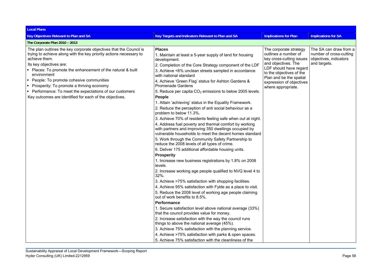| <b>Local Plans</b>                                                                                                                                                                                                                                                                                                                                                                                                                                                            |                                                                                                                                                                                                                                                                                                                                                                                                                                                                                                                                                                                                                                                                                                                                                                                                                                                                                                                                                                                                                                                                                                                                                                                                                                                                                                                                                                                                                                                                                                                                                                                                                                                                                                                                                                                |                                                                                                                                                                                                                                      |                                                                                             |
|-------------------------------------------------------------------------------------------------------------------------------------------------------------------------------------------------------------------------------------------------------------------------------------------------------------------------------------------------------------------------------------------------------------------------------------------------------------------------------|--------------------------------------------------------------------------------------------------------------------------------------------------------------------------------------------------------------------------------------------------------------------------------------------------------------------------------------------------------------------------------------------------------------------------------------------------------------------------------------------------------------------------------------------------------------------------------------------------------------------------------------------------------------------------------------------------------------------------------------------------------------------------------------------------------------------------------------------------------------------------------------------------------------------------------------------------------------------------------------------------------------------------------------------------------------------------------------------------------------------------------------------------------------------------------------------------------------------------------------------------------------------------------------------------------------------------------------------------------------------------------------------------------------------------------------------------------------------------------------------------------------------------------------------------------------------------------------------------------------------------------------------------------------------------------------------------------------------------------------------------------------------------------|--------------------------------------------------------------------------------------------------------------------------------------------------------------------------------------------------------------------------------------|---------------------------------------------------------------------------------------------|
| Key Objectives Relevant to Plan and SA                                                                                                                                                                                                                                                                                                                                                                                                                                        | Key Targets and Indicators Relevant to Plan and SA                                                                                                                                                                                                                                                                                                                                                                                                                                                                                                                                                                                                                                                                                                                                                                                                                                                                                                                                                                                                                                                                                                                                                                                                                                                                                                                                                                                                                                                                                                                                                                                                                                                                                                                             | <b>Implications for Plan</b>                                                                                                                                                                                                         | <b>Implications for SA</b>                                                                  |
| The Corporate Plan 2010 - 2013                                                                                                                                                                                                                                                                                                                                                                                                                                                |                                                                                                                                                                                                                                                                                                                                                                                                                                                                                                                                                                                                                                                                                                                                                                                                                                                                                                                                                                                                                                                                                                                                                                                                                                                                                                                                                                                                                                                                                                                                                                                                                                                                                                                                                                                |                                                                                                                                                                                                                                      |                                                                                             |
| The plan outlines the key corporate objectives that the Council is<br>trying to achieve along with the key priority actions necessary to<br>achieve them.<br>Its key objectives are:<br>Places: To promote the enhancement of the natural & built<br>environment<br>People: To promote cohesive communities<br>Prosperity: To promote a thriving economy<br>Performance: To meet the expectations of our customers<br>Key outcomes are identified for each of the objectives. | <b>Places</b><br>1. Maintain at least a 5-year supply of land for housing<br>development.<br>2. Completion of the Core Strategy component of the LDF<br>3. Achieve <6% unclean streets sampled in accordance<br>with national standard<br>4. Achieve 'Green Flag' status for Ashton Gardens &<br><b>Promenade Gardens</b><br>5. Reduce per capita CO <sub>2</sub> emissions to below 2005 levels.<br>People<br>1. Attain 'achieving' status in the Equality Framework.<br>2. Reduce the perception of anti social behaviour as a<br>problem to below 11.3%.<br>3. Achieve 70% of residents feeling safe when out at night.<br>4. Address fuel poverty and thermal comfort by working<br>with partners and improving 350 dwellings occupied by<br>vulnerable households to meet the decent homes standard<br>5. Work through the Community Safety Partnership to<br>reduce the 2008 levels of all types of crime.<br>6. Deliver 175 additional affordable housing units.<br><b>Prosperity</b><br>1. Increase new business registrations by 1.8% on 2008<br>levels.<br>2. Increase working age people qualified to NVQ level 4 to<br>32%.<br>3. Achieve >75% satisfaction with shopping facilities.<br>4. Achieve 95% satisfaction with Fylde as a place to visit.<br>5. Reduce the 2008 level of working age people claiming<br>out of work benefits to 8.5%.<br>Performance<br>1. Secure satisfaction level above national average (33%)<br>that the council provides value for money.<br>2. Increase satisfaction with the way the council runs<br>things to above the national average (45%).<br>3. Achieve 75% satisfaction with the planning service.<br>4. Achieve >75% satisfaction with parks & open spaces.<br>5. Achieve 75% satisfaction with the cleanliness of the | The corporate strategy<br>outlines a number of<br>key cross-cutting issues<br>and objectives. The<br>LDF should have regard<br>to the objectives of the<br>Plan and be the spatial<br>expression of objectives<br>where appropriate. | The SA can draw from a<br>number of cross-cutting<br>objectives, indicators<br>and targets. |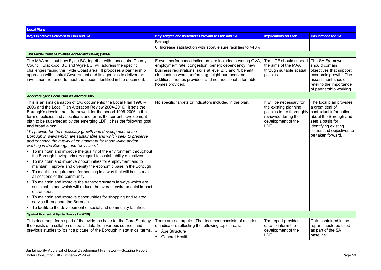| <b>Local Plans</b>                                                                                                                                                                                                                                                                                                                                                      |                                                                                                                                                                                                                                                                                                                     |                                                                                                                                     |                                                                                                                                                                       |
|-------------------------------------------------------------------------------------------------------------------------------------------------------------------------------------------------------------------------------------------------------------------------------------------------------------------------------------------------------------------------|---------------------------------------------------------------------------------------------------------------------------------------------------------------------------------------------------------------------------------------------------------------------------------------------------------------------|-------------------------------------------------------------------------------------------------------------------------------------|-----------------------------------------------------------------------------------------------------------------------------------------------------------------------|
| <b>Key Objectives Relevant to Plan and SA</b>                                                                                                                                                                                                                                                                                                                           | Key Targets and Indicators Relevant to Plan and SA                                                                                                                                                                                                                                                                  | <b>Implications for Plan</b>                                                                                                        | <b>Implications for SA</b>                                                                                                                                            |
|                                                                                                                                                                                                                                                                                                                                                                         | Borough.<br>6. Increase satisfaction with sport/leisure facilities to >40%.                                                                                                                                                                                                                                         |                                                                                                                                     |                                                                                                                                                                       |
| The Fylde Coast Multi-Area Agreement (MAA) (2009)                                                                                                                                                                                                                                                                                                                       |                                                                                                                                                                                                                                                                                                                     |                                                                                                                                     |                                                                                                                                                                       |
| The MAA sets out how Fylde BC, together with Lancashire County<br>Council, Blackpool BC and Wyre BC, will address the specific<br>challenges facing the Fylde Coast area. It proposes a partnership<br>approach with central Government and its agencies to deliver the<br>investment required to meet the needs identified in the document.                            | Eleven performance indicators are included covering GVA,<br>employment rate, congestion, benefit dependency, new<br>business registrations, skills at level 2, 3 and 4, benefit<br>claimants in worst performing neighbourhoods, net<br>additional homes provided, and net additional affordable<br>homes provided. | The LDF should support<br>the aims of the MAA<br>through suitable spatial<br>policies.                                              | The SA Framework<br>should contain<br>objectives that support<br>economic growth. The<br>assessment should<br>refer to the importance<br>of partnership working.      |
| Adopted Fylde Local Plan As Altered 2005                                                                                                                                                                                                                                                                                                                                |                                                                                                                                                                                                                                                                                                                     |                                                                                                                                     |                                                                                                                                                                       |
| This is an amalgamation of two documents: the Local Plan 1996 -<br>2006 and the Local Plan Alteration Review 2004-2016. It sets the<br>Borough's development framework for the period 1996-2006 in the<br>form of policies and allocations and forms the current development<br>plan to be superseded by the emerging LDF. It has the following goal<br>and broad aims: | No specific targets or indicators included in the plan.                                                                                                                                                                                                                                                             | It will be necessary for<br>the existing planning<br>policies to be thoroughly<br>reviewed during the<br>development of the<br>LDF. | The local plan provides<br>a great deal of<br>contextual information<br>about the Borough and<br>sets a basis for<br>identifying existing<br>issues and objectives to |
| "To provide for the necessary growth and development of the<br>Borough in ways which are sustainable and which seek to preserve<br>and enhance the quality of environment for those living and/or<br>working in the Borough and for visitors"                                                                                                                           |                                                                                                                                                                                                                                                                                                                     |                                                                                                                                     | be taken forward.                                                                                                                                                     |
| • To maintain and improve the quality of the environment throughout<br>the Borough having primary regard to sustainability objectives                                                                                                                                                                                                                                   |                                                                                                                                                                                                                                                                                                                     |                                                                                                                                     |                                                                                                                                                                       |
| • To maintain and improve opportunities for employment and to<br>maintain, improve and diversity the economic base in the Borough                                                                                                                                                                                                                                       |                                                                                                                                                                                                                                                                                                                     |                                                                                                                                     |                                                                                                                                                                       |
| To meet the requirement for housing in a way that will best serve<br>all sections of the community                                                                                                                                                                                                                                                                      |                                                                                                                                                                                                                                                                                                                     |                                                                                                                                     |                                                                                                                                                                       |
| • To maintain and improve the transport system in ways which are<br>sustainable and which will reduce the overall environmental impact<br>of transport                                                                                                                                                                                                                  |                                                                                                                                                                                                                                                                                                                     |                                                                                                                                     |                                                                                                                                                                       |
| To maintain and improve opportunities for shopping and related<br>service throughout the Borough                                                                                                                                                                                                                                                                        |                                                                                                                                                                                                                                                                                                                     |                                                                                                                                     |                                                                                                                                                                       |
| • To facilitate the development of social and community facilities                                                                                                                                                                                                                                                                                                      |                                                                                                                                                                                                                                                                                                                     |                                                                                                                                     |                                                                                                                                                                       |
| Spatial Portrait of Fylde Borough (2010)                                                                                                                                                                                                                                                                                                                                |                                                                                                                                                                                                                                                                                                                     |                                                                                                                                     |                                                                                                                                                                       |
| This document forms part of the evidence base for the Core Strategy.<br>It consists of a collation of spatial data from various sources and<br>previous studies to 'paint a picture' of the Borough in statistical terms.                                                                                                                                               | There are no targets. The document consists of a series<br>of indicators reflecting the following topic areas:<br>Age Structure<br>• General Health                                                                                                                                                                 | The report provides<br>data to inform the<br>development of the<br>LDF.                                                             | Data contained in the<br>report should be used<br>as part of the SA<br>baseline.                                                                                      |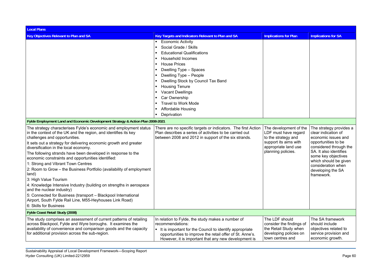| <b>Local Plans</b>                                                                                                                                                                                                                                                                                                                                                                                                                                                                                                                                                                                                                                                                                                                                                                                                    |                                                                                                                                                                                                                                                                                                                                                               |                                                                                                                                              |                                                                                                                                                                                                                                                           |
|-----------------------------------------------------------------------------------------------------------------------------------------------------------------------------------------------------------------------------------------------------------------------------------------------------------------------------------------------------------------------------------------------------------------------------------------------------------------------------------------------------------------------------------------------------------------------------------------------------------------------------------------------------------------------------------------------------------------------------------------------------------------------------------------------------------------------|---------------------------------------------------------------------------------------------------------------------------------------------------------------------------------------------------------------------------------------------------------------------------------------------------------------------------------------------------------------|----------------------------------------------------------------------------------------------------------------------------------------------|-----------------------------------------------------------------------------------------------------------------------------------------------------------------------------------------------------------------------------------------------------------|
| Key Objectives Relevant to Plan and SA                                                                                                                                                                                                                                                                                                                                                                                                                                                                                                                                                                                                                                                                                                                                                                                | <b>Key Targets and Indicators Relevant to Plan and SA</b>                                                                                                                                                                                                                                                                                                     | <b>Implications for Plan</b>                                                                                                                 | <b>Implications for SA</b>                                                                                                                                                                                                                                |
|                                                                                                                                                                                                                                                                                                                                                                                                                                                                                                                                                                                                                                                                                                                                                                                                                       | <b>Economic Activity</b><br>Social Grade / Skills<br><b>Educational Qualifications</b><br>Household Incomes<br><b>House Prices</b><br>Dwelling Type - Spaces<br>Dwelling Type - People<br>Dwelling Stock by Council Tax Band<br><b>Housing Tenure</b><br><b>Vacant Dwellings</b><br>Car Ownership<br>Travel to Work Mode<br>Affordable Housing<br>Deprivation |                                                                                                                                              |                                                                                                                                                                                                                                                           |
| Fylde Employment Land and Economic Development Strategy & Action Plan 2008-2021                                                                                                                                                                                                                                                                                                                                                                                                                                                                                                                                                                                                                                                                                                                                       |                                                                                                                                                                                                                                                                                                                                                               |                                                                                                                                              |                                                                                                                                                                                                                                                           |
| The strategy characterises Fylde's economic and employment status<br>in the context of the UK and the region, and identifies its key<br>challenges and opportunities.<br>It sets out a strategy for delivering economic growth and greater<br>diversification in the local economy.<br>The following strands have been developed in response to the<br>economic constraints and opportunities identified:<br>1: Strong and Vibrant Town Centres<br>2: Room to Grow - the Business Portfolio (availability of employment<br>land)<br>3: High Value Tourism<br>4: Knowledge Intensive Industry (building on strengths in aerospace<br>and the nuclear industry)<br>5: Connected for Business (transport - Blackpool International<br>Airport, South Fylde Rail Line, M55-Heyhouses Link Road)<br>6: Skills for Business | There are no specific targets or indicators. The first Action<br>Plan describes a series of activities to be carried out<br>between 2008 and 2012 in support of the six strands.                                                                                                                                                                              | The development of the<br>LDF must have regard<br>to the strategy and<br>support its aims with<br>appropriate land use<br>planning policies. | The strategy provides a<br>clear indication of<br>economic issues and<br>opportunities to be<br>considered through the<br>SA. It also identifies<br>some key objectives<br>which should be given<br>consideration when<br>developing the SA<br>framework. |
| <b>Fylde Coast Retail Study (2008)</b>                                                                                                                                                                                                                                                                                                                                                                                                                                                                                                                                                                                                                                                                                                                                                                                |                                                                                                                                                                                                                                                                                                                                                               |                                                                                                                                              |                                                                                                                                                                                                                                                           |
| The study comprises an assessment of current patterns of retailing<br>across Blackpool, Fylde and Wyre boroughs. It examines the<br>availability of convenience and comparison goods and the capacity<br>for additional provision across the sub-region.                                                                                                                                                                                                                                                                                                                                                                                                                                                                                                                                                              | In relation to Fylde, the study makes a number of<br>recommendations:<br>It is important for the Council to identify appropriate<br>$\blacksquare$<br>opportunities to improve the retail offer of St. Anne's.<br>However, it is important that any new development is                                                                                        | The LDF should<br>consider the findings of<br>the Retail Study when<br>developing policies on<br>town centres and                            | The SA framework<br>should include<br>objectives related to<br>service provision and<br>economic growth.                                                                                                                                                  |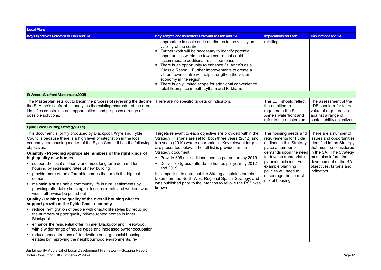| <b>Local Plans</b>                                                                                                                                                                                                                                                                                                                                                                                                                                                                                                                                                                                                                                                                                                                                                                                                                                                                                                                                                                                                                                                                                            |                                                                                                                                                                                                                                                                                                                                                                                                                                                                                                                                                                                                  |                                                                                                                                                                                                                                                                         |                                                                                                                                                                                                                                  |  |
|---------------------------------------------------------------------------------------------------------------------------------------------------------------------------------------------------------------------------------------------------------------------------------------------------------------------------------------------------------------------------------------------------------------------------------------------------------------------------------------------------------------------------------------------------------------------------------------------------------------------------------------------------------------------------------------------------------------------------------------------------------------------------------------------------------------------------------------------------------------------------------------------------------------------------------------------------------------------------------------------------------------------------------------------------------------------------------------------------------------|--------------------------------------------------------------------------------------------------------------------------------------------------------------------------------------------------------------------------------------------------------------------------------------------------------------------------------------------------------------------------------------------------------------------------------------------------------------------------------------------------------------------------------------------------------------------------------------------------|-------------------------------------------------------------------------------------------------------------------------------------------------------------------------------------------------------------------------------------------------------------------------|----------------------------------------------------------------------------------------------------------------------------------------------------------------------------------------------------------------------------------|--|
| Key Objectives Relevant to Plan and SA                                                                                                                                                                                                                                                                                                                                                                                                                                                                                                                                                                                                                                                                                                                                                                                                                                                                                                                                                                                                                                                                        | Key Targets and Indicators Relevant to Plan and SA                                                                                                                                                                                                                                                                                                                                                                                                                                                                                                                                               | <b>Implications for Plan</b>                                                                                                                                                                                                                                            | <b>Implications for SA</b>                                                                                                                                                                                                       |  |
|                                                                                                                                                                                                                                                                                                                                                                                                                                                                                                                                                                                                                                                                                                                                                                                                                                                                                                                                                                                                                                                                                                               | appropriate in scale and contributes to the vitality and<br>viability of the centre.<br>Further work will be necessary to identify potential<br>opportunities within the town centre that could<br>accommodate additional retail floorspace.<br>There is an opportunity to enhance St. Anne's as a<br>'Classic Resort'. Further improvements to create a<br>vibrant town centre will help strengthen the visitor<br>economy in the region.<br>There is only limited scope for additional convenience<br>retail floorspace in both Lytham and Kirkham.                                            | retailing.                                                                                                                                                                                                                                                              |                                                                                                                                                                                                                                  |  |
| St Anne's Seafront Masterplan (2008)                                                                                                                                                                                                                                                                                                                                                                                                                                                                                                                                                                                                                                                                                                                                                                                                                                                                                                                                                                                                                                                                          |                                                                                                                                                                                                                                                                                                                                                                                                                                                                                                                                                                                                  |                                                                                                                                                                                                                                                                         |                                                                                                                                                                                                                                  |  |
| The Masterplan sets out to begin the process of reversing the decline<br>the St Anne's seafront. It analyses the existing character of the area;<br>identifies constraints and opportunities; and proposes a range of<br>possible solutions.                                                                                                                                                                                                                                                                                                                                                                                                                                                                                                                                                                                                                                                                                                                                                                                                                                                                  | There are no specific targets or indicators.                                                                                                                                                                                                                                                                                                                                                                                                                                                                                                                                                     | The LDF should reflect<br>the ambition to<br>regenerate the St<br>Anne's waterfront and<br>refer to the masterplan.                                                                                                                                                     | The assessment of the<br>LDF should refer to the<br>value of regeneration<br>against a range of<br>sustainability objectives.                                                                                                    |  |
| Fylde Coast Housing Strategy (2009)                                                                                                                                                                                                                                                                                                                                                                                                                                                                                                                                                                                                                                                                                                                                                                                                                                                                                                                                                                                                                                                                           |                                                                                                                                                                                                                                                                                                                                                                                                                                                                                                                                                                                                  |                                                                                                                                                                                                                                                                         |                                                                                                                                                                                                                                  |  |
| This document is jointly produced by Blackpool, Wyre and Fylde<br>Councils because there is a high level of integration in the local<br>economy and housing market of the Fylde Coast. It has the following<br>objectives:<br>Quantity - Providing appropriate numbers of the right kinds of<br>high quality new homes<br>• support the local economy and meet long term demand for<br>housing by increasing rates of new building<br>provide more of the affordable homes that are in the highest<br>demand<br>maintain a sustainable community life in rural settlements by<br>$\blacksquare$<br>providing affordable housing for local residents and workers who<br>would otherwise be priced out<br>Quality - Raising the quality of the overall housing offer to<br>support growth in the Fylde Coast economy<br>" reduce in-migration of people with chaotic life styles by reducing<br>the numbers of poor quality private rented homes in inner<br>Blackpool<br>• enhance the residential offer in inner Blackpool and Fleetwood,<br>with a wider range of house types and increased owner occupation | Targets relevant to each objective are provided within the<br>Strategy. Targets are set for both three years (2012) and<br>ten years (2019) where appropriate. Key relevant targets<br>are presented below. The full list is provided in the<br>Strategy document.<br>• Provide 306 net additional homes per annum by 2019<br>Deliver 70 (gross) affordable homes per year by 2012<br>and 2019<br>It is important to note that the Strategy contains targets<br>taken from the North-West Regional Spatial Strategy, and<br>was published prior to the intention to revoke the RSS was<br>known. | The housing needs and<br>requirements for Fylde<br>outlined in this Strategy<br>place a number of<br>demands upon the need<br>to develop appropriate<br>planning policies. For<br>example planning<br>policies will need to<br>encourage the correct<br>mix of housing. | There are a number of<br>issues and opportunities<br>identified in the Strategy<br>that must be considered<br>in the SA. The Strategy<br>must also inform the<br>development of the SA<br>objectives, targets and<br>indicators. |  |
| • reduce concentrations of deprivation on large social housing<br>estates by improving the neighbourhood environments, re-                                                                                                                                                                                                                                                                                                                                                                                                                                                                                                                                                                                                                                                                                                                                                                                                                                                                                                                                                                                    |                                                                                                                                                                                                                                                                                                                                                                                                                                                                                                                                                                                                  |                                                                                                                                                                                                                                                                         |                                                                                                                                                                                                                                  |  |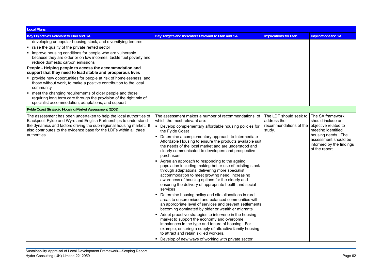| <b>Local Plans</b>                                                                                                                                                                                                                                                                                                                                                                                                                                                                                                                                                                                                                                                                                           |                                                                                                                                                                                                                                                                                                                                                                                                                                                                                                                                                                                                                                                                                                                                                                                                                                                                                                                                                                                                                                                                                                                                                                                                                                                                                                                            |                                                                           |                                                                                                                                                                                 |
|--------------------------------------------------------------------------------------------------------------------------------------------------------------------------------------------------------------------------------------------------------------------------------------------------------------------------------------------------------------------------------------------------------------------------------------------------------------------------------------------------------------------------------------------------------------------------------------------------------------------------------------------------------------------------------------------------------------|----------------------------------------------------------------------------------------------------------------------------------------------------------------------------------------------------------------------------------------------------------------------------------------------------------------------------------------------------------------------------------------------------------------------------------------------------------------------------------------------------------------------------------------------------------------------------------------------------------------------------------------------------------------------------------------------------------------------------------------------------------------------------------------------------------------------------------------------------------------------------------------------------------------------------------------------------------------------------------------------------------------------------------------------------------------------------------------------------------------------------------------------------------------------------------------------------------------------------------------------------------------------------------------------------------------------------|---------------------------------------------------------------------------|---------------------------------------------------------------------------------------------------------------------------------------------------------------------------------|
| Key Objectives Relevant to Plan and SA                                                                                                                                                                                                                                                                                                                                                                                                                                                                                                                                                                                                                                                                       | Key Targets and Indicators Relevant to Plan and SA                                                                                                                                                                                                                                                                                                                                                                                                                                                                                                                                                                                                                                                                                                                                                                                                                                                                                                                                                                                                                                                                                                                                                                                                                                                                         | <b>Implications for Plan</b>                                              | <b>Implications for SA</b>                                                                                                                                                      |
| developing unpopular housing stock, and diversifying tenures<br>• raise the quality of the private rented sector<br>• improve housing conditions for people who are vulnerable<br>because they are older or on low incomes, tackle fuel poverty and<br>reduce domestic carbon emissions<br>People - Helping people to access the accommodation and<br>support that they need to lead stable and prosperous lives<br>• provide new opportunities for people at risk of homelessness, and<br>those without work, to make a positive contribution to the local<br>community<br>• meet the changing requirements of older people and those<br>requiring long term care through the provision of the right mix of |                                                                                                                                                                                                                                                                                                                                                                                                                                                                                                                                                                                                                                                                                                                                                                                                                                                                                                                                                                                                                                                                                                                                                                                                                                                                                                                            |                                                                           |                                                                                                                                                                                 |
| specialist accommodation, adaptations, and support                                                                                                                                                                                                                                                                                                                                                                                                                                                                                                                                                                                                                                                           |                                                                                                                                                                                                                                                                                                                                                                                                                                                                                                                                                                                                                                                                                                                                                                                                                                                                                                                                                                                                                                                                                                                                                                                                                                                                                                                            |                                                                           |                                                                                                                                                                                 |
| Fylde Coast Strategic Housing Market Assessment (2008)                                                                                                                                                                                                                                                                                                                                                                                                                                                                                                                                                                                                                                                       |                                                                                                                                                                                                                                                                                                                                                                                                                                                                                                                                                                                                                                                                                                                                                                                                                                                                                                                                                                                                                                                                                                                                                                                                                                                                                                                            |                                                                           |                                                                                                                                                                                 |
| The assessment has been undertaken to help the local authorities of<br>Blackpool, Fylde and Wyre and English Partnerships to understand<br>the dynamics and factors driving the sub-regional housing market. It<br>also contributes to the evidence base for the LDFs within all three<br>authorities.                                                                                                                                                                                                                                                                                                                                                                                                       | The assessment makes a number of recommendations, of<br>which the most relevant are:<br>• Develop complementary affordable housing policies for<br>the Fylde Coast<br>• Determine a complementary approach to Intermediate<br>Affordable Housing to ensure the products available suit<br>the needs of the local market and are understood and<br>clearly communicated to developers and prospective<br>purchasers<br>Agree an approach to responding to the ageing<br>population including making better use of existing stock<br>through adaptations, delivering more specialist<br>accommodation to meet growing need, increasing<br>awareness of housing options for the elderly and<br>ensuring the delivery of appropriate health and social<br>services<br>Determine housing policy and site allocations in rural<br>areas to ensure mixed and balanced communities with<br>an appropriate level of services and prevent settlements<br>becoming dominated by older or wealthier migrants<br>Adopt proactive strategies to intervene in the housing<br>market to support the economy and overcome<br>imbalances in the type and tenure of housing. For<br>example, ensuring a supply of attractive family housing<br>to attract and retain skilled workers.<br>• Develop of new ways of working with private sector | The LDF should seek to<br>address the<br>recommendations of the<br>study. | The SA framework<br>should include an<br>objective related to<br>meeting identified<br>housing needs. The<br>assessment should be<br>informed by the findings<br>of the report. |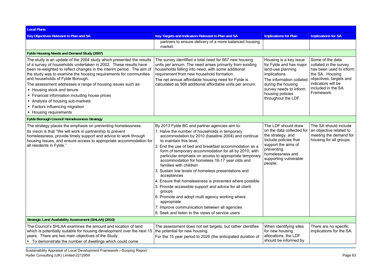| <b>Local Plans</b>                                                                                                                                                                                                                                                                                                                                                                                                                                                                                                                                                          |                                                                                                                                                                                                                                                                                                                                                                                                                                                                                                                                                                                                                                                                                                                                                                                                                        |                                                                                                                                                                                                                |                                                                                                                                                                               |
|-----------------------------------------------------------------------------------------------------------------------------------------------------------------------------------------------------------------------------------------------------------------------------------------------------------------------------------------------------------------------------------------------------------------------------------------------------------------------------------------------------------------------------------------------------------------------------|------------------------------------------------------------------------------------------------------------------------------------------------------------------------------------------------------------------------------------------------------------------------------------------------------------------------------------------------------------------------------------------------------------------------------------------------------------------------------------------------------------------------------------------------------------------------------------------------------------------------------------------------------------------------------------------------------------------------------------------------------------------------------------------------------------------------|----------------------------------------------------------------------------------------------------------------------------------------------------------------------------------------------------------------|-------------------------------------------------------------------------------------------------------------------------------------------------------------------------------|
| Key Objectives Relevant to Plan and SA                                                                                                                                                                                                                                                                                                                                                                                                                                                                                                                                      | Key Targets and Indicators Relevant to Plan and SA                                                                                                                                                                                                                                                                                                                                                                                                                                                                                                                                                                                                                                                                                                                                                                     | <b>Implications for Plan</b>                                                                                                                                                                                   | <b>Implications for SA</b>                                                                                                                                                    |
|                                                                                                                                                                                                                                                                                                                                                                                                                                                                                                                                                                             | partners to ensure delivery of a more balanced housing<br>market.                                                                                                                                                                                                                                                                                                                                                                                                                                                                                                                                                                                                                                                                                                                                                      |                                                                                                                                                                                                                |                                                                                                                                                                               |
| <b>Fylde Housing Needs and Demand Study (2007)</b>                                                                                                                                                                                                                                                                                                                                                                                                                                                                                                                          |                                                                                                                                                                                                                                                                                                                                                                                                                                                                                                                                                                                                                                                                                                                                                                                                                        |                                                                                                                                                                                                                |                                                                                                                                                                               |
| The study is an update of the 2004 study which presented the results<br>of a survey of households undertaken in 2002. These results have<br>been re-weighted to reflect changes in the interim period. The aim of<br>the study was to examine the housing requirements for communities<br>and households of Fylde Borough.<br>The assessment addresses a range of housing issues such as:<br>• Housing stock and tenure<br>• Financial information including house prices<br>• Analysis of housing sub-markets<br>• Factors influencing migration<br>• Housing requirements | The survey identified a total need for 667 new housing<br>units per annum. The need arises primarily from existing<br>households falling into need, with some additional<br>requirement from new household formation.<br>The net annual affordable housing need for Fylde is<br>calculated as 568 additional affordable units per annum.                                                                                                                                                                                                                                                                                                                                                                                                                                                                               | Housing is a key issue<br>for Fylde and has major<br>land-use planning<br>implications.<br>The information collated<br>during the housing<br>survey needs to inform<br>housing policies<br>throughout the LDF. | Some of the data<br>collated in the survey<br>has been used to inform<br>the SA. Housing<br>objectives, targets and<br>indicators will be<br>included in the SA<br>Framework. |
| <b>Fylde Borough Council Homelessness Strategy</b>                                                                                                                                                                                                                                                                                                                                                                                                                                                                                                                          |                                                                                                                                                                                                                                                                                                                                                                                                                                                                                                                                                                                                                                                                                                                                                                                                                        |                                                                                                                                                                                                                |                                                                                                                                                                               |
| The strategy places the emphasis on preventing homelessness.<br>Its vision is that "We will work in partnership to prevent<br>homelessness, provide timely support and advice to work through<br>housing issues, and ensure access to appropriate accommodation for<br>all residents in Fylde."                                                                                                                                                                                                                                                                             | By 2013 Fylde BC and partner agencies aim to:<br>1. Halve the number of households in temporary<br>accommodation by 2010 (baseline 2004) and continue<br>to maintain this level,<br>2. End the use of bed and breakfast accommodation as a<br>form of temporary accommodation for all by 2010; with<br>particular emphasis on access to appropriate temporary<br>accommodation for homeless 16-17 year olds and<br>families with children<br>3. Sustain low levels of homeless presentations and<br>acceptances<br>4. Ensure that homelessness is prevented where possible<br>5. Provide accessible support and advice for all client<br>groups<br>6. Promote and adopt multi agency working where<br>appropriate<br>7. Improve communication between all agencies<br>8. Seek and listen to the views of service users | The LDF should draw<br>on the data collected for<br>the strategy, and<br>include policies that<br>support the aims of<br>preventing<br>homelessness and<br>supporting vulnerable<br>people.                    | The SA should include<br>an objective related to<br>meeting the demand for<br>housing for all groups.                                                                         |
| <b>Strategic Land Availability Assessment (SHLAA) (2010)</b>                                                                                                                                                                                                                                                                                                                                                                                                                                                                                                                |                                                                                                                                                                                                                                                                                                                                                                                                                                                                                                                                                                                                                                                                                                                                                                                                                        |                                                                                                                                                                                                                |                                                                                                                                                                               |
| The Council's SHLAA examines the amount and location of land<br>which is potentially suitable for housing development over the next 15<br>years. There are two main objectives of the Study:<br>• To demonstrate the number of dwellings which could come                                                                                                                                                                                                                                                                                                                   | The assessment does not set targets, but rather identifies<br>the potential for new housing.<br>For the 15 year period to 2026 (the anticipated duration of                                                                                                                                                                                                                                                                                                                                                                                                                                                                                                                                                                                                                                                            | When identifying sites<br>for new housing<br>allocations, the LDF<br>should be informed by                                                                                                                     | There are no specific<br>implications for the SA.                                                                                                                             |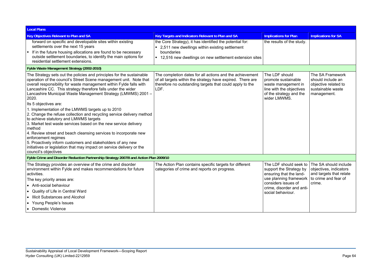| <b>Local Plans</b>                                                                                                                                                                                                                                                                                                                                                                                                                                                                                                                                                                                                                                                                                                                                                                                                                                                                                    |                                                                                                                                                                                            |                                                                                                                                                                                 |                                                                                                              |  |
|-------------------------------------------------------------------------------------------------------------------------------------------------------------------------------------------------------------------------------------------------------------------------------------------------------------------------------------------------------------------------------------------------------------------------------------------------------------------------------------------------------------------------------------------------------------------------------------------------------------------------------------------------------------------------------------------------------------------------------------------------------------------------------------------------------------------------------------------------------------------------------------------------------|--------------------------------------------------------------------------------------------------------------------------------------------------------------------------------------------|---------------------------------------------------------------------------------------------------------------------------------------------------------------------------------|--------------------------------------------------------------------------------------------------------------|--|
| Key Objectives Relevant to Plan and SA                                                                                                                                                                                                                                                                                                                                                                                                                                                                                                                                                                                                                                                                                                                                                                                                                                                                | Key Targets and Indicators Relevant to Plan and SA                                                                                                                                         | <b>Implications for Plan</b>                                                                                                                                                    | <b>Implications for SA</b>                                                                                   |  |
| forward on specific and developable sites within existing<br>settlements over the next 15 years<br>• If in the future housing allocations are found to be necessary<br>outside settlement boundaries, to identify the main options for<br>residential settlement extensions.                                                                                                                                                                                                                                                                                                                                                                                                                                                                                                                                                                                                                          | the Core Strategy), it has identified the potential for:<br>• 2,511 new dwellings within existing settlement<br>boundaries<br>• 12,516 new dwellings on new settlement extension sites     | the results of the study.                                                                                                                                                       |                                                                                                              |  |
| Fylde Waste Management Strategy (2002-2010)                                                                                                                                                                                                                                                                                                                                                                                                                                                                                                                                                                                                                                                                                                                                                                                                                                                           |                                                                                                                                                                                            |                                                                                                                                                                                 |                                                                                                              |  |
| The Strategy sets out the policies and principles for the sustainable<br>operation of the council's Street Scene management unit. Note that<br>overall responsibility for waste management within Fylde falls with<br>Lancashire CC. This strategy therefore falls under the wider<br>Lancashire Municipal Waste Management Strategy (LMWMS) 2001 -<br>2020.<br>Its 5 objectives are:<br>1. Implementation of the LMWMS targets up to 2010<br>2. Change the refuse collection and recycling service delivery method<br>to achieve statutory and LMWMS targets<br>3. Market test waste services based on the new service delivery<br>method<br>4. Review street and beach cleansing services to incorporate new<br>enforcement regimes<br>5. Proactively inform customers and stakeholders of any new<br>initiatives or legislation that may impact on service delivery or the<br>council's objectives | The completion dates for all actions and the achievement<br>of all targets within the strategy have expired. There are<br>therefore no outstanding targets that could apply to the<br>LDF. | The LDF should<br>promote sustainable<br>waste management in<br>line with the objectives<br>of the strategy and the<br>wider LMWMS.                                             | The SA Framework<br>should include an<br>objective related to<br>sustainable waste<br>management.            |  |
| Fylde Crime and Disorder Reduction Partnership Strategy 2007/8 and Action Plan 2009/10                                                                                                                                                                                                                                                                                                                                                                                                                                                                                                                                                                                                                                                                                                                                                                                                                |                                                                                                                                                                                            |                                                                                                                                                                                 |                                                                                                              |  |
| The Strategy provides an overview of the crime and disorder<br>environment within Fylde and makes recommendations for future<br>activities.<br>The key priority areas are:<br>• Anti-social behaviour<br>Quality of Life in Central Ward<br>$\bullet$<br><b>Illicit Substances and Alcohol</b><br>Young People's Issues<br>• Domestic Violence                                                                                                                                                                                                                                                                                                                                                                                                                                                                                                                                                        | The Action Plan contains specific targets for different<br>categories of crime and reports on progress.                                                                                    | The LDF should seek to<br>support the Strategy by<br>ensuring that the land-<br>use planning framework<br>considers issues of<br>crime, disorder and anti-<br>social behaviour. | The SA should include<br>objectives, indicators<br>and targets that relate<br>to crime and fear of<br>crime. |  |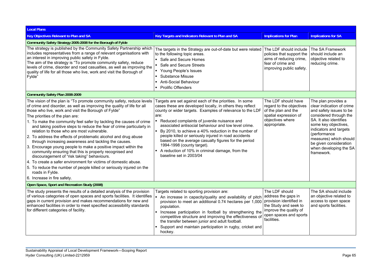| <b>Local Plans</b>                                                                                                                                                                                                                                                                                                                                                                                                                                                                                                                                                                                                                                                                                                                                                                                                                                                                                                                             |                                                                                                                                                                                                                                                                                                                                                                                                                                                                                                                                                                                      |                                                                                                                                                              |                                                                                                                                                                                                                                                                                               |  |
|------------------------------------------------------------------------------------------------------------------------------------------------------------------------------------------------------------------------------------------------------------------------------------------------------------------------------------------------------------------------------------------------------------------------------------------------------------------------------------------------------------------------------------------------------------------------------------------------------------------------------------------------------------------------------------------------------------------------------------------------------------------------------------------------------------------------------------------------------------------------------------------------------------------------------------------------|--------------------------------------------------------------------------------------------------------------------------------------------------------------------------------------------------------------------------------------------------------------------------------------------------------------------------------------------------------------------------------------------------------------------------------------------------------------------------------------------------------------------------------------------------------------------------------------|--------------------------------------------------------------------------------------------------------------------------------------------------------------|-----------------------------------------------------------------------------------------------------------------------------------------------------------------------------------------------------------------------------------------------------------------------------------------------|--|
| Key Objectives Relevant to Plan and SA                                                                                                                                                                                                                                                                                                                                                                                                                                                                                                                                                                                                                                                                                                                                                                                                                                                                                                         | Key Targets and Indicators Relevant to Plan and SA                                                                                                                                                                                                                                                                                                                                                                                                                                                                                                                                   | <b>Implications for Plan</b>                                                                                                                                 | <b>Implications for SA</b>                                                                                                                                                                                                                                                                    |  |
| Community Safety Strategy 2005-2008 for the Borough of Fylde                                                                                                                                                                                                                                                                                                                                                                                                                                                                                                                                                                                                                                                                                                                                                                                                                                                                                   |                                                                                                                                                                                                                                                                                                                                                                                                                                                                                                                                                                                      |                                                                                                                                                              |                                                                                                                                                                                                                                                                                               |  |
| The strategy is published by the Community Safety Partnership which<br>includes representatives from a range of relevant organisations with<br>an interest in improving public safety in Fylde.<br>The aim of the strategy is "To promote community safety, reduce<br>levels of crime, disorder and road casualties, as well as improving the<br>quality of life for all those who live, work and visit the Borough of<br>Fylde"                                                                                                                                                                                                                                                                                                                                                                                                                                                                                                               | The targets in the Strategy are out-of-date but were related<br>to the following topic areas.<br>• Safe and Secure Homes<br>Safe and Secure Streets<br>• Young People's Issues<br><b>Substance Misuse</b><br>$\blacksquare$<br><b>Anti-Social Behaviour</b><br>$\blacksquare$<br><b>Prolific Offenders</b><br>$\blacksquare$                                                                                                                                                                                                                                                         | The LDF should include<br>policies that support the<br>aims of reducing crime,<br>fear of crime and<br>improving public safety.                              | The SA Framework<br>should include an<br>objective related to<br>reducing crime.                                                                                                                                                                                                              |  |
| Community Safety Plan 2008-2009                                                                                                                                                                                                                                                                                                                                                                                                                                                                                                                                                                                                                                                                                                                                                                                                                                                                                                                |                                                                                                                                                                                                                                                                                                                                                                                                                                                                                                                                                                                      |                                                                                                                                                              |                                                                                                                                                                                                                                                                                               |  |
| The vision of the plan is "To promote community safety, reduce levels<br>of crime and disorder, as well as improving the quality of life for all<br>those who live, work and visit the Borough of Fylde"<br>The priorities of the plan are:<br>1. To make the community feel safer by tackling the causes of crime<br>and taking positive steps to reduce the fear of crime particularly in<br>relation to those who are most vulnerable.<br>2. To address the effects of problematic alcohol and drug abuse<br>through increasing awareness and tackling the causes.<br>3. Encourage young people to make a positive impact within the<br>community ensuring that this is properly recognised and<br>discouragement of "risk taking" behaviours.<br>4. To create a safer environment for victims of domestic abuse.<br>5. To reduce the number of people killed or seriously injured on the<br>roads in Fylde.<br>6. Increase in fire safety. | Targets are set against each of the priorities. In some<br>cases these are developed locally, in others they reflect<br>county or wider targets. Examples of relevance to the LDF<br>are:<br>Reduced complaints of juvenile nuisance and<br>associated antisocial behaviour and low level crime.<br>By 2010, to achieve a 40% reduction in the number of<br>people killed or seriously injured in road accidents<br>based on the average casualty figures for the period<br>1994-1998 (county target).<br>A reduction of 10% in criminal damage, from the<br>baseline set in 2003/04 | The LDF should have<br>regard to the objectives<br>of the plan and the<br>spatial expression of<br>objectives where<br>appropriate.                          | The plan provides a<br>clear indication of crime<br>and safety issues to be<br>considered through the<br>SA. It also identifies<br>some key objectives,<br>indicators and targets<br>(performance<br>measures) which should<br>be given consideration<br>when developing the SA<br>framework. |  |
| Open Space, Sport and Recreation Study (2008)                                                                                                                                                                                                                                                                                                                                                                                                                                                                                                                                                                                                                                                                                                                                                                                                                                                                                                  |                                                                                                                                                                                                                                                                                                                                                                                                                                                                                                                                                                                      |                                                                                                                                                              |                                                                                                                                                                                                                                                                                               |  |
| The study presents the results of a detailed analysis of the provision<br>of various categories of open spaces and sports facilities. It identifies<br>gaps in current provision and makes recommendations for new and<br>enhanced facilities in order to meet specified accessibility standards<br>for different categories of facility.                                                                                                                                                                                                                                                                                                                                                                                                                                                                                                                                                                                                      | Targets related to sporting provision are:<br>• An increase in capacity/quality and availability of pitch<br>provision to meet an additional 0.74 hectares per 1,000<br>population.<br>Increase participation in football by strengthening the<br>competitive structure and improving the effectiveness of<br>the transfer between junior and adult football.<br>Support and maintain participation in rugby, cricket and<br>hockey.                                                                                                                                                 | The LDF should<br>address the gaps in<br>provision identified in<br>the Study and seek to<br>improve the quality of<br>open spaces and sports<br>facilities. | The SA should include<br>an objective related to<br>access to open space<br>and sports facilities.                                                                                                                                                                                            |  |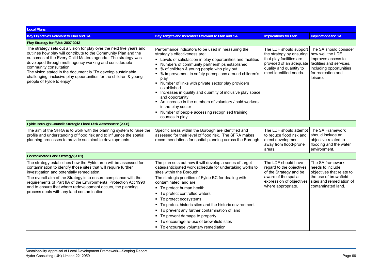| <b>Local Plans</b>                                                                                                                                                                                                                                                                                                                                                                                                                                               |                                                                                                                                                                                                                                                                                                                                                                                                                                                                                                                                                                                                                                                                                                             |                                                                                                                                                                |                                                                                                                                                           |  |
|------------------------------------------------------------------------------------------------------------------------------------------------------------------------------------------------------------------------------------------------------------------------------------------------------------------------------------------------------------------------------------------------------------------------------------------------------------------|-------------------------------------------------------------------------------------------------------------------------------------------------------------------------------------------------------------------------------------------------------------------------------------------------------------------------------------------------------------------------------------------------------------------------------------------------------------------------------------------------------------------------------------------------------------------------------------------------------------------------------------------------------------------------------------------------------------|----------------------------------------------------------------------------------------------------------------------------------------------------------------|-----------------------------------------------------------------------------------------------------------------------------------------------------------|--|
| Key Objectives Relevant to Plan and SA                                                                                                                                                                                                                                                                                                                                                                                                                           | Key Targets and Indicators Relevant to Plan and SA                                                                                                                                                                                                                                                                                                                                                                                                                                                                                                                                                                                                                                                          | <b>Implications for Plan</b>                                                                                                                                   | <b>Implications for SA</b>                                                                                                                                |  |
| Play Strategy for Fylde 2007-2012                                                                                                                                                                                                                                                                                                                                                                                                                                |                                                                                                                                                                                                                                                                                                                                                                                                                                                                                                                                                                                                                                                                                                             |                                                                                                                                                                |                                                                                                                                                           |  |
| The strategy sets out a vision for play over the next five years and<br>outlines how play will contribute to the Community Plan and the<br>outcomes of the Every Child Matters agenda. The strategy was<br>developed through multi-agency working and considerable<br>community consultation.<br>The vision stated in the document is "To develop sustainable<br>challenging, inclusive play opportunities for the children & young<br>people of Fylde to enjoy" | Performance indicators to be used in measuring the<br>strategy's effectiveness are:<br>• Levels of satisfaction in play opportunities and facilities<br>Numbers of community partnerships established<br>$\blacksquare$<br>% of children & young people who play out<br>$\blacksquare$<br>• % improvement in safety perceptions around children's<br>play<br>Number of links with private sector play providers<br>$\blacksquare$<br>established<br>• Increases in quality and quantity of inclusive play space<br>and opportunity<br>An increase in the numbers of voluntary / paid workers<br>$\blacksquare$<br>in the play sector<br>• Number of people accessing recognised training<br>courses in play | The LDF should support<br>the strategy by ensuring<br>that play facilities are<br>provided of an adequate<br>quality and quantity to<br>meet identified needs. | The SA should consider<br>how well the LDF<br>improves access to<br>facilities and services.<br>including opportunities<br>for recreation and<br>leisure. |  |
| Fylde Borough Council: Strategic Flood Risk Assessment (2008)                                                                                                                                                                                                                                                                                                                                                                                                    |                                                                                                                                                                                                                                                                                                                                                                                                                                                                                                                                                                                                                                                                                                             |                                                                                                                                                                |                                                                                                                                                           |  |
| The aim of the SFRA is to work with the planning system to raise the<br>profile and understanding of flood risk and to influence the spatial<br>planning processes to provide sustainable developments.                                                                                                                                                                                                                                                          | Specific areas within the Borough are identified and<br>assessed for their level of flood risk. The SFRA makes<br>recommendations for spatial planning across the Borough.                                                                                                                                                                                                                                                                                                                                                                                                                                                                                                                                  | The LDF should attempt<br>to reduce flood risk and<br>direct development<br>away from flood-prone<br>areas.                                                    | The SA Framework<br>should include an<br>objective related to<br>flooding and the water<br>environment.                                                   |  |
| <b>Contaminated Land Strategy (2001)</b>                                                                                                                                                                                                                                                                                                                                                                                                                         |                                                                                                                                                                                                                                                                                                                                                                                                                                                                                                                                                                                                                                                                                                             |                                                                                                                                                                |                                                                                                                                                           |  |
| The strategy establishes how the Fylde area will be assessed for<br>contamination to identify those sites that will require further<br>investigation and potentially remediation.<br>The overall aim of the Strategy is to ensure compliance with the<br>requirements of Part IIA of the Environmental Protection Act 1990<br>and to ensure that where redevelopment occurs, the planning<br>process deals with any land contamination.                          | The plan sets out how it will develop a series of target<br>dates/anticipated work schedule for undertaking works to<br>sites within the Borough.<br>The strategic priorities of Fylde BC for dealing with<br>contaminated land are:<br>• To protect human health<br>• To protect controlled waters<br>• To protect ecosystems<br>• To protect historic sites and the historic environment<br>• To prevent any further contamination of land<br>• To prevent damage to property<br>• To encourage re-use of brownfield sites<br>• To encourage voluntary remediation                                                                                                                                        | The LDF should have<br>regard to the objectives<br>of the Strategy and be<br>aware of the spatial<br>expression of objectives<br>where appropriate.            | The SA framework<br>needs to include<br>objectives that relate to<br>the use of brownfield<br>sites and remediation of<br>contaminated land.              |  |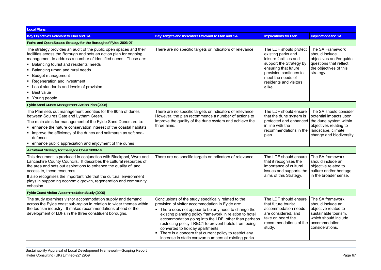| <b>Local Plans</b>                                                                                                                                                                                                                                                                                                                                                                                                                                  |                                                                                                                                                                                                                                                                                                                                                                                                                                                                                                    |                                                                                                                                                                                                              |                                                                                                                                                        |  |
|-----------------------------------------------------------------------------------------------------------------------------------------------------------------------------------------------------------------------------------------------------------------------------------------------------------------------------------------------------------------------------------------------------------------------------------------------------|----------------------------------------------------------------------------------------------------------------------------------------------------------------------------------------------------------------------------------------------------------------------------------------------------------------------------------------------------------------------------------------------------------------------------------------------------------------------------------------------------|--------------------------------------------------------------------------------------------------------------------------------------------------------------------------------------------------------------|--------------------------------------------------------------------------------------------------------------------------------------------------------|--|
| Key Objectives Relevant to Plan and SA                                                                                                                                                                                                                                                                                                                                                                                                              | Key Targets and Indicators Relevant to Plan and SA                                                                                                                                                                                                                                                                                                                                                                                                                                                 | <b>Implications for Plan</b>                                                                                                                                                                                 | <b>Implications for SA</b>                                                                                                                             |  |
| Parks and Open Spaces Strategy for the Borough of Fylde 2003-07                                                                                                                                                                                                                                                                                                                                                                                     |                                                                                                                                                                                                                                                                                                                                                                                                                                                                                                    |                                                                                                                                                                                                              |                                                                                                                                                        |  |
| The strategy provides an audit of the public open spaces and their<br>facilities across the Borough and sets an action plan for ongoing<br>management to address a number of identified needs. These are:<br>• Balancing tourist and residents' needs<br>Balancing urban and rural needs<br><b>Budget management</b><br>٠<br>Regeneration and investment<br>$\blacksquare$<br>Local standards and levels of provision<br>Best value<br>Young people | There are no specific targets or indicators of relevance.                                                                                                                                                                                                                                                                                                                                                                                                                                          | The LDF should protect<br>existing parks and<br>leisure facilities and<br>support the Strategy by<br>ensuring that future<br>provision continues to<br>meet the needs of<br>residents and visitors<br>alike. | The SA Framework<br>should include<br>objectives and/or guide<br>questions that reflect<br>the objectives of this<br>strategy.                         |  |
| Fylde Sand Dunes Management Action Plan (2008)                                                                                                                                                                                                                                                                                                                                                                                                      |                                                                                                                                                                                                                                                                                                                                                                                                                                                                                                    |                                                                                                                                                                                                              |                                                                                                                                                        |  |
| The Plan sets out management priorities for the 80ha of dunes<br>between Squires Gate and Lytham Green.<br>The main aims for management of the Fylde Sand Dunes are to:<br>. enhance the nature conservation interest of the coastal habitats<br>improve the efficiency of the dunes and saltmarsh as soft sea-<br>٠<br>defence<br>enhance public appreciation and enjoyment of the dunes                                                           | There are no specific targets or indicators of relevance.<br>However, the plan recommends a number of actions to<br>improve the quality of the dune system and achieve the<br>three aims.                                                                                                                                                                                                                                                                                                          | The LDF should ensure<br>that the dune system is<br>protected and enhanced<br>in line with the<br>recommendations in the<br>plan.                                                                            | The SA should consider<br>potential impacts upon<br>the dune system within<br>objectives relating to<br>landscape, climate<br>change and biodiversity. |  |
| A Cultural Strategy for the Fylde Coast 2009-14                                                                                                                                                                                                                                                                                                                                                                                                     |                                                                                                                                                                                                                                                                                                                                                                                                                                                                                                    |                                                                                                                                                                                                              |                                                                                                                                                        |  |
| This document is produced in conjunction with Blackpool, Wyre and<br>Lancashire County Councils. It describes the cultural resources of<br>the area and sets out aspirations to enhance the quality of, and<br>access to, these resources.<br>It also recognises the important role that the cultural environment<br>plays in supporting economic growth, regeneration and community<br>cohesion.                                                   | There are no specific targets or indicators of relevance.                                                                                                                                                                                                                                                                                                                                                                                                                                          | The LDF should ensure<br>that it recognises the<br>importance of cultural<br>issues and supports the<br>aims of this Strategy.                                                                               | The SA framework<br>should include an<br>objective related to<br>culture and/or heritage<br>in the broader sense.                                      |  |
| Fylde Coast Visitor Accommodation Study (2009)                                                                                                                                                                                                                                                                                                                                                                                                      |                                                                                                                                                                                                                                                                                                                                                                                                                                                                                                    |                                                                                                                                                                                                              |                                                                                                                                                        |  |
| The study examines visitor accommodation supply and demand<br>across the Fylde coast sub-region in relation to wider themes within<br>the tourism industry. It makes recommendations ahead of the<br>development of LDFs in the three constituent boroughs.                                                                                                                                                                                         | Conclusions of the study specifically related to the<br>provision of visitor accommodation in Fylde are:<br>• There does not appear to be any need to change the<br>existing planning policy framework in relation to hotel<br>accommodation going into the LDF, other than perhaps<br>restricting policy TREC1 to prevent hotels from being<br>converted to holiday apartments.<br>There is a concern that current policy to restrict any<br>increase in static caravan numbers at existing parks | The LDF should ensure<br>that future tourist<br>accommodation needs<br>are considered, and<br>take on board the<br>recommendations of the<br>study.                                                          | The SA framework<br>should include an<br>objective related to<br>sustainable tourism,<br>which should include<br>accommodation<br>considerations.      |  |